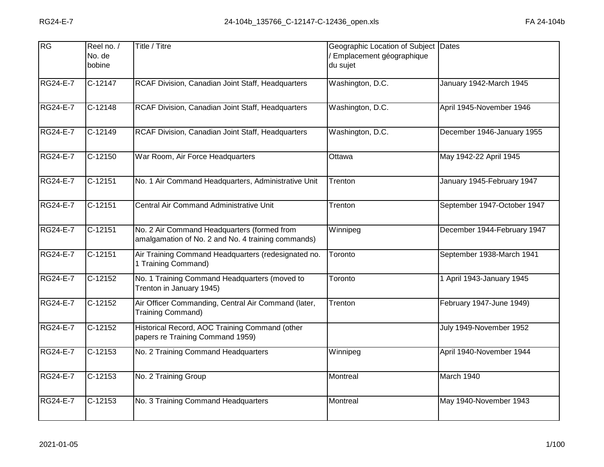| RG              | Reel no. /<br>No. de<br>bobine | Title / Titre                                                                                     | Geographic Location of Subject Dates<br>Emplacement géographique<br>du sujet |                             |
|-----------------|--------------------------------|---------------------------------------------------------------------------------------------------|------------------------------------------------------------------------------|-----------------------------|
| <b>RG24-E-7</b> | $C-12147$                      | RCAF Division, Canadian Joint Staff, Headquarters                                                 | Washington, D.C.                                                             | January 1942-March 1945     |
| <b>RG24-E-7</b> | C-12148                        | RCAF Division, Canadian Joint Staff, Headquarters                                                 | Washington, D.C.                                                             | April 1945-November 1946    |
| <b>RG24-E-7</b> | $C-12149$                      | RCAF Division, Canadian Joint Staff, Headquarters                                                 | Washington, D.C.                                                             | December 1946-January 1955  |
| <b>RG24-E-7</b> | C-12150                        | War Room, Air Force Headquarters                                                                  | Ottawa                                                                       | May 1942-22 April 1945      |
| <b>RG24-E-7</b> | $C-12151$                      | No. 1 Air Command Headquarters, Administrative Unit                                               | Trenton                                                                      | January 1945-February 1947  |
| <b>RG24-E-7</b> | C-12151                        | Central Air Command Administrative Unit                                                           | Trenton                                                                      | September 1947-October 1947 |
| <b>RG24-E-7</b> | $C-12151$                      | No. 2 Air Command Headquarters (formed from<br>amalgamation of No. 2 and No. 4 training commands) | Winnipeg                                                                     | December 1944-February 1947 |
| <b>RG24-E-7</b> | $C-12151$                      | Air Training Command Headquarters (redesignated no.<br>1 Training Command)                        | Toronto                                                                      | September 1938-March 1941   |
| <b>RG24-E-7</b> | C-12152                        | No. 1 Training Command Headquarters (moved to<br>Trenton in January 1945)                         | Toronto                                                                      | 1 April 1943-January 1945   |
| <b>RG24-E-7</b> | $C-12152$                      | Air Officer Commanding, Central Air Command (later,<br>Training Command)                          | Trenton                                                                      | February 1947-June 1949)    |
| <b>RG24-E-7</b> | C-12152                        | Historical Record, AOC Training Command (other<br>papers re Training Command 1959)                |                                                                              | July 1949-November 1952     |
| <b>RG24-E-7</b> | $C-12153$                      | No. 2 Training Command Headquarters                                                               | Winnipeg                                                                     | April 1940-November 1944    |
| <b>RG24-E-7</b> | $\overline{C}$ -12153          | No. 2 Training Group                                                                              | Montreal                                                                     | March 1940                  |
| <b>RG24-E-7</b> | $C-12153$                      | No. 3 Training Command Headquarters                                                               | Montreal                                                                     | May 1940-November 1943      |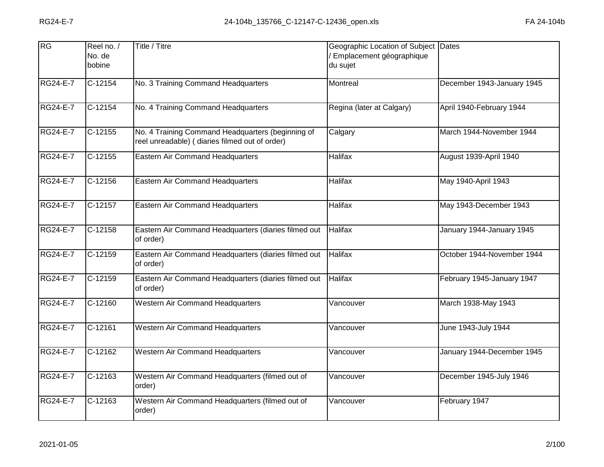| RG              | Reel no. /<br>No. de<br>bobine | Title / Titre                                                                                        | Geographic Location of Subject Dates<br>Emplacement géographique<br>du sujet |                            |
|-----------------|--------------------------------|------------------------------------------------------------------------------------------------------|------------------------------------------------------------------------------|----------------------------|
| <b>RG24-E-7</b> | $C-12154$                      | No. 3 Training Command Headquarters                                                                  | Montreal                                                                     | December 1943-January 1945 |
| <b>RG24-E-7</b> | C-12154                        | No. 4 Training Command Headquarters                                                                  | Regina (later at Calgary)                                                    | April 1940-February 1944   |
| <b>RG24-E-7</b> | $C-12155$                      | No. 4 Training Command Headquarters (beginning of<br>reel unreadable) ( diaries filmed out of order) | Calgary                                                                      | March 1944-November 1944   |
| <b>RG24-E-7</b> | $C-12155$                      | Eastern Air Command Headquarters                                                                     | Halifax                                                                      | August 1939-April 1940     |
| <b>RG24-E-7</b> | $C-12156$                      | Eastern Air Command Headquarters                                                                     | <b>Halifax</b>                                                               | May 1940-April 1943        |
| <b>RG24-E-7</b> | $C-12157$                      | Eastern Air Command Headquarters                                                                     | Halifax                                                                      | May 1943-December 1943     |
| <b>RG24-E-7</b> | $C-12158$                      | Eastern Air Command Headquarters (diaries filmed out<br>of order)                                    | <b>Halifax</b>                                                               | January 1944-January 1945  |
| <b>RG24-E-7</b> | $C-12159$                      | Eastern Air Command Headquarters (diaries filmed out<br>of order)                                    | <b>Halifax</b>                                                               | October 1944-November 1944 |
| <b>RG24-E-7</b> | $C-12159$                      | Eastern Air Command Headquarters (diaries filmed out<br>of order)                                    | <b>Halifax</b>                                                               | February 1945-January 1947 |
| <b>RG24-E-7</b> | $C-12160$                      | Western Air Command Headquarters                                                                     | Vancouver                                                                    | March 1938-May 1943        |
| <b>RG24-E-7</b> | $C-12161$                      | Western Air Command Headquarters                                                                     | Vancouver                                                                    | June 1943-July 1944        |
| <b>RG24-E-7</b> | $C-12162$                      | Western Air Command Headquarters                                                                     | Vancouver                                                                    | January 1944-December 1945 |
| <b>RG24-E-7</b> | $\overline{C}$ -12163          | Western Air Command Headquarters (filmed out of<br>order)                                            | Vancouver                                                                    | December 1945-July 1946    |
| <b>RG24-E-7</b> | $C-12163$                      | Western Air Command Headquarters (filmed out of<br>order)                                            | Vancouver                                                                    | February 1947              |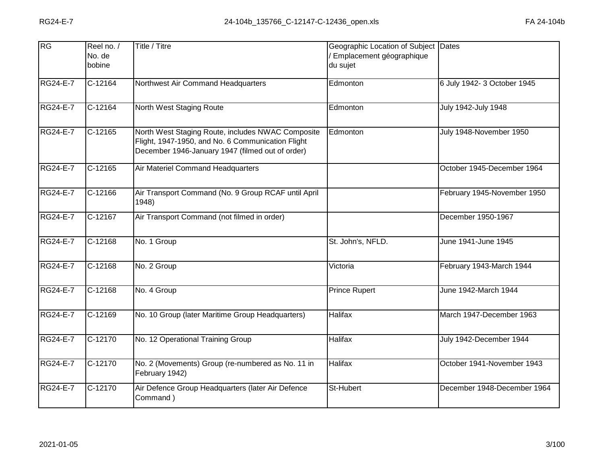| RG              | Reel no. /<br>No. de<br>bobine | Title / Titre                                                                                                                                              | Geographic Location of Subject Dates<br>/ Emplacement géographique<br>du sujet |                             |
|-----------------|--------------------------------|------------------------------------------------------------------------------------------------------------------------------------------------------------|--------------------------------------------------------------------------------|-----------------------------|
| <b>RG24-E-7</b> | $C-12164$                      | Northwest Air Command Headquarters                                                                                                                         | Edmonton                                                                       | 6 July 1942- 3 October 1945 |
| <b>RG24-E-7</b> | $C-12164$                      | North West Staging Route                                                                                                                                   | Edmonton                                                                       | July 1942-July 1948         |
| <b>RG24-E-7</b> | $C-12165$                      | North West Staging Route, includes NWAC Composite<br>Flight, 1947-1950, and No. 6 Communication Flight<br>December 1946-January 1947 (filmed out of order) | Edmonton                                                                       | July 1948-November 1950     |
| <b>RG24-E-7</b> | $C-12165$                      | Air Materiel Command Headquarters                                                                                                                          |                                                                                | October 1945-December 1964  |
| <b>RG24-E-7</b> | $C-12166$                      | Air Transport Command (No. 9 Group RCAF until April<br>1948)                                                                                               |                                                                                | February 1945-November 1950 |
| <b>RG24-E-7</b> | $C-12167$                      | Air Transport Command (not filmed in order)                                                                                                                |                                                                                | December 1950-1967          |
| <b>RG24-E-7</b> | $C-12168$                      | No. 1 Group                                                                                                                                                | St. John's, NFLD.                                                              | June 1941-June 1945         |
| <b>RG24-E-7</b> | $C-12168$                      | No. 2 Group                                                                                                                                                | Victoria                                                                       | February 1943-March 1944    |
| RG24-E-7        | C-12168                        | No. 4 Group                                                                                                                                                | <b>Prince Rupert</b>                                                           | June 1942-March 1944        |
| <b>RG24-E-7</b> | $C-12169$                      | No. 10 Group (later Maritime Group Headquarters)                                                                                                           | <b>Halifax</b>                                                                 | March 1947-December 1963    |
| <b>RG24-E-7</b> | C-12170                        | No. 12 Operational Training Group                                                                                                                          | Halifax                                                                        | July 1942-December 1944     |
| <b>RG24-E-7</b> | $C-12170$                      | No. 2 (Movements) Group (re-numbered as No. 11 in<br>February 1942)                                                                                        | <b>Halifax</b>                                                                 | October 1941-November 1943  |
| <b>RG24-E-7</b> | C-12170                        | Air Defence Group Headquarters (later Air Defence<br>Command)                                                                                              | St-Hubert                                                                      | December 1948-December 1964 |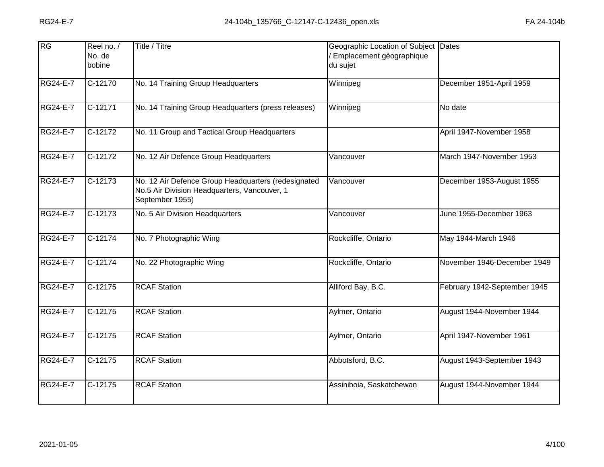| <b>RG</b>       | Reel no. /<br>No. de<br>bobine | Title / Titre                                                                                                          | Geographic Location of Subject Dates<br>/ Emplacement géographique<br>du sujet |                              |
|-----------------|--------------------------------|------------------------------------------------------------------------------------------------------------------------|--------------------------------------------------------------------------------|------------------------------|
| <b>RG24-E-7</b> | $C-12170$                      | No. 14 Training Group Headquarters                                                                                     | Winnipeg                                                                       | December 1951-April 1959     |
| <b>RG24-E-7</b> | $C-12171$                      | No. 14 Training Group Headquarters (press releases)                                                                    | Winnipeg                                                                       | No date                      |
| <b>RG24-E-7</b> | $C-12172$                      | No. 11 Group and Tactical Group Headquarters                                                                           |                                                                                | April 1947-November 1958     |
| <b>RG24-E-7</b> | $C-12172$                      | No. 12 Air Defence Group Headquarters                                                                                  | Vancouver                                                                      | March 1947-November 1953     |
| <b>RG24-E-7</b> | $C-12173$                      | No. 12 Air Defence Group Headquarters (redesignated<br>No.5 Air Division Headquarters, Vancouver, 1<br>September 1955) | Vancouver                                                                      | December 1953-August 1955    |
| <b>RG24-E-7</b> | C-12173                        | No. 5 Air Division Headquarters                                                                                        | Vancouver                                                                      | June 1955-December 1963      |
| <b>RG24-E-7</b> | $C-12174$                      | No. 7 Photographic Wing                                                                                                | Rockcliffe, Ontario                                                            | May 1944-March 1946          |
| <b>RG24-E-7</b> | $C-12174$                      | No. 22 Photographic Wing                                                                                               | Rockcliffe, Ontario                                                            | November 1946-December 1949  |
| <b>RG24-E-7</b> | $C-12175$                      | <b>RCAF Station</b>                                                                                                    | Alliford Bay, B.C.                                                             | February 1942-September 1945 |
| <b>RG24-E-7</b> | $C-12175$                      | <b>RCAF Station</b>                                                                                                    | Aylmer, Ontario                                                                | August 1944-November 1944    |
| <b>RG24-E-7</b> | C-12175                        | <b>RCAF Station</b>                                                                                                    | Aylmer, Ontario                                                                | April 1947-November 1961     |
| <b>RG24-E-7</b> | $C-12175$                      | <b>RCAF Station</b>                                                                                                    | Abbotsford, B.C.                                                               | August 1943-September 1943   |
| <b>RG24-E-7</b> | C-12175                        | <b>RCAF Station</b>                                                                                                    | Assiniboia, Saskatchewan                                                       | August 1944-November 1944    |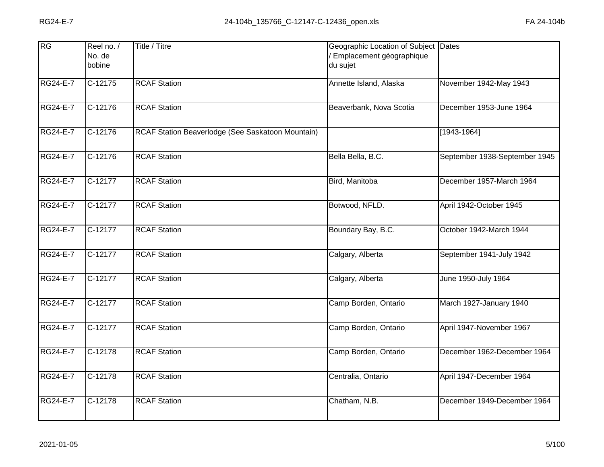| RG              | Reel no. /<br>No. de<br>bobine | Title / Titre                                     | Geographic Location of Subject Dates<br>Emplacement géographique<br>du sujet |                               |
|-----------------|--------------------------------|---------------------------------------------------|------------------------------------------------------------------------------|-------------------------------|
| <b>RG24-E-7</b> | $C-12175$                      | <b>RCAF Station</b>                               | Annette Island, Alaska                                                       | November 1942-May 1943        |
| <b>RG24-E-7</b> | C-12176                        | <b>RCAF Station</b>                               | Beaverbank, Nova Scotia                                                      | December 1953-June 1964       |
| <b>RG24-E-7</b> | $C-12176$                      | RCAF Station Beaverlodge (See Saskatoon Mountain) |                                                                              | $[1943 - 1964]$               |
| <b>RG24-E-7</b> | C-12176                        | <b>RCAF Station</b>                               | Bella Bella, B.C.                                                            | September 1938-September 1945 |
| <b>RG24-E-7</b> | $C-12177$                      | <b>RCAF Station</b>                               | Bird, Manitoba                                                               | December 1957-March 1964      |
| <b>RG24-E-7</b> | $C-12177$                      | <b>RCAF Station</b>                               | Botwood, NFLD.                                                               | April 1942-October 1945       |
| <b>RG24-E-7</b> | $C-12177$                      | <b>RCAF Station</b>                               | Boundary Bay, B.C.                                                           | October 1942-March 1944       |
| <b>RG24-E-7</b> | $C-12177$                      | <b>RCAF Station</b>                               | Calgary, Alberta                                                             | September 1941-July 1942      |
| <b>RG24-E-7</b> | $C-12177$                      | <b>RCAF Station</b>                               | Calgary, Alberta                                                             | June 1950-July 1964           |
| <b>RG24-E-7</b> | $C-12177$                      | <b>RCAF Station</b>                               | Camp Borden, Ontario                                                         | March 1927-January 1940       |
| <b>RG24-E-7</b> | C-12177                        | <b>RCAF Station</b>                               | Camp Borden, Ontario                                                         | April 1947-November 1967      |
| <b>RG24-E-7</b> | $C-12178$                      | <b>RCAF Station</b>                               | Camp Borden, Ontario                                                         | December 1962-December 1964   |
| <b>RG24-E-7</b> | C-12178                        | <b>RCAF Station</b>                               | Centralia, Ontario                                                           | April 1947-December 1964      |
| <b>RG24-E-7</b> | C-12178                        | <b>RCAF Station</b>                               | Chatham, N.B.                                                                | December 1949-December 1964   |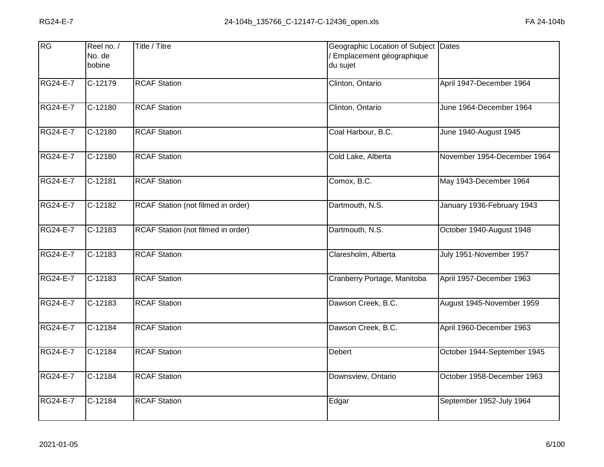| RG              | Reel no. /<br>No. de<br>bobine | Title / Titre                      | Geographic Location of Subject Dates<br>Emplacement géographique<br>du sujet |                             |
|-----------------|--------------------------------|------------------------------------|------------------------------------------------------------------------------|-----------------------------|
| <b>RG24-E-7</b> | $C-12179$                      | <b>RCAF Station</b>                | Clinton, Ontario                                                             | April 1947-December 1964    |
| <b>RG24-E-7</b> | C-12180                        | <b>RCAF Station</b>                | Clinton, Ontario                                                             | June 1964-December 1964     |
| <b>RG24-E-7</b> | $C-12180$                      | <b>RCAF Station</b>                | Coal Harbour, B.C.                                                           | June 1940-August 1945       |
| <b>RG24-E-7</b> | C-12180                        | <b>RCAF Station</b>                | Cold Lake, Alberta                                                           | November 1954-December 1964 |
| <b>RG24-E-7</b> | $C-12181$                      | <b>RCAF Station</b>                | Comox, B.C.                                                                  | May 1943-December 1964      |
| <b>RG24-E-7</b> | $C-12182$                      | RCAF Station (not filmed in order) | Dartmouth, N.S.                                                              | January 1936-February 1943  |
| <b>RG24-E-7</b> | C-12183                        | RCAF Station (not filmed in order) | Dartmouth, N.S.                                                              | October 1940-August 1948    |
| <b>RG24-E-7</b> | $C-12183$                      | <b>RCAF Station</b>                | Claresholm, Alberta                                                          | July 1951-November 1957     |
| <b>RG24-E-7</b> | C-12183                        | <b>RCAF Station</b>                | Cranberry Portage, Manitoba                                                  | April 1957-December 1963    |
| <b>RG24-E-7</b> | $C-12183$                      | <b>RCAF Station</b>                | Dawson Creek, B.C.                                                           | August 1945-November 1959   |
| <b>RG24-E-7</b> | C-12184                        | <b>RCAF Station</b>                | Dawson Creek, B.C.                                                           | April 1960-December 1963    |
| <b>RG24-E-7</b> | $C-12184$                      | <b>RCAF Station</b>                | Debert                                                                       | October 1944-September 1945 |
| <b>RG24-E-7</b> | C-12184                        | <b>RCAF Station</b>                | Downsview, Ontario                                                           | October 1958-December 1963  |
| <b>RG24-E-7</b> | C-12184                        | <b>RCAF Station</b>                | Edgar                                                                        | September 1952-July 1964    |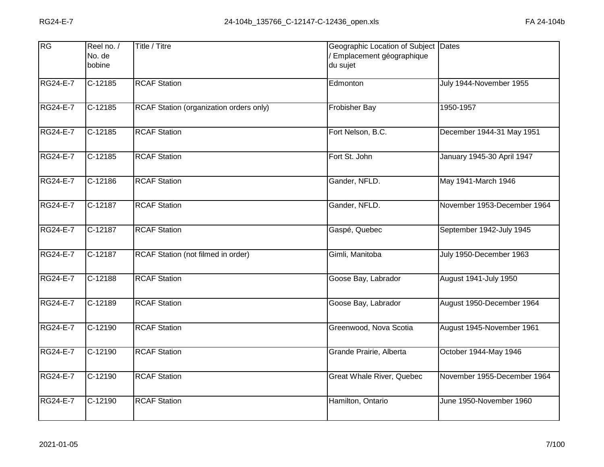| RG              | Reel no. /<br>No. de<br>bobine | Title / Titre                           | Geographic Location of Subject Dates<br>Emplacement géographique<br>du sujet |                              |
|-----------------|--------------------------------|-----------------------------------------|------------------------------------------------------------------------------|------------------------------|
| <b>RG24-E-7</b> | $C-12185$                      | <b>RCAF Station</b>                     | Edmonton                                                                     | July 1944-November 1955      |
| RG24-E-7        | $C-12185$                      | RCAF Station (organization orders only) | Frobisher Bay                                                                | 1950-1957                    |
| <b>RG24-E-7</b> | $C-12185$                      | <b>RCAF Station</b>                     | Fort Nelson, B.C.                                                            | December 1944-31 May 1951    |
| <b>RG24-E-7</b> | $C-12185$                      | <b>RCAF Station</b>                     | Fort St. John                                                                | January 1945-30 April 1947   |
| <b>RG24-E-7</b> | $C-12186$                      | <b>RCAF Station</b>                     | Gander, NFLD.                                                                | May 1941-March 1946          |
| <b>RG24-E-7</b> | $C-12187$                      | <b>RCAF Station</b>                     | Gander, NFLD.                                                                | November 1953-December 1964  |
| <b>RG24-E-7</b> | $C-12187$                      | <b>RCAF Station</b>                     | Gaspé, Quebec                                                                | September 1942-July 1945     |
| <b>RG24-E-7</b> | C-12187                        | RCAF Station (not filmed in order)      | Gimli, Manitoba                                                              | July 1950-December 1963      |
| RG24-E-7        | C-12188                        | <b>RCAF Station</b>                     | Goose Bay, Labrador                                                          | <b>August 1941-July 1950</b> |
| <b>RG24-E-7</b> | $C-12189$                      | <b>RCAF Station</b>                     | Goose Bay, Labrador                                                          | August 1950-December 1964    |
| <b>RG24-E-7</b> | C-12190                        | <b>RCAF Station</b>                     | Greenwood, Nova Scotia                                                       | August 1945-November 1961    |
| <b>RG24-E-7</b> | $C-12190$                      | <b>RCAF Station</b>                     | Grande Prairie, Alberta                                                      | October 1944-May 1946        |
| <b>RG24-E-7</b> | C-12190                        | <b>RCAF Station</b>                     | Great Whale River, Quebec                                                    | November 1955-December 1964  |
| <b>RG24-E-7</b> | C-12190                        | <b>RCAF Station</b>                     | Hamilton, Ontario                                                            | June 1950-November 1960      |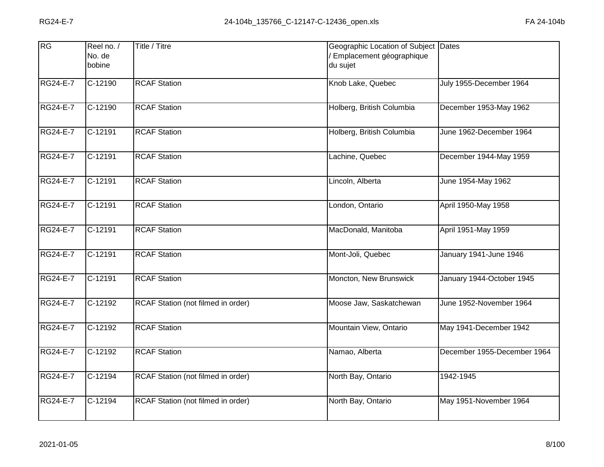| RG              | Reel no. /<br>No. de<br>bobine | Title / Titre                      | Geographic Location of Subject Dates<br>Emplacement géographique<br>du sujet |                             |
|-----------------|--------------------------------|------------------------------------|------------------------------------------------------------------------------|-----------------------------|
| <b>RG24-E-7</b> | C-12190                        | <b>RCAF Station</b>                | Knob Lake, Quebec                                                            | July 1955-December 1964     |
| RG24-E-7        | C-12190                        | <b>RCAF Station</b>                | Holberg, British Columbia                                                    | December 1953-May 1962      |
| <b>RG24-E-7</b> | $C-12191$                      | <b>RCAF Station</b>                | Holberg, British Columbia                                                    | June 1962-December 1964     |
| <b>RG24-E-7</b> | C-12191                        | <b>RCAF Station</b>                | Lachine, Quebec                                                              | December 1944-May 1959      |
| <b>RG24-E-7</b> | $C-12191$                      | <b>RCAF Station</b>                | Lincoln, Alberta                                                             | June 1954-May 1962          |
| <b>RG24-E-7</b> | $C-12191$                      | <b>RCAF Station</b>                | London, Ontario                                                              | April 1950-May 1958         |
| <b>RG24-E-7</b> | $C-12191$                      | <b>RCAF Station</b>                | MacDonald, Manitoba                                                          | April 1951-May 1959         |
| <b>RG24-E-7</b> | $C-12191$                      | <b>RCAF Station</b>                | Mont-Joli, Quebec                                                            | January 1941-June 1946      |
| <b>RG24-E-7</b> | $C-12191$                      | <b>RCAF Station</b>                | Moncton, New Brunswick                                                       | January 1944-October 1945   |
| <b>RG24-E-7</b> | $C-12192$                      | RCAF Station (not filmed in order) | Moose Jaw, Saskatchewan                                                      | June 1952-November 1964     |
| <b>RG24-E-7</b> | $\overline{C}$ -12192          | <b>RCAF</b> Station                | Mountain View, Ontario                                                       | May 1941-December 1942      |
| <b>RG24-E-7</b> | $C-12192$                      | <b>RCAF Station</b>                | Namao, Alberta                                                               | December 1955-December 1964 |
| <b>RG24-E-7</b> | $C-12194$                      | RCAF Station (not filmed in order) | North Bay, Ontario                                                           | 1942-1945                   |
| <b>RG24-E-7</b> | C-12194                        | RCAF Station (not filmed in order) | North Bay, Ontario                                                           | May 1951-November 1964      |
|                 |                                |                                    |                                                                              |                             |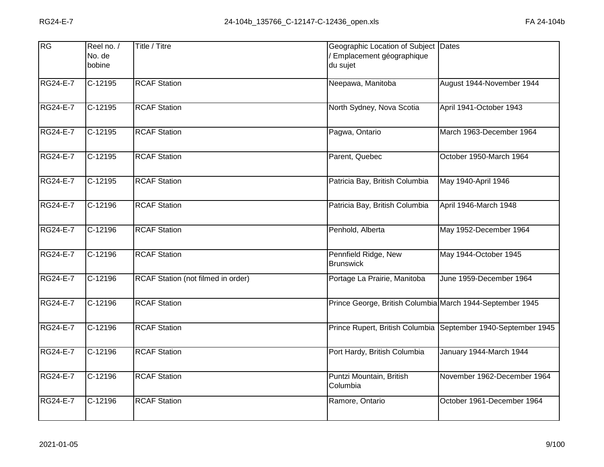| RG              | Reel no. /<br>No. de<br>bobine | Title / Titre                      | Geographic Location of Subject Dates<br>Emplacement géographique<br>du sujet |                               |
|-----------------|--------------------------------|------------------------------------|------------------------------------------------------------------------------|-------------------------------|
| <b>RG24-E-7</b> | $C-12195$                      | <b>RCAF Station</b>                | Neepawa, Manitoba                                                            | August 1944-November 1944     |
| <b>RG24-E-7</b> | C-12195                        | <b>RCAF Station</b>                | North Sydney, Nova Scotia                                                    | April 1941-October 1943       |
| <b>RG24-E-7</b> | $C-12195$                      | <b>RCAF Station</b>                | Pagwa, Ontario                                                               | March 1963-December 1964      |
| <b>RG24-E-7</b> | $C-12195$                      | <b>RCAF Station</b>                | Parent, Quebec                                                               | October 1950-March 1964       |
| <b>RG24-E-7</b> | $C-12195$                      | <b>RCAF Station</b>                | Patricia Bay, British Columbia                                               | May 1940-April 1946           |
| <b>RG24-E-7</b> | $C-12196$                      | <b>RCAF Station</b>                | Patricia Bay, British Columbia                                               | April 1946-March 1948         |
| <b>RG24-E-7</b> | $C-12196$                      | <b>RCAF Station</b>                | Penhold, Alberta                                                             | May 1952-December 1964        |
| <b>RG24-E-7</b> | $C-12196$                      | <b>RCAF Station</b>                | Pennfield Ridge, New<br><b>Brunswick</b>                                     | May 1944-October 1945         |
| <b>RG24-E-7</b> | C-12196                        | RCAF Station (not filmed in order) | Portage La Prairie, Manitoba                                                 | June 1959-December 1964       |
| <b>RG24-E-7</b> | $C-12196$                      | <b>RCAF Station</b>                | Prince George, British Columbia March 1944-September 1945                    |                               |
| <b>RG24-E-7</b> | C-12196                        | <b>RCAF Station</b>                | Prince Rupert, British Columbia                                              | September 1940-September 1945 |
| <b>RG24-E-7</b> | $C-12196$                      | <b>RCAF Station</b>                | Port Hardy, British Columbia                                                 | January 1944-March 1944       |
| <b>RG24-E-7</b> | C-12196                        | <b>RCAF Station</b>                | Puntzi Mountain, British<br>Columbia                                         | November 1962-December 1964   |
| <b>RG24-E-7</b> | $C-12196$                      | <b>RCAF Station</b>                | Ramore, Ontario                                                              | October 1961-December 1964    |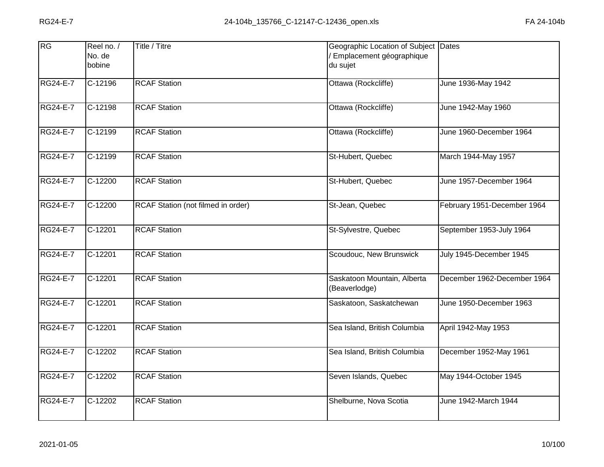| RG              | Reel no. /<br>No. de<br>bobine | Title / Titre                      | Geographic Location of Subject Dates<br>/ Emplacement géographique<br>du sujet |                             |
|-----------------|--------------------------------|------------------------------------|--------------------------------------------------------------------------------|-----------------------------|
| <b>RG24-E-7</b> | $C-12196$                      | <b>RCAF Station</b>                | Ottawa (Rockcliffe)                                                            | June 1936-May 1942          |
| <b>RG24-E-7</b> | C-12198                        | <b>RCAF Station</b>                | Ottawa (Rockcliffe)                                                            | June 1942-May 1960          |
| <b>RG24-E-7</b> | $C-12199$                      | <b>RCAF Station</b>                | Ottawa (Rockcliffe)                                                            | June 1960-December 1964     |
| <b>RG24-E-7</b> | $C-12199$                      | <b>RCAF Station</b>                | St-Hubert, Quebec                                                              | March 1944-May 1957         |
| <b>RG24-E-7</b> | $C-12200$                      | <b>RCAF Station</b>                | St-Hubert, Quebec                                                              | June 1957-December 1964     |
| <b>RG24-E-7</b> | C-12200                        | RCAF Station (not filmed in order) | St-Jean, Quebec                                                                | February 1951-December 1964 |
| <b>RG24-E-7</b> | $C-12201$                      | <b>RCAF Station</b>                | St-Sylvestre, Quebec                                                           | September 1953-July 1964    |
| <b>RG24-E-7</b> | C-12201                        | <b>RCAF Station</b>                | Scoudouc, New Brunswick                                                        | July 1945-December 1945     |
| <b>RG24-E-7</b> | C-12201                        | <b>RCAF Station</b>                | Saskatoon Mountain, Alberta<br>(Beaverlodge)                                   | December 1962-December 1964 |
| <b>RG24-E-7</b> | $C-12201$                      | <b>RCAF Station</b>                | Saskatoon, Saskatchewan                                                        | June 1950-December 1963     |
| <b>RG24-E-7</b> | C-12201                        | <b>RCAF Station</b>                | Sea Island, British Columbia                                                   | April 1942-May 1953         |
| <b>RG24-E-7</b> | $C-12202$                      | <b>RCAF Station</b>                | Sea Island, British Columbia                                                   | December 1952-May 1961      |
| <b>RG24-E-7</b> | $C-12202$                      | <b>RCAF Station</b>                | Seven Islands, Quebec                                                          | May 1944-October 1945       |
| <b>RG24-E-7</b> | C-12202                        | <b>RCAF Station</b>                | Shelburne, Nova Scotia                                                         | June 1942-March 1944        |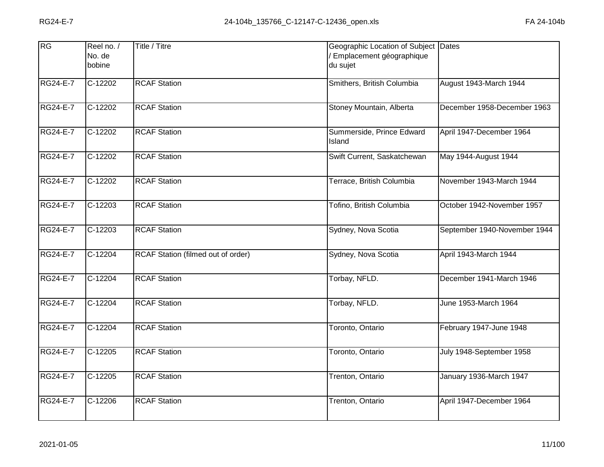| RG              | Reel no. /<br>No. de<br>bobine | Title / Titre                      | Geographic Location of Subject Dates<br>Emplacement géographique<br>du sujet |                              |
|-----------------|--------------------------------|------------------------------------|------------------------------------------------------------------------------|------------------------------|
| <b>RG24-E-7</b> | $C-12202$                      | <b>RCAF Station</b>                | Smithers, British Columbia                                                   | August 1943-March 1944       |
| <b>RG24-E-7</b> | C-12202                        | <b>RCAF Station</b>                | Stoney Mountain, Alberta                                                     | December 1958-December 1963  |
| <b>RG24-E-7</b> | C-12202                        | <b>RCAF Station</b>                | Summerside, Prince Edward<br>Island                                          | April 1947-December 1964     |
| <b>RG24-E-7</b> | C-12202                        | <b>RCAF Station</b>                | Swift Current, Saskatchewan                                                  | May 1944-August 1944         |
| <b>RG24-E-7</b> | $C-12202$                      | <b>RCAF Station</b>                | Terrace, British Columbia                                                    | November 1943-March 1944     |
| <b>RG24-E-7</b> | $C-12203$                      | <b>RCAF Station</b>                | Tofino, British Columbia                                                     | October 1942-November 1957   |
| <b>RG24-E-7</b> | $C-12203$                      | <b>RCAF Station</b>                | Sydney, Nova Scotia                                                          | September 1940-November 1944 |
| <b>RG24-E-7</b> | C-12204                        | RCAF Station (filmed out of order) | Sydney, Nova Scotia                                                          | April 1943-March 1944        |
| <b>RG24-E-7</b> | C-12204                        | <b>RCAF Station</b>                | Torbay, NFLD.                                                                | December 1941-March 1946     |
| <b>RG24-E-7</b> | $C-12204$                      | <b>RCAF Station</b>                | Torbay, NFLD.                                                                | June 1953-March 1964         |
| <b>RG24-E-7</b> | C-12204                        | <b>RCAF Station</b>                | Toronto, Ontario                                                             | February 1947-June 1948      |
| <b>RG24-E-7</b> | $C-12205$                      | <b>RCAF Station</b>                | Toronto, Ontario                                                             | July 1948-September 1958     |
| <b>RG24-E-7</b> | C-12205                        | <b>RCAF Station</b>                | Trenton, Ontario                                                             | January 1936-March 1947      |
| <b>RG24-E-7</b> | C-12206                        | <b>RCAF Station</b>                | Trenton, Ontario                                                             | April 1947-December 1964     |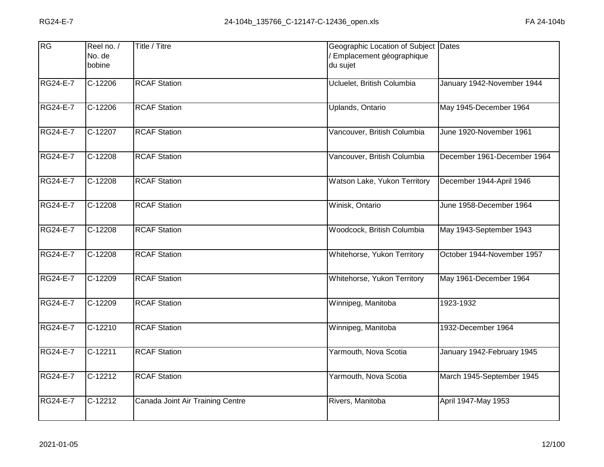| RG              | Reel no. /<br>No. de<br>bobine | Title / Titre                    | Geographic Location of Subject Dates<br>/ Emplacement géographique<br>du sujet |                             |
|-----------------|--------------------------------|----------------------------------|--------------------------------------------------------------------------------|-----------------------------|
| <b>RG24-E-7</b> | C-12206                        | <b>RCAF Station</b>              | Ucluelet, British Columbia                                                     | January 1942-November 1944  |
| <b>RG24-E-7</b> | C-12206                        | <b>RCAF Station</b>              | Uplands, Ontario                                                               | May 1945-December 1964      |
| <b>RG24-E-7</b> | C-12207                        | <b>RCAF Station</b>              | Vancouver, British Columbia                                                    | June 1920-November 1961     |
| <b>RG24-E-7</b> | C-12208                        | <b>RCAF Station</b>              | Vancouver, British Columbia                                                    | December 1961-December 1964 |
| <b>RG24-E-7</b> | $C-12208$                      | <b>RCAF Station</b>              | Watson Lake, Yukon Territory                                                   | December 1944-April 1946    |
| <b>RG24-E-7</b> | $C-12208$                      | <b>RCAF Station</b>              | Winisk, Ontario                                                                | June 1958-December 1964     |
| <b>RG24-E-7</b> | $C-12208$                      | <b>RCAF Station</b>              | Woodcock, British Columbia                                                     | May 1943-September 1943     |
| <b>RG24-E-7</b> | $C-12208$                      | <b>RCAF Station</b>              | Whitehorse, Yukon Territory                                                    | October 1944-November 1957  |
| <b>RG24-E-7</b> | C-12209                        | <b>RCAF Station</b>              | Whitehorse, Yukon Territory                                                    | May 1961-December 1964      |
| <b>RG24-E-7</b> | $C-12209$                      | <b>RCAF Station</b>              | Winnipeg, Manitoba                                                             | 1923-1932                   |
| <b>RG24-E-7</b> | $\overline{C}$ -12210          | <b>RCAF Station</b>              | Winnipeg, Manitoba                                                             | 1932-December 1964          |
| <b>RG24-E-7</b> | $C-12211$                      | <b>RCAF Station</b>              | Yarmouth, Nova Scotia                                                          | January 1942-February 1945  |
| <b>RG24-E-7</b> | C-12212                        | <b>RCAF Station</b>              | Yarmouth, Nova Scotia                                                          | March 1945-September 1945   |
| <b>RG24-E-7</b> | $\overline{C-12212}$           | Canada Joint Air Training Centre | Rivers, Manitoba                                                               | April 1947-May 1953         |
|                 |                                |                                  |                                                                                |                             |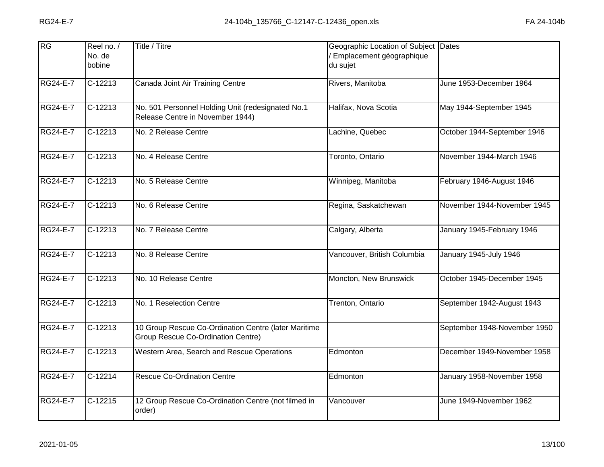| RG              | Reel no. /<br>No. de<br>bobine | Title / Titre                                                                              | Geographic Location of Subject Dates<br>Emplacement géographique<br>du sujet |                              |
|-----------------|--------------------------------|--------------------------------------------------------------------------------------------|------------------------------------------------------------------------------|------------------------------|
| <b>RG24-E-7</b> | $C-12213$                      | Canada Joint Air Training Centre                                                           | Rivers, Manitoba                                                             | June 1953-December 1964      |
| RG24-E-7        | $C-12213$                      | No. 501 Personnel Holding Unit (redesignated No.1<br>Release Centre in November 1944)      | Halifax, Nova Scotia                                                         | May 1944-September 1945      |
| <b>RG24-E-7</b> | $C-12213$                      | No. 2 Release Centre                                                                       | Lachine, Quebec                                                              | October 1944-September 1946  |
| RG24-E-7        | $C-12213$                      | No. 4 Release Centre                                                                       | Toronto, Ontario                                                             | November 1944-March 1946     |
| <b>RG24-E-7</b> | $C-12213$                      | No. 5 Release Centre                                                                       | Winnipeg, Manitoba                                                           | February 1946-August 1946    |
| <b>RG24-E-7</b> | $C-12213$                      | No. 6 Release Centre                                                                       | Regina, Saskatchewan                                                         | November 1944-November 1945  |
| <b>RG24-E-7</b> | $C-12213$                      | No. 7 Release Centre                                                                       | Calgary, Alberta                                                             | January 1945-February 1946   |
| <b>RG24-E-7</b> | $C-12213$                      | No. 8 Release Centre                                                                       | Vancouver, British Columbia                                                  | January 1945-July 1946       |
| RG24-E-7        | $C-12213$                      | No. 10 Release Centre                                                                      | Moncton, New Brunswick                                                       | October 1945-December 1945   |
| <b>RG24-E-7</b> | $C-12213$                      | No. 1 Reselection Centre                                                                   | Trenton, Ontario                                                             | September 1942-August 1943   |
| <b>RG24-E-7</b> | $C-12213$                      | 10 Group Rescue Co-Ordination Centre (later Maritime<br>Group Rescue Co-Ordination Centre) |                                                                              | September 1948-November 1950 |
| <b>RG24-E-7</b> | $C-12213$                      | Western Area, Search and Rescue Operations                                                 | Edmonton                                                                     | December 1949-November 1958  |
| RG24-E-7        | $C-12214$                      | <b>Rescue Co-Ordination Centre</b>                                                         | Edmonton                                                                     | January 1958-November 1958   |
| RG24-E-7        | $C-12215$                      | 12 Group Rescue Co-Ordination Centre (not filmed in<br>order)                              | Vancouver                                                                    | June 1949-November 1962      |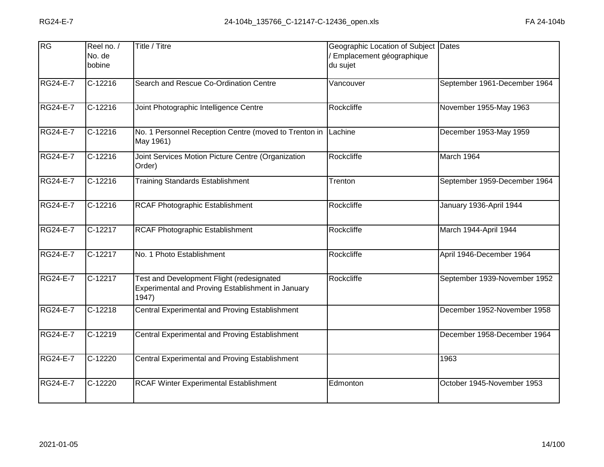| RG              | Reel no. /<br>No. de<br>bobine | Title / Titre                                                                                           | Geographic Location of Subject Dates<br>/ Emplacement géographique<br>du sujet |                              |
|-----------------|--------------------------------|---------------------------------------------------------------------------------------------------------|--------------------------------------------------------------------------------|------------------------------|
| <b>RG24-E-7</b> | $C-12216$                      | Search and Rescue Co-Ordination Centre                                                                  | Vancouver                                                                      | September 1961-December 1964 |
| <b>RG24-E-7</b> | $C-12216$                      | Joint Photographic Intelligence Centre                                                                  | Rockcliffe                                                                     | November 1955-May 1963       |
| <b>RG24-E-7</b> | $C-12216$                      | No. 1 Personnel Reception Centre (moved to Trenton in Lachine<br>May 1961)                              |                                                                                | December 1953-May 1959       |
| <b>RG24-E-7</b> | $C-12216$                      | Joint Services Motion Picture Centre (Organization<br>Order)                                            | Rockcliffe                                                                     | March 1964                   |
| <b>RG24-E-7</b> | $C-12216$                      | <b>Training Standards Establishment</b>                                                                 | Trenton                                                                        | September 1959-December 1964 |
| <b>RG24-E-7</b> | $C-12216$                      | <b>RCAF Photographic Establishment</b>                                                                  | Rockcliffe                                                                     | January 1936-April 1944      |
| <b>RG24-E-7</b> | $C-12217$                      | <b>RCAF Photographic Establishment</b>                                                                  | Rockcliffe                                                                     | March 1944-April 1944        |
| <b>RG24-E-7</b> | $C-12217$                      | No. 1 Photo Establishment                                                                               | Rockcliffe                                                                     | April 1946-December 1964     |
| RG24-E-7        | $C-12217$                      | Test and Development Flight (redesignated<br>Experimental and Proving Establishment in January<br>1947) | Rockcliffe                                                                     | September 1939-November 1952 |
| <b>RG24-E-7</b> | $C-12218$                      | Central Experimental and Proving Establishment                                                          |                                                                                | December 1952-November 1958  |
| <b>RG24-E-7</b> | $C-12219$                      | Central Experimental and Proving Establishment                                                          |                                                                                | December 1958-December 1964  |
| <b>RG24-E-7</b> | $C-12220$                      | Central Experimental and Proving Establishment                                                          |                                                                                | 1963                         |
| <b>RG24-E-7</b> | $C-12220$                      | RCAF Winter Experimental Establishment                                                                  | Edmonton                                                                       | October 1945-November 1953   |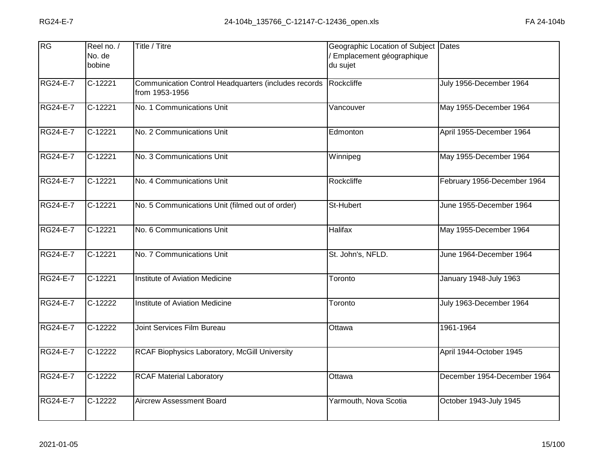| RG              | Reel no. /<br>No. de<br>bobine | Title / Titre                                                          | Geographic Location of Subject Dates<br>/ Emplacement géographique<br>du sujet |                             |
|-----------------|--------------------------------|------------------------------------------------------------------------|--------------------------------------------------------------------------------|-----------------------------|
| <b>RG24-E-7</b> | $C-12221$                      | Communication Control Headquarters (includes records<br>from 1953-1956 | Rockcliffe                                                                     | July 1956-December 1964     |
| <b>RG24-E-7</b> | C-12221                        | No. 1 Communications Unit                                              | Vancouver                                                                      | May 1955-December 1964      |
| <b>RG24-E-7</b> | $C-12221$                      | No. 2 Communications Unit                                              | Edmonton                                                                       | April 1955-December 1964    |
| <b>RG24-E-7</b> | $C-12221$                      | No. 3 Communications Unit                                              | Winnipeg                                                                       | May 1955-December 1964      |
| <b>RG24-E-7</b> | $C-12221$                      | No. 4 Communications Unit                                              | Rockcliffe                                                                     | February 1956-December 1964 |
| <b>RG24-E-7</b> | $C-12221$                      | No. 5 Communications Unit (filmed out of order)                        | St-Hubert                                                                      | June 1955-December 1964     |
| <b>RG24-E-7</b> | $C-12221$                      | No. 6 Communications Unit                                              | <b>Halifax</b>                                                                 | May 1955-December 1964      |
| <b>RG24-E-7</b> | $C-12221$                      | No. 7 Communications Unit                                              | St. John's, NFLD.                                                              | June 1964-December 1964     |
| <b>RG24-E-7</b> | $C-12221$                      | Institute of Aviation Medicine                                         | Toronto                                                                        | January 1948-July 1963      |
| <b>RG24-E-7</b> | $C-12222$                      | Institute of Aviation Medicine                                         | Toronto                                                                        | July 1963-December 1964     |
| <b>RG24-E-7</b> | C-12222                        | <b>Joint Services Film Bureau</b>                                      | Ottawa                                                                         | 1961-1964                   |
| <b>RG24-E-7</b> | $C-12222$                      | RCAF Biophysics Laboratory, McGill University                          |                                                                                | April 1944-October 1945     |
| <b>RG24-E-7</b> | $C-12222$                      | <b>RCAF Material Laboratory</b>                                        | Ottawa                                                                         | December 1954-December 1964 |
| <b>RG24-E-7</b> | C-12222                        | <b>Aircrew Assessment Board</b>                                        | Yarmouth, Nova Scotia                                                          | October 1943-July 1945      |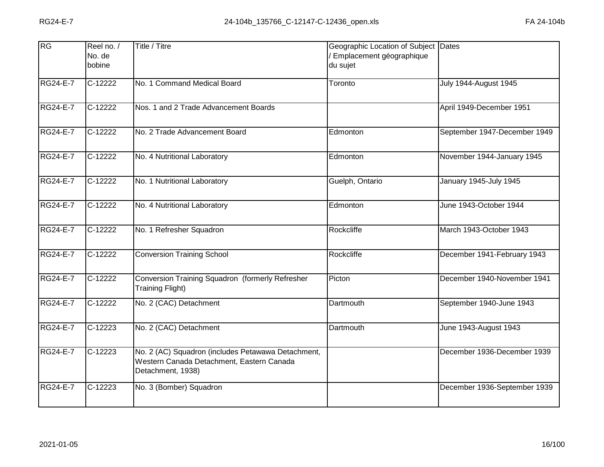| <b>RG</b>       | Reel no. /<br>No. de<br>bobine | Title / Titre                                                                                                        | Geographic Location of Subject Dates<br>/ Emplacement géographique<br>du sujet |                              |
|-----------------|--------------------------------|----------------------------------------------------------------------------------------------------------------------|--------------------------------------------------------------------------------|------------------------------|
| <b>RG24-E-7</b> | $C-12222$                      | No. 1 Command Medical Board                                                                                          | Toronto                                                                        | <b>July 1944-August 1945</b> |
| <b>RG24-E-7</b> | C-12222                        | Nos. 1 and 2 Trade Advancement Boards                                                                                |                                                                                | April 1949-December 1951     |
| <b>RG24-E-7</b> | C-12222                        | No. 2 Trade Advancement Board                                                                                        | Edmonton                                                                       | September 1947-December 1949 |
| <b>RG24-E-7</b> | $C-12222$                      | No. 4 Nutritional Laboratory                                                                                         | Edmonton                                                                       | November 1944-January 1945   |
| <b>RG24-E-7</b> | $C-12222$                      | No. 1 Nutritional Laboratory                                                                                         | Guelph, Ontario                                                                | January 1945-July 1945       |
| <b>RG24-E-7</b> | $C-12222$                      | No. 4 Nutritional Laboratory                                                                                         | Edmonton                                                                       | June 1943-October 1944       |
| <b>RG24-E-7</b> | $C-12222$                      | No. 1 Refresher Squadron                                                                                             | Rockcliffe                                                                     | March 1943-October 1943      |
| <b>RG24-E-7</b> | $C-12222$                      | <b>Conversion Training School</b>                                                                                    | Rockcliffe                                                                     | December 1941-February 1943  |
| <b>RG24-E-7</b> | C-12222                        | Conversion Training Squadron (formerly Refresher<br><b>Training Flight)</b>                                          | Picton                                                                         | December 1940-November 1941  |
| <b>RG24-E-7</b> | $C-12222$                      | No. 2 (CAC) Detachment                                                                                               | <b>Dartmouth</b>                                                               | September 1940-June 1943     |
| <b>RG24-E-7</b> | $C-12223$                      | No. 2 (CAC) Detachment                                                                                               | Dartmouth                                                                      | June 1943-August 1943        |
| <b>RG24-E-7</b> | $C-12223$                      | No. 2 (AC) Squadron (includes Petawawa Detachment,<br>Western Canada Detachment, Eastern Canada<br>Detachment, 1938) |                                                                                | December 1936-December 1939  |
| <b>RG24-E-7</b> | C-12223                        | No. 3 (Bomber) Squadron                                                                                              |                                                                                | December 1936-September 1939 |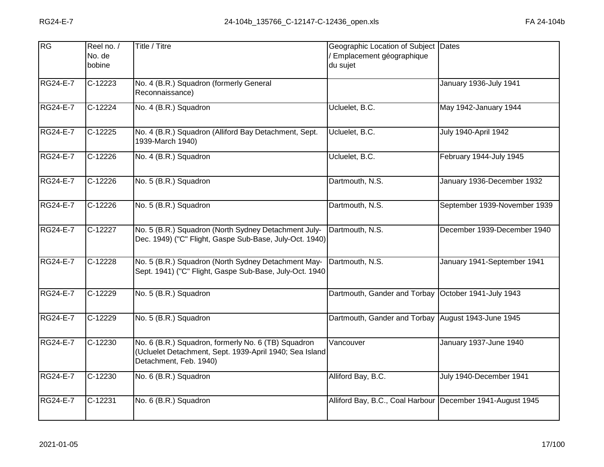| RG              | Reel no. /<br>No. de<br>bobine | Title / Titre                                                                                                                            | Geographic Location of Subject Dates<br>Emplacement géographique<br>du sujet |                              |
|-----------------|--------------------------------|------------------------------------------------------------------------------------------------------------------------------------------|------------------------------------------------------------------------------|------------------------------|
| <b>RG24-E-7</b> | $C-12223$                      | No. 4 (B.R.) Squadron (formerly General<br>Reconnaissance)                                                                               |                                                                              | January 1936-July 1941       |
| RG24-E-7        | C-12224                        | No. 4 (B.R.) Squadron                                                                                                                    | Ucluelet, B.C.                                                               | May 1942-January 1944        |
| <b>RG24-E-7</b> | $C-12225$                      | No. 4 (B.R.) Squadron (Alliford Bay Detachment, Sept.<br>1939-March 1940)                                                                | Ucluelet, B.C.                                                               | <b>July 1940-April 1942</b>  |
| <b>RG24-E-7</b> | $C-12226$                      | No. 4 (B.R.) Squadron                                                                                                                    | Ucluelet, B.C.                                                               | February 1944-July 1945      |
| <b>RG24-E-7</b> | $C-12226$                      | No. 5 (B.R.) Squadron                                                                                                                    | Dartmouth, N.S.                                                              | January 1936-December 1932   |
| <b>RG24-E-7</b> | $C-12226$                      | No. 5 (B.R.) Squadron                                                                                                                    | Dartmouth, N.S.                                                              | September 1939-November 1939 |
| <b>RG24-E-7</b> | $C-12227$                      | No. 5 (B.R.) Squadron (North Sydney Detachment July-<br>Dec. 1949) ("C" Flight, Gaspe Sub-Base, July-Oct. 1940)                          | Dartmouth, N.S.                                                              | December 1939-December 1940  |
| <b>RG24-E-7</b> | $C-12228$                      | No. 5 (B.R.) Squadron (North Sydney Detachment May-<br>Sept. 1941) ("C" Flight, Gaspe Sub-Base, July-Oct. 1940                           | Dartmouth, N.S.                                                              | January 1941-September 1941  |
| <b>RG24-E-7</b> | C-12229                        | No. 5 (B.R.) Squadron                                                                                                                    | Dartmouth, Gander and Torbay                                                 | October 1941-July 1943       |
| <b>RG24-E-7</b> | C-12229                        | No. 5 (B.R.) Squadron                                                                                                                    | Dartmouth, Gander and Torbay                                                 | August 1943-June 1945        |
| <b>RG24-E-7</b> | C-12230                        | No. 6 (B.R.) Squadron, formerly No. 6 (TB) Squadron<br>(Ucluelet Detachment, Sept. 1939-April 1940; Sea Island<br>Detachment, Feb. 1940) | Vancouver                                                                    | January 1937-June 1940       |
| <b>RG24-E-7</b> | C-12230                        | No. 6 (B.R.) Squadron                                                                                                                    | Alliford Bay, B.C.                                                           | July 1940-December 1941      |
| <b>RG24-E-7</b> | $C-12231$                      | No. 6 (B.R.) Squadron                                                                                                                    | Alliford Bay, B.C., Coal Harbour December 1941-August 1945                   |                              |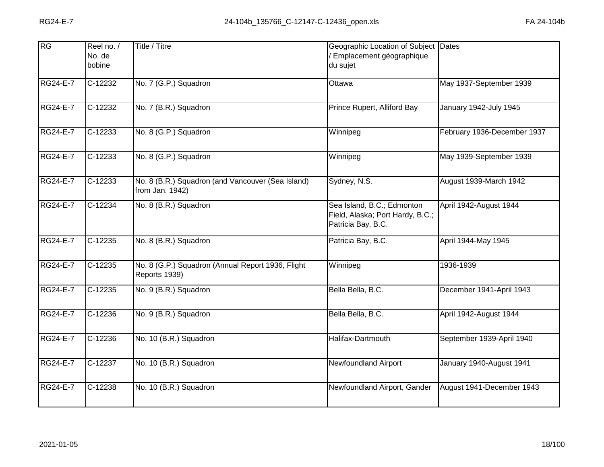| RG              | Reel no. /<br>No. de<br>bobine | Title / Titre                                                        | Geographic Location of Subject<br>/ Emplacement géographique<br>du sujet             | Dates                       |
|-----------------|--------------------------------|----------------------------------------------------------------------|--------------------------------------------------------------------------------------|-----------------------------|
| <b>RG24-E-7</b> | $C-12232$                      | No. 7 (G.P.) Squadron                                                | Ottawa                                                                               | May 1937-September 1939     |
| <b>RG24-E-7</b> | C-12232                        | No. 7 (B.R.) Squadron                                                | Prince Rupert, Alliford Bay                                                          | January 1942-July 1945      |
| <b>RG24-E-7</b> | C-12233                        | No. 8 (G.P.) Squadron                                                | Winnipeg                                                                             | February 1936-December 1937 |
| <b>RG24-E-7</b> | C-12233                        | No. 8 (G.P.) Squadron                                                | Winnipeg                                                                             | May 1939-September 1939     |
| <b>RG24-E-7</b> | C-12233                        | No. 8 (B.R.) Squadron (and Vancouver (Sea Island)<br>from Jan. 1942) | Sydney, N.S.                                                                         | August 1939-March 1942      |
| <b>RG24-E-7</b> | $C-12234$                      | No. 8 (B.R.) Squadron                                                | Sea Island, B.C.; Edmonton<br>Field, Alaska; Port Hardy, B.C.;<br>Patricia Bay, B.C. | April 1942-August 1944      |
| <b>RG24-E-7</b> | $C-12235$                      | No. 8 (B.R.) Squadron                                                | Patricia Bay, B.C.                                                                   | April 1944-May 1945         |
| <b>RG24-E-7</b> | $C-12235$                      | No. 8 (G.P.) Squadron (Annual Report 1936, Flight<br>Reports 1939)   | Winnipeg                                                                             | 1936-1939                   |
| <b>RG24-E-7</b> | C-12235                        | No. 9 (B.R.) Squadron                                                | Bella Bella, B.C.                                                                    | December 1941-April 1943    |
| <b>RG24-E-7</b> | C-12236                        | No. 9 (B.R.) Squadron                                                | Bella Bella, B.C.                                                                    | April 1942-August 1944      |
| <b>RG24-E-7</b> | C-12236                        | No. 10 (B.R.) Squadron                                               | Halifax-Dartmouth                                                                    | September 1939-April 1940   |
| <b>RG24-E-7</b> | C-12237                        | No. 10 (B.R.) Squadron                                               | Newfoundland Airport                                                                 | January 1940-August 1941    |
| <b>RG24-E-7</b> | $C-12238$                      | No. 10 (B.R.) Squadron                                               | Newfoundland Airport, Gander                                                         | August 1941-December 1943   |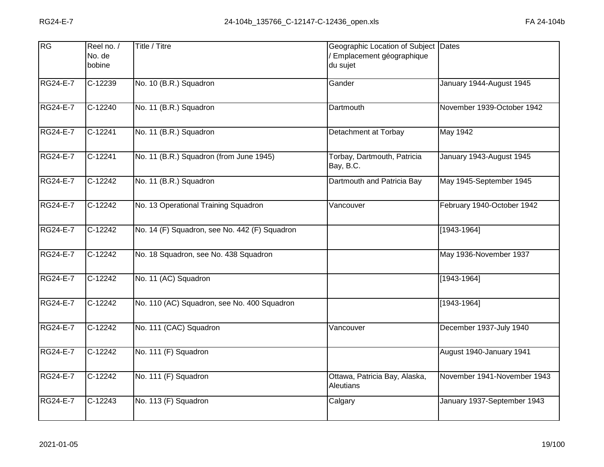| RG              | Reel no. /<br>No. de<br>bobine | <b>Title / Titre</b>                          | Geographic Location of Subject Dates<br>/ Emplacement géographique<br>du sujet |                             |
|-----------------|--------------------------------|-----------------------------------------------|--------------------------------------------------------------------------------|-----------------------------|
| <b>RG24-E-7</b> | C-12239                        | No. 10 (B.R.) Squadron                        | Gander                                                                         | January 1944-August 1945    |
| RG24-E-7        | C-12240                        | No. 11 (B.R.) Squadron                        | Dartmouth                                                                      | November 1939-October 1942  |
| <b>RG24-E-7</b> | $C-12241$                      | No. 11 (B.R.) Squadron                        | Detachment at Torbay                                                           | <b>May 1942</b>             |
| <b>RG24-E-7</b> | C-12241                        | No. 11 (B.R.) Squadron (from June 1945)       | Torbay, Dartmouth, Patricia<br>Bay, B.C.                                       | January 1943-August 1945    |
| <b>RG24-E-7</b> | $C-12242$                      | No. 11 (B.R.) Squadron                        | Dartmouth and Patricia Bay                                                     | May 1945-September 1945     |
| <b>RG24-E-7</b> | $C-12242$                      | No. 13 Operational Training Squadron          | Vancouver                                                                      | February 1940-October 1942  |
| <b>RG24-E-7</b> | $C-12242$                      | No. 14 (F) Squadron, see No. 442 (F) Squadron |                                                                                | $[1943 - 1964]$             |
| <b>RG24-E-7</b> | $C-12242$                      | No. 18 Squadron, see No. 438 Squadron         |                                                                                | May 1936-November 1937      |
| <b>RG24-E-7</b> | C-12242                        | No. 11 (AC) Squadron                          |                                                                                | [1943-1964]                 |
| <b>RG24-E-7</b> | $C-12242$                      | No. 110 (AC) Squadron, see No. 400 Squadron   |                                                                                | $[1943 - 1964]$             |
| RG24-E-7        | C-12242                        | No. 111 (CAC) Squadron                        | Vancouver                                                                      | December 1937-July 1940     |
| <b>RG24-E-7</b> | $C-12242$                      | No. 111 (F) Squadron                          |                                                                                | August 1940-January 1941    |
| <b>RG24-E-7</b> | $\overline{C}$ -12242          | No. 111 (F) Squadron                          | Ottawa, Patricia Bay, Alaska,<br><b>Aleutians</b>                              | November 1941-November 1943 |
| <b>RG24-E-7</b> | C-12243                        | No. 113 (F) Squadron                          | Calgary                                                                        | January 1937-September 1943 |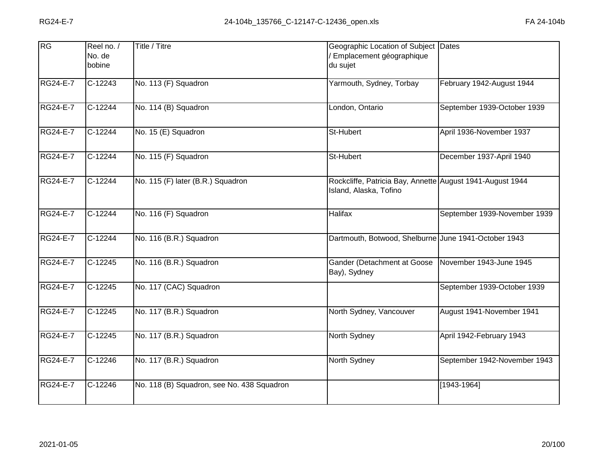| RG              | Reel no. /<br>No. de<br>bobine | Title / Titre                              | Geographic Location of Subject Dates<br>Emplacement géographique<br>du sujet        |                              |
|-----------------|--------------------------------|--------------------------------------------|-------------------------------------------------------------------------------------|------------------------------|
| <b>RG24-E-7</b> | $C-12243$                      | No. 113 (F) Squadron                       | Yarmouth, Sydney, Torbay                                                            | February 1942-August 1944    |
| <b>RG24-E-7</b> | C-12244                        | No. 114 (B) Squadron                       | London, Ontario                                                                     | September 1939-October 1939  |
| <b>RG24-E-7</b> | $C-12244$                      | No. 15 (E) Squadron                        | St-Hubert                                                                           | April 1936-November 1937     |
| <b>RG24-E-7</b> | $C-12244$                      | No. 115 (F) Squadron                       | St-Hubert                                                                           | December 1937-April 1940     |
| <b>RG24-E-7</b> | $C-12244$                      | No. 115 (F) later (B.R.) Squadron          | Rockcliffe, Patricia Bay, Annette August 1941-August 1944<br>Island, Alaska, Tofino |                              |
| <b>RG24-E-7</b> | C-12244                        | No. 116 (F) Squadron                       | <b>Halifax</b>                                                                      | September 1939-November 1939 |
| <b>RG24-E-7</b> | $C-12244$                      | No. 116 (B.R.) Squadron                    | Dartmouth, Botwood, Shelburne June 1941-October 1943                                |                              |
| <b>RG24-E-7</b> | $C-12245$                      | No. 116 (B.R.) Squadron                    | Gander (Detachment at Goose<br>Bay), Sydney                                         | November 1943-June 1945      |
| <b>RG24-E-7</b> | $C-12245$                      | No. 117 (CAC) Squadron                     |                                                                                     | September 1939-October 1939  |
| <b>RG24-E-7</b> | $C-12245$                      | No. 117 (B.R.) Squadron                    | North Sydney, Vancouver                                                             | August 1941-November 1941    |
| <b>RG24-E-7</b> | $C-12245$                      | No. 117 (B.R.) Squadron                    | North Sydney                                                                        | April 1942-February 1943     |
| <b>RG24-E-7</b> | $C-12246$                      | No. 117 (B.R.) Squadron                    | North Sydney                                                                        | September 1942-November 1943 |
| <b>RG24-E-7</b> | C-12246                        | No. 118 (B) Squadron, see No. 438 Squadron |                                                                                     | $[1943 - 1964]$              |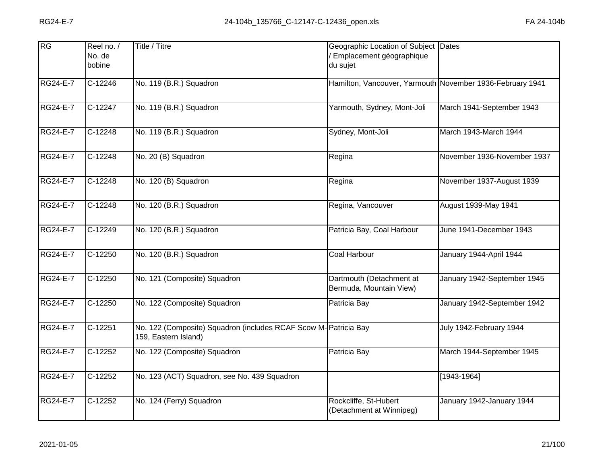| RG              | Reel no. /<br>No. de<br>bobine | Title / Titre                                                                            | Geographic Location of Subject Dates<br>Emplacement géographique<br>du sujet |                             |
|-----------------|--------------------------------|------------------------------------------------------------------------------------------|------------------------------------------------------------------------------|-----------------------------|
| <b>RG24-E-7</b> | $C-12246$                      | No. 119 (B.R.) Squadron                                                                  | Hamilton, Vancouver, Yarmouth November 1936-February 1941                    |                             |
| RG24-E-7        | C-12247                        | No. 119 (B.R.) Squadron                                                                  | Yarmouth, Sydney, Mont-Joli                                                  | March 1941-September 1943   |
| <b>RG24-E-7</b> | $C-12248$                      | No. 119 (B.R.) Squadron                                                                  | Sydney, Mont-Joli                                                            | March 1943-March 1944       |
| <b>RG24-E-7</b> | $C-12248$                      | No. 20 (B) Squadron                                                                      | Regina                                                                       | November 1936-November 1937 |
| <b>RG24-E-7</b> | $C-12248$                      | No. 120 (B) Squadron                                                                     | Regina                                                                       | November 1937-August 1939   |
| <b>RG24-E-7</b> | $C-12248$                      | No. 120 (B.R.) Squadron                                                                  | Regina, Vancouver                                                            | August 1939-May 1941        |
| <b>RG24-E-7</b> | $C-12249$                      | No. 120 (B.R.) Squadron                                                                  | Patricia Bay, Coal Harbour                                                   | June 1941-December 1943     |
| <b>RG24-E-7</b> | $C-12250$                      | No. 120 (B.R.) Squadron                                                                  | Coal Harbour                                                                 | January 1944-April 1944     |
| RG24-E-7        | C-12250                        | No. 121 (Composite) Squadron                                                             | Dartmouth (Detachment at<br>Bermuda, Mountain View)                          | January 1942-September 1945 |
| <b>RG24-E-7</b> | $C-12250$                      | No. 122 (Composite) Squadron                                                             | Patricia Bay                                                                 | January 1942-September 1942 |
| <b>RG24-E-7</b> | $C-12251$                      | No. 122 (Composite) Squadron (includes RCAF Scow M- Patricia Bay<br>159, Eastern Island) |                                                                              | July 1942-February 1944     |
| <b>RG24-E-7</b> | $C-12252$                      | No. 122 (Composite) Squadron                                                             | Patricia Bay                                                                 | March 1944-September 1945   |
| RG24-E-7        | C-12252                        | No. 123 (ACT) Squadron, see No. 439 Squadron                                             |                                                                              | $[1943 - 1964]$             |
| <b>RG24-E-7</b> | C-12252                        | No. 124 (Ferry) Squadron                                                                 | Rockcliffe, St-Hubert<br>(Detachment at Winnipeg)                            | January 1942-January 1944   |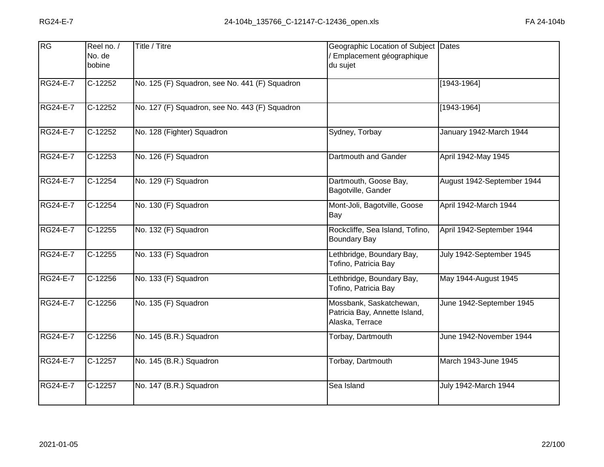| RG              | Reel no. /<br>No. de<br>bobine | Title / Titre                                  | Geographic Location of Subject Dates<br>Emplacement géographique<br>du sujet |                            |
|-----------------|--------------------------------|------------------------------------------------|------------------------------------------------------------------------------|----------------------------|
| <b>RG24-E-7</b> | $C-12252$                      | No. 125 (F) Squadron, see No. 441 (F) Squadron |                                                                              | $[1943 - 1964]$            |
| <b>RG24-E-7</b> | C-12252                        | No. 127 (F) Squadron, see No. 443 (F) Squadron |                                                                              | $[1943 - 1964]$            |
| <b>RG24-E-7</b> | C-12252                        | No. 128 (Fighter) Squadron                     | Sydney, Torbay                                                               | January 1942-March 1944    |
| <b>RG24-E-7</b> | $C-12253$                      | No. 126 (F) Squadron                           | Dartmouth and Gander                                                         | April 1942-May 1945        |
| <b>RG24-E-7</b> | C-12254                        | No. 129 (F) Squadron                           | Dartmouth, Goose Bay,<br>Bagotville, Gander                                  | August 1942-September 1944 |
| <b>RG24-E-7</b> | $C-12254$                      | No. 130 (F) Squadron                           | Mont-Joli, Bagotville, Goose<br>Bay                                          | April 1942-March 1944      |
| <b>RG24-E-7</b> | $C-12255$                      | No. 132 (F) Squadron                           | Rockcliffe, Sea Island, Tofino,<br><b>Boundary Bay</b>                       | April 1942-September 1944  |
| <b>RG24-E-7</b> | $C-12255$                      | No. 133 (F) Squadron                           | Lethbridge, Boundary Bay,<br>Tofino, Patricia Bay                            | July 1942-September 1945   |
| <b>RG24-E-7</b> | C-12256                        | No. 133 (F) Squadron                           | Lethbridge, Boundary Bay,<br>Tofino, Patricia Bay                            | May 1944-August 1945       |
| <b>RG24-E-7</b> | $C-12256$                      | No. 135 (F) Squadron                           | Mossbank, Saskatchewan,<br>Patricia Bay, Annette Island,<br>Alaska, Terrace  | June 1942-September 1945   |
| <b>RG24-E-7</b> | C-12256                        | No. 145 (B.R.) Squadron                        | Torbay, Dartmouth                                                            | June 1942-November 1944    |
| <b>RG24-E-7</b> | $C-12257$                      | No. 145 (B.R.) Squadron                        | Torbay, Dartmouth                                                            | March 1943-June 1945       |
| <b>RG24-E-7</b> | $C-12257$                      | No. 147 (B.R.) Squadron                        | Sea Island                                                                   | July 1942-March 1944       |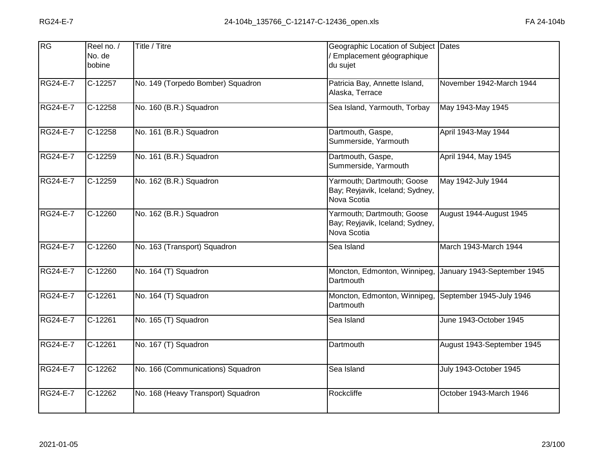| RG              | Reel no. /<br>No. de<br>bobine | Title / Titre                      | Geographic Location of Subject Dates<br>Emplacement géographique<br>du sujet |                             |
|-----------------|--------------------------------|------------------------------------|------------------------------------------------------------------------------|-----------------------------|
| <b>RG24-E-7</b> | C-12257                        | No. 149 (Torpedo Bomber) Squadron  | Patricia Bay, Annette Island,<br>Alaska, Terrace                             | November 1942-March 1944    |
| <b>RG24-E-7</b> | C-12258                        | No. 160 (B.R.) Squadron            | Sea Island, Yarmouth, Torbay                                                 | May 1943-May 1945           |
| <b>RG24-E-7</b> | $C-12258$                      | No. 161 (B.R.) Squadron            | Dartmouth, Gaspe,<br>Summerside, Yarmouth                                    | April 1943-May 1944         |
| RG24-E-7        | C-12259                        | No. 161 (B.R.) Squadron            | Dartmouth, Gaspe,<br>Summerside, Yarmouth                                    | April 1944, May 1945        |
| <b>RG24-E-7</b> | $C-12259$                      | No. 162 (B.R.) Squadron            | Yarmouth; Dartmouth; Goose<br>Bay; Reyjavik, Iceland; Sydney,<br>Nova Scotia | May 1942-July 1944          |
| RG24-E-7        | C-12260                        | No. 162 (B.R.) Squadron            | Yarmouth; Dartmouth; Goose<br>Bay; Reyjavik, Iceland; Sydney,<br>Nova Scotia | August 1944-August 1945     |
| <b>RG24-E-7</b> | $C-12260$                      | No. 163 (Transport) Squadron       | Sea Island                                                                   | March 1943-March 1944       |
| <b>RG24-E-7</b> | $C-12260$                      | No. 164 (T) Squadron               | Moncton, Edmonton, Winnipeg,<br>Dartmouth                                    | January 1943-September 1945 |
| <b>RG24-E-7</b> | $C-12261$                      | No. 164 (T) Squadron               | Moncton, Edmonton, Winnipeg,<br>Dartmouth                                    | September 1945-July 1946    |
| <b>RG24-E-7</b> | C-12261                        | No. 165 (T) Squadron               | Sea Island                                                                   | June 1943-October 1945      |
| <b>RG24-E-7</b> | $C-12261$                      | No. 167 (T) Squadron               | Dartmouth                                                                    | August 1943-September 1945  |
| <b>RG24-E-7</b> | C-12262                        | No. 166 (Communications) Squadron  | Sea Island                                                                   | July 1943-October 1945      |
| <b>RG24-E-7</b> | C-12262                        | No. 168 (Heavy Transport) Squadron | Rockcliffe                                                                   | October 1943-March 1946     |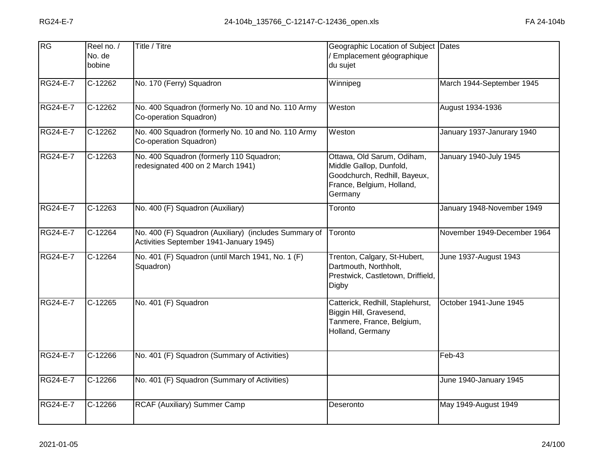| RG              | Reel no. /<br>No. de<br>bobine | Title / Titre                                                                                    | Geographic Location of Subject Dates<br>/ Emplacement géographique<br>du sujet                                                |                             |
|-----------------|--------------------------------|--------------------------------------------------------------------------------------------------|-------------------------------------------------------------------------------------------------------------------------------|-----------------------------|
| <b>RG24-E-7</b> | $C-12262$                      | No. 170 (Ferry) Squadron                                                                         | Winnipeg                                                                                                                      | March 1944-September 1945   |
| RG24-E-7        | C-12262                        | No. 400 Squadron (formerly No. 10 and No. 110 Army<br>Co-operation Squadron)                     | Weston                                                                                                                        | August 1934-1936            |
| <b>RG24-E-7</b> | $C-12262$                      | No. 400 Squadron (formerly No. 10 and No. 110 Army<br>Co-operation Squadron)                     | Weston                                                                                                                        | January 1937-Janurary 1940  |
| <b>RG24-E-7</b> | C-12263                        | No. 400 Squadron (formerly 110 Squadron;<br>redesignated 400 on 2 March 1941)                    | Ottawa, Old Sarum, Odiham,<br>Middle Gallop, Dunfold,<br>Goodchurch, Redhill, Bayeux,<br>France, Belgium, Holland,<br>Germany | January 1940-July 1945      |
| <b>RG24-E-7</b> | $C-12263$                      | No. 400 (F) Squadron (Auxiliary)                                                                 | Toronto                                                                                                                       | January 1948-November 1949  |
| <b>RG24-E-7</b> | C-12264                        | No. 400 (F) Squadron (Auxiliary) (includes Summary of<br>Activities September 1941-January 1945) | Toronto                                                                                                                       | November 1949-December 1964 |
| <b>RG24-E-7</b> | $C-12264$                      | No. 401 (F) Squadron (until March 1941, No. 1 (F)<br>Squadron)                                   | Trenton, Calgary, St-Hubert,<br>Dartmouth, Northholt,<br>Prestwick, Castletown, Driffield,<br>Digby                           | June 1937-August 1943       |
| <b>RG24-E-7</b> | C-12265                        | No. 401 (F) Squadron                                                                             | Catterick, Redhill, Staplehurst,<br>Biggin Hill, Gravesend,<br>Tanmere, France, Belgium,<br>Holland, Germany                  | October 1941-June 1945      |
| <b>RG24-E-7</b> | $C-12266$                      | No. 401 (F) Squadron (Summary of Activities)                                                     |                                                                                                                               | Feb-43                      |
| RG24-E-7        | $C-12266$                      | No. 401 (F) Squadron (Summary of Activities)                                                     |                                                                                                                               | June 1940-January 1945      |
| <b>RG24-E-7</b> | $C-12266$                      | RCAF (Auxiliary) Summer Camp                                                                     | Deseronto                                                                                                                     | May 1949-August 1949        |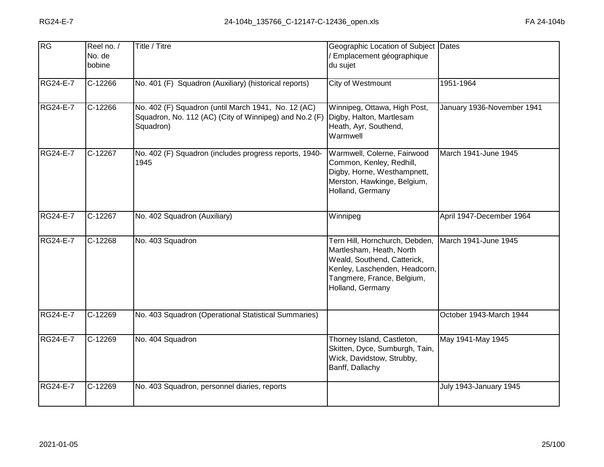| RG              | Reel no. /<br>No. de<br>bobine | Title / Titre                                                                                                              | Geographic Location of Subject Dates<br>/ Emplacement géographique<br>du sujet                                                                                               |                            |
|-----------------|--------------------------------|----------------------------------------------------------------------------------------------------------------------------|------------------------------------------------------------------------------------------------------------------------------------------------------------------------------|----------------------------|
| <b>RG24-E-7</b> | $C-12266$                      | No. 401 (F) Squadron (Auxiliary) (historical reports)                                                                      | City of Westmount                                                                                                                                                            | 1951-1964                  |
| <b>RG24-E-7</b> | C-12266                        | No. 402 (F) Squadron (until March 1941, No. 12 (AC)<br>Squadron, No. 112 (AC) (City of Winnipeg) and No.2 (F)<br>Squadron) | Winnipeg, Ottawa, High Post,<br>Digby, Halton, Martlesam<br>Heath, Ayr, Southend,<br>Warmwell                                                                                | January 1936-November 1941 |
| <b>RG24-E-7</b> | $C-12267$                      | No. 402 (F) Squadron (includes progress reports, 1940-<br>1945                                                             | Warmwell, Colerne, Fairwood<br>Common, Kenley, Redhill,<br>Digby, Horne, Westhampnett,<br>Merston, Hawkinge, Belgium,<br>Holland, Germany                                    | March 1941-June 1945       |
| <b>RG24-E-7</b> | $C-12267$                      | No. 402 Squadron (Auxiliary)                                                                                               | Winnipeg                                                                                                                                                                     | April 1947-December 1964   |
| RG24-E-7        | C-12268                        | No. 403 Squadron                                                                                                           | Tern Hill, Hornchurch, Debden,<br>Martlesham, Heath, North<br>Weald, Southend, Catterick,<br>Kenley, Laschenden, Headcorn,<br>Tangmere, France, Belgium,<br>Holland, Germany | March 1941-June 1945       |
| <b>RG24-E-7</b> | $C-12269$                      | No. 403 Squadron (Operational Statistical Summaries)                                                                       |                                                                                                                                                                              | October 1943-March 1944    |
| RG24-E-7        | C-12269                        | No. 404 Squadron                                                                                                           | Thorney Island, Castleton,<br>Skitten, Dyce, Sumburgh, Tain,<br>Wick, Davidstow, Strubby,<br>Banff, Dallachy                                                                 | May 1941-May 1945          |
| <b>RG24-E-7</b> | C-12269                        | No. 403 Squadron, personnel diaries, reports                                                                               |                                                                                                                                                                              | July 1943-January 1945     |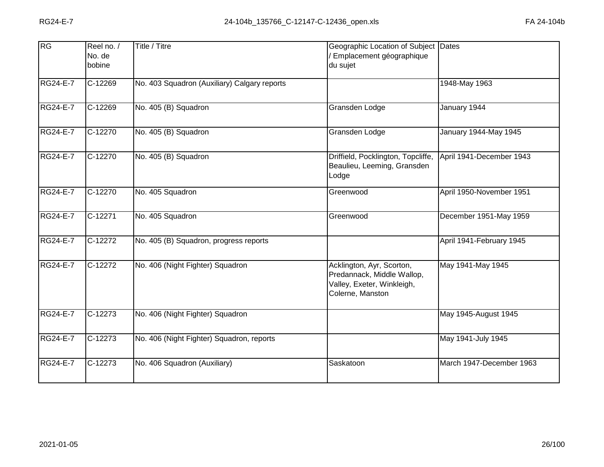| RG              | Reel no. /<br>No. de<br>bobine | Title / Titre                                | Geographic Location of Subject Dates<br>Emplacement géographique<br>du sujet                              |                          |
|-----------------|--------------------------------|----------------------------------------------|-----------------------------------------------------------------------------------------------------------|--------------------------|
| <b>RG24-E-7</b> | C-12269                        | No. 403 Squadron (Auxiliary) Calgary reports |                                                                                                           | 1948-May 1963            |
| <b>RG24-E-7</b> | C-12269                        | No. 405 (B) Squadron                         | Gransden Lodge                                                                                            | January 1944             |
| <b>RG24-E-7</b> | $C-12270$                      | No. 405 (B) Squadron                         | Gransden Lodge                                                                                            | January 1944-May 1945    |
| RG24-E-7        | C-12270                        | No. 405 (B) Squadron                         | Driffield, Pocklington, Topcliffe,<br>Beaulieu, Leeming, Gransden<br>Lodge                                | April 1941-December 1943 |
| <b>RG24-E-7</b> | $C-12270$                      | No. 405 Squadron                             | Greenwood                                                                                                 | April 1950-November 1951 |
| RG24-E-7        | C-12271                        | No. 405 Squadron                             | Greenwood                                                                                                 | December 1951-May 1959   |
| <b>RG24-E-7</b> | $C-12272$                      | No. 405 (B) Squadron, progress reports       |                                                                                                           | April 1941-February 1945 |
| RG24-E-7        | C-12272                        | No. 406 (Night Fighter) Squadron             | Acklington, Ayr, Scorton,<br>Predannack, Middle Wallop,<br>Valley, Exeter, Winkleigh,<br>Colerne, Manston | May 1941-May 1945        |
| <b>RG24-E-7</b> | $C-12273$                      | No. 406 (Night Fighter) Squadron             |                                                                                                           | May 1945-August 1945     |
| <b>RG24-E-7</b> | $C-12273$                      | No. 406 (Night Fighter) Squadron, reports    |                                                                                                           | May 1941-July 1945       |
| <b>RG24-E-7</b> | $C-12273$                      | No. 406 Squadron (Auxiliary)                 | Saskatoon                                                                                                 | March 1947-December 1963 |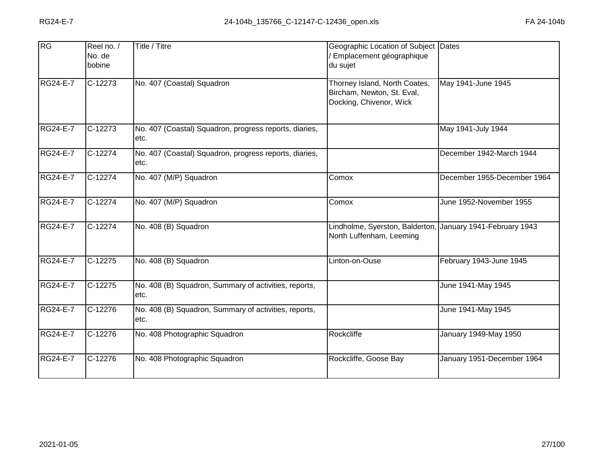| RG              | Reel no. /<br>No. de<br>bobine | <b>Title / Titre</b>                                           | Geographic Location of Subject Dates<br>Emplacement géographique<br>du sujet           |                             |
|-----------------|--------------------------------|----------------------------------------------------------------|----------------------------------------------------------------------------------------|-----------------------------|
| <b>RG24-E-7</b> | $C-12273$                      | No. 407 (Coastal) Squadron                                     | Thorney Island, North Coates,<br>Bircham, Newton, St. Eval,<br>Docking, Chivenor, Wick | May 1941-June 1945          |
| <b>RG24-E-7</b> | C-12273                        | No. 407 (Coastal) Squadron, progress reports, diaries,<br>etc. |                                                                                        | May 1941-July 1944          |
| <b>RG24-E-7</b> | C-12274                        | No. 407 (Coastal) Squadron, progress reports, diaries,<br>etc. |                                                                                        | December 1942-March 1944    |
| <b>RG24-E-7</b> | C-12274                        | No. 407 (M/P) Squadron                                         | Comox                                                                                  | December 1955-December 1964 |
| <b>RG24-E-7</b> | $C-12274$                      | No. 407 (M/P) Squadron                                         | Comox                                                                                  | June 1952-November 1955     |
| <b>RG24-E-7</b> | C-12274                        | No. 408 (B) Squadron                                           | Lindholme, Syerston, Balderton,<br>North Luffenham, Leeming                            | January 1941-February 1943  |
| <b>RG24-E-7</b> | $C-12275$                      | No. 408 (B) Squadron                                           | Linton-on-Ouse                                                                         | February 1943-June 1945     |
| <b>RG24-E-7</b> | C-12275                        | No. 408 (B) Squadron, Summary of activities, reports,<br>etc.  |                                                                                        | June 1941-May 1945          |
| <b>RG24-E-7</b> | $C-12276$                      | No. 408 (B) Squadron, Summary of activities, reports,<br>etc.  |                                                                                        | June 1941-May 1945          |
| <b>RG24-E-7</b> | C-12276                        | No. 408 Photographic Squadron                                  | Rockcliffe                                                                             | January 1949-May 1950       |
| <b>RG24-E-7</b> | $C-12276$                      | No. 408 Photographic Squadron                                  | Rockcliffe, Goose Bay                                                                  | January 1951-December 1964  |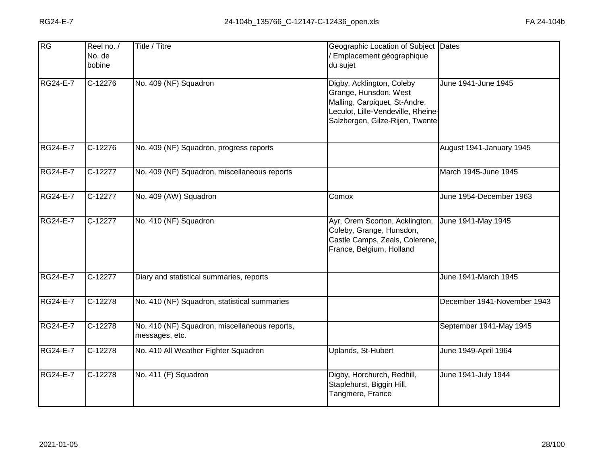| RG              | Reel no. /<br>No. de<br>bobine | Title / Titre                                                   | Geographic Location of Subject Dates<br>Emplacement géographique<br>du sujet                                                                                 |                             |
|-----------------|--------------------------------|-----------------------------------------------------------------|--------------------------------------------------------------------------------------------------------------------------------------------------------------|-----------------------------|
| <b>RG24-E-7</b> | $C-12276$                      | No. 409 (NF) Squadron                                           | Digby, Acklington, Coleby<br>Grange, Hunsdon, West<br>Malling, Carpiquet, St-Andre,<br>Leculot, Lille-Vendeville, Rheine-<br>Salzbergen, Gilze-Rijen, Twente | June 1941-June 1945         |
| <b>RG24-E-7</b> | $C-12276$                      | No. 409 (NF) Squadron, progress reports                         |                                                                                                                                                              | August 1941-January 1945    |
| <b>RG24-E-7</b> | C-12277                        | No. 409 (NF) Squadron, miscellaneous reports                    |                                                                                                                                                              | March 1945-June 1945        |
| <b>RG24-E-7</b> | $C-12277$                      | No. 409 (AW) Squadron                                           | Comox                                                                                                                                                        | June 1954-December 1963     |
| <b>RG24-E-7</b> | C-12277                        | No. 410 (NF) Squadron                                           | Ayr, Orem Scorton, Acklington,<br>Coleby, Grange, Hunsdon,<br>Castle Camps, Zeals, Colerene,<br>France, Belgium, Holland                                     | June 1941-May 1945          |
| <b>RG24-E-7</b> | $C-12277$                      | Diary and statistical summaries, reports                        |                                                                                                                                                              | June 1941-March 1945        |
| <b>RG24-E-7</b> | C-12278                        | No. 410 (NF) Squadron, statistical summaries                    |                                                                                                                                                              | December 1941-November 1943 |
| <b>RG24-E-7</b> | C-12278                        | No. 410 (NF) Squadron, miscellaneous reports,<br>messages, etc. |                                                                                                                                                              | September 1941-May 1945     |
| <b>RG24-E-7</b> | C-12278                        | No. 410 All Weather Fighter Squadron                            | Uplands, St-Hubert                                                                                                                                           | June 1949-April 1964        |
| <b>RG24-E-7</b> | C-12278                        | No. 411 (F) Squadron                                            | Digby, Horchurch, Redhill,<br>Staplehurst, Biggin Hill,<br>Tangmere, France                                                                                  | June 1941-July 1944         |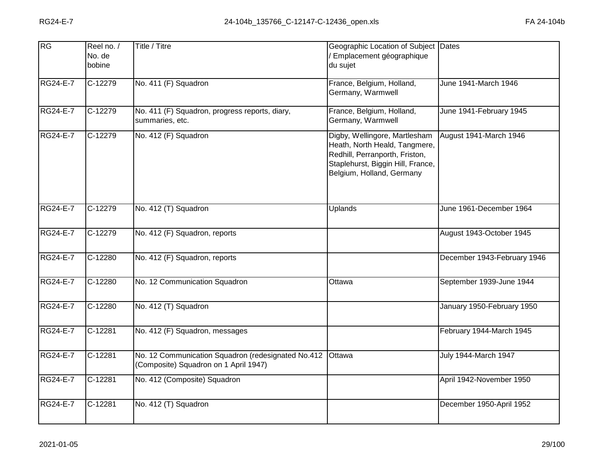| RG              | Reel no. /<br>No. de<br>bobine | Title / Titre                                                                               | Geographic Location of Subject Dates<br>/ Emplacement géographique<br>du sujet                                                                                     |                             |
|-----------------|--------------------------------|---------------------------------------------------------------------------------------------|--------------------------------------------------------------------------------------------------------------------------------------------------------------------|-----------------------------|
| <b>RG24-E-7</b> | $C-12279$                      | No. 411 (F) Squadron                                                                        | France, Belgium, Holland,<br>Germany, Warmwell                                                                                                                     | June 1941-March 1946        |
| <b>RG24-E-7</b> | $C-12279$                      | No. 411 (F) Squadron, progress reports, diary,<br>summaries, etc.                           | France, Belgium, Holland,<br>Germany, Warmwell                                                                                                                     | June 1941-February 1945     |
| <b>RG24-E-7</b> | $C-12279$                      | No. 412 (F) Squadron                                                                        | Digby, Wellingore, Martlesham<br>Heath, North Heald, Tangmere,<br>Redhill, Perranporth, Friston,<br>Staplehurst, Biggin Hill, France,<br>Belgium, Holland, Germany | August 1941-March 1946      |
| <b>RG24-E-7</b> | $C-12279$                      | No. 412 (T) Squadron                                                                        | <b>Uplands</b>                                                                                                                                                     | June 1961-December 1964     |
| <b>RG24-E-7</b> | $C-12279$                      | No. 412 (F) Squadron, reports                                                               |                                                                                                                                                                    | August 1943-October 1945    |
| <b>RG24-E-7</b> | C-12280                        | No. 412 (F) Squadron, reports                                                               |                                                                                                                                                                    | December 1943-February 1946 |
| <b>RG24-E-7</b> | C-12280                        | No. 12 Communication Squadron                                                               | Ottawa                                                                                                                                                             | September 1939-June 1944    |
| <b>RG24-E-7</b> | C-12280                        | No. 412 (T) Squadron                                                                        |                                                                                                                                                                    | January 1950-February 1950  |
| <b>RG24-E-7</b> | $C-12281$                      | No. 412 (F) Squadron, messages                                                              |                                                                                                                                                                    | February 1944-March 1945    |
| <b>RG24-E-7</b> | C-12281                        | No. 12 Communication Squadron (redesignated No.412<br>(Composite) Squadron on 1 April 1947) | Ottawa                                                                                                                                                             | July 1944-March 1947        |
| <b>RG24-E-7</b> | C-12281                        | No. 412 (Composite) Squadron                                                                |                                                                                                                                                                    | April 1942-November 1950    |
| <b>RG24-E-7</b> | C-12281                        | No. 412 (T) Squadron                                                                        |                                                                                                                                                                    | December 1950-April 1952    |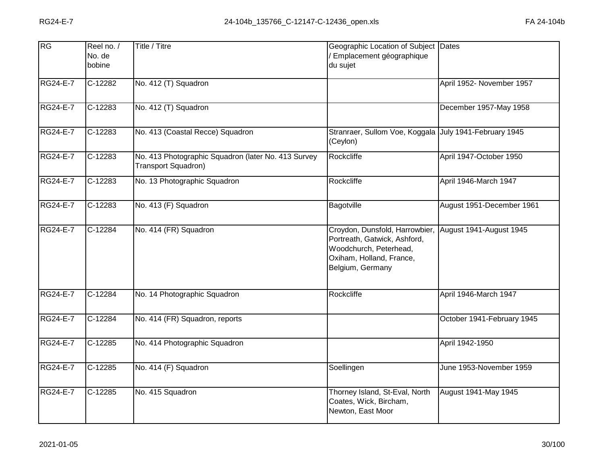| RG              | Reel no. /<br>No. de<br>bobine | Title / Titre                                                              | Geographic Location of Subject Dates<br>/ Emplacement géographique<br>du sujet                                                           |                             |
|-----------------|--------------------------------|----------------------------------------------------------------------------|------------------------------------------------------------------------------------------------------------------------------------------|-----------------------------|
| <b>RG24-E-7</b> | C-12282                        | No. 412 (T) Squadron                                                       |                                                                                                                                          | April 1952- November 1957   |
| <b>RG24-E-7</b> | C-12283                        | No. 412 (T) Squadron                                                       |                                                                                                                                          | December 1957-May 1958      |
| <b>RG24-E-7</b> | C-12283                        | No. 413 (Coastal Recce) Squadron                                           | Stranraer, Sullom Voe, Koggala July 1941-February 1945<br>(Ceylon)                                                                       |                             |
| <b>RG24-E-7</b> | C-12283                        | No. 413 Photographic Squadron (later No. 413 Survey<br>Transport Squadron) | Rockcliffe                                                                                                                               | April 1947-October 1950     |
| <b>RG24-E-7</b> | C-12283                        | No. 13 Photographic Squadron                                               | Rockcliffe                                                                                                                               | April 1946-March 1947       |
| <b>RG24-E-7</b> | $C-12283$                      | No. 413 (F) Squadron                                                       | Bagotville                                                                                                                               | August 1951-December 1961   |
| <b>RG24-E-7</b> | C-12284                        | No. 414 (FR) Squadron                                                      | Croydon, Dunsfold, Harrowbier,<br>Portreath, Gatwick, Ashford,<br>Woodchurch, Peterhead,<br>Oxiham, Holland, France,<br>Belgium, Germany | August 1941-August 1945     |
| <b>RG24-E-7</b> | $C-12284$                      | No. 14 Photographic Squadron                                               | Rockcliffe                                                                                                                               | April 1946-March 1947       |
| <b>RG24-E-7</b> | C-12284                        | No. 414 (FR) Squadron, reports                                             |                                                                                                                                          | October 1941-February 1945  |
| <b>RG24-E-7</b> | $C-12285$                      | No. 414 Photographic Squadron                                              |                                                                                                                                          | April 1942-1950             |
| RG24-E-7        | C-12285                        | No. 414 (F) Squadron                                                       | Soellingen                                                                                                                               | June 1953-November 1959     |
| <b>RG24-E-7</b> | $C-12285$                      | No. 415 Squadron                                                           | Thorney Island, St-Eval, North<br>Coates, Wick, Bircham,<br>Newton, East Moor                                                            | <b>August 1941-May 1945</b> |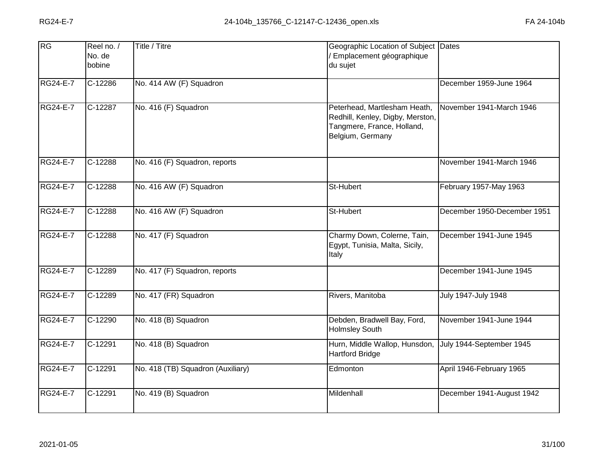| RG              | Reel no. /<br>No. de<br>bobine | Title / Titre                     | Geographic Location of Subject Dates<br>/ Emplacement géographique<br>du sujet                                     |                             |
|-----------------|--------------------------------|-----------------------------------|--------------------------------------------------------------------------------------------------------------------|-----------------------------|
| <b>RG24-E-7</b> | C-12286                        | No. 414 AW (F) Squadron           |                                                                                                                    | December 1959-June 1964     |
| <b>RG24-E-7</b> | C-12287                        | No. 416 (F) Squadron              | Peterhead, Martlesham Heath,<br>Redhill, Kenley, Digby, Merston,<br>Tangmere, France, Holland,<br>Belgium, Germany | November 1941-March 1946    |
| <b>RG24-E-7</b> | $C-12288$                      | No. 416 (F) Squadron, reports     |                                                                                                                    | November 1941-March 1946    |
| <b>RG24-E-7</b> | C-12288                        | No. 416 AW (F) Squadron           | St-Hubert                                                                                                          | February 1957-May 1963      |
| <b>RG24-E-7</b> | C-12288                        | No. 416 AW (F) Squadron           | St-Hubert                                                                                                          | December 1950-December 1951 |
| <b>RG24-E-7</b> | C-12288                        | No. 417 (F) Squadron              | Charmy Down, Colerne, Tain,<br>Egypt, Tunisia, Malta, Sicily,<br>Italy                                             | December 1941-June 1945     |
| <b>RG24-E-7</b> | $C-12289$                      | No. 417 (F) Squadron, reports     |                                                                                                                    | December 1941-June 1945     |
| <b>RG24-E-7</b> | C-12289                        | No. 417 (FR) Squadron             | Rivers, Manitoba                                                                                                   | July 1947-July 1948         |
| <b>RG24-E-7</b> | C-12290                        | No. 418 (B) Squadron              | Debden, Bradwell Bay, Ford,<br><b>Holmsley South</b>                                                               | November 1941-June 1944     |
| <b>RG24-E-7</b> | $C-12291$                      | No. 418 (B) Squadron              | Hurn, Middle Wallop, Hunsdon,<br><b>Hartford Bridge</b>                                                            | July 1944-September 1945    |
| <b>RG24-E-7</b> | C-12291                        | No. 418 (TB) Squadron (Auxiliary) | Edmonton                                                                                                           | April 1946-February 1965    |
| <b>RG24-E-7</b> | $C-12291$                      | No. 419 (B) Squadron              | Mildenhall                                                                                                         | December 1941-August 1942   |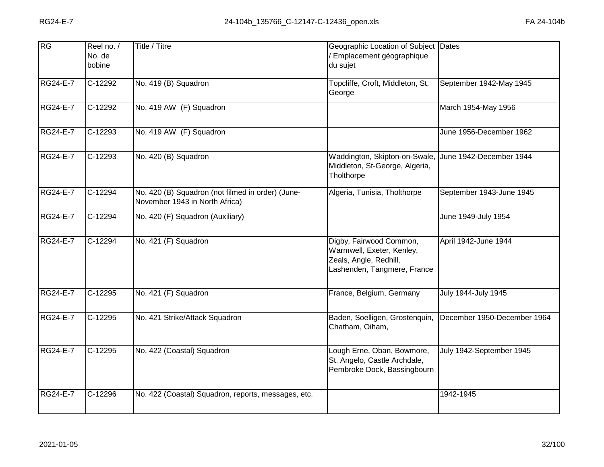| RG              | Reel no. /<br>No. de<br>bobine | Title / Titre                                                                       | Geographic Location of Subject Dates<br>Emplacement géographique<br>du sujet                                  |                             |
|-----------------|--------------------------------|-------------------------------------------------------------------------------------|---------------------------------------------------------------------------------------------------------------|-----------------------------|
| <b>RG24-E-7</b> | C-12292                        | No. 419 (B) Squadron                                                                | Topcliffe, Croft, Middleton, St.<br>George                                                                    | September 1942-May 1945     |
| <b>RG24-E-7</b> | $C-12292$                      | No. 419 AW (F) Squadron                                                             |                                                                                                               | March 1954-May 1956         |
| <b>RG24-E-7</b> | $C-12293$                      | No. 419 AW (F) Squadron                                                             |                                                                                                               | June 1956-December 1962     |
| <b>RG24-E-7</b> | C-12293                        | No. 420 (B) Squadron                                                                | Waddington, Skipton-on-Swale,<br>Middleton, St-George, Algeria,<br>Tholthorpe                                 | June 1942-December 1944     |
| <b>RG24-E-7</b> | C-12294                        | No. 420 (B) Squadron (not filmed in order) (June-<br>November 1943 in North Africa) | Algeria, Tunisia, Tholthorpe                                                                                  | September 1943-June 1945    |
| <b>RG24-E-7</b> | $C-12294$                      | No. 420 (F) Squadron (Auxiliary)                                                    |                                                                                                               | June 1949-July 1954         |
| RG24-E-7        | C-12294                        | No. 421 (F) Squadron                                                                | Digby, Fairwood Common,<br>Warmwell, Exeter, Kenley,<br>Zeals, Angle, Redhill,<br>Lashenden, Tangmere, France | April 1942-June 1944        |
| RG24-E-7        | C-12295                        | No. 421 (F) Squadron                                                                | France, Belgium, Germany                                                                                      | <b>July 1944-July 1945</b>  |
| <b>RG24-E-7</b> | C-12295                        | No. 421 Strike/Attack Squadron                                                      | Baden, Soelligen, Grostenquin,<br>Chatham, Oiham,                                                             | December 1950-December 1964 |
| RG24-E-7        | C-12295                        | No. 422 (Coastal) Squadron                                                          | Lough Erne, Oban, Bowmore,<br>St. Angelo, Castle Archdale,<br>Pembroke Dock, Bassingbourn                     | July 1942-September 1945    |
| <b>RG24-E-7</b> | $C-12296$                      | No. 422 (Coastal) Squadron, reports, messages, etc.                                 |                                                                                                               | 1942-1945                   |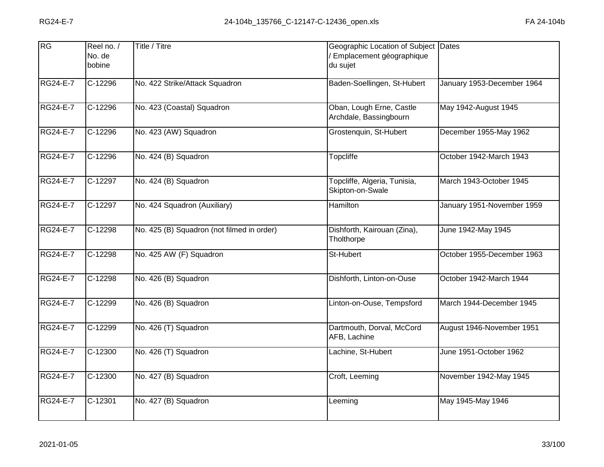| RG              | Reel no. /<br>No. de<br>bobine | Title / Titre                              | Geographic Location of Subject Dates<br>/ Emplacement géographique<br>du sujet |                            |
|-----------------|--------------------------------|--------------------------------------------|--------------------------------------------------------------------------------|----------------------------|
| <b>RG24-E-7</b> | $C-12296$                      | No. 422 Strike/Attack Squadron             | Baden-Soellingen, St-Hubert                                                    | January 1953-December 1964 |
| RG24-E-7        | C-12296                        | No. 423 (Coastal) Squadron                 | Oban, Lough Erne, Castle<br>Archdale, Bassingbourn                             | May 1942-August 1945       |
| <b>RG24-E-7</b> | C-12296                        | No. 423 (AW) Squadron                      | Grostenquin, St-Hubert                                                         | December 1955-May 1962     |
| <b>RG24-E-7</b> | $C-12296$                      | No. 424 (B) Squadron                       | <b>Topcliffe</b>                                                               | October 1942-March 1943    |
| <b>RG24-E-7</b> | C-12297                        | No. 424 (B) Squadron                       | Topcliffe, Algeria, Tunisia,<br>Skipton-on-Swale                               | March 1943-October 1945    |
| <b>RG24-E-7</b> | C-12297                        | No. 424 Squadron (Auxiliary)               | Hamilton                                                                       | January 1951-November 1959 |
| <b>RG24-E-7</b> | $C-12298$                      | No. 425 (B) Squadron (not filmed in order) | Dishforth, Kairouan (Zina),<br>Tholthorpe                                      | June 1942-May 1945         |
| <b>RG24-E-7</b> | C-12298                        | No. 425 AW (F) Squadron                    | St-Hubert                                                                      | October 1955-December 1963 |
| <b>RG24-E-7</b> | C-12298                        | No. 426 (B) Squadron                       | Dishforth, Linton-on-Ouse                                                      | October 1942-March 1944    |
| <b>RG24-E-7</b> | $C-12299$                      | No. 426 (B) Squadron                       | Linton-on-Ouse, Tempsford                                                      | March 1944-December 1945   |
| <b>RG24-E-7</b> | C-12299                        | No. 426 (T) Squadron                       | Dartmouth, Dorval, McCord<br>AFB, Lachine                                      | August 1946-November 1951  |
| <b>RG24-E-7</b> | $C-12300$                      | No. 426 (T) Squadron                       | Lachine, St-Hubert                                                             | June 1951-October 1962     |
| <b>RG24-E-7</b> | C-12300                        | No. 427 (B) Squadron                       | Croft, Leeming                                                                 | November 1942-May 1945     |
| <b>RG24-E-7</b> | C-12301                        | No. 427 (B) Squadron                       | Leeming                                                                        | May 1945-May 1946          |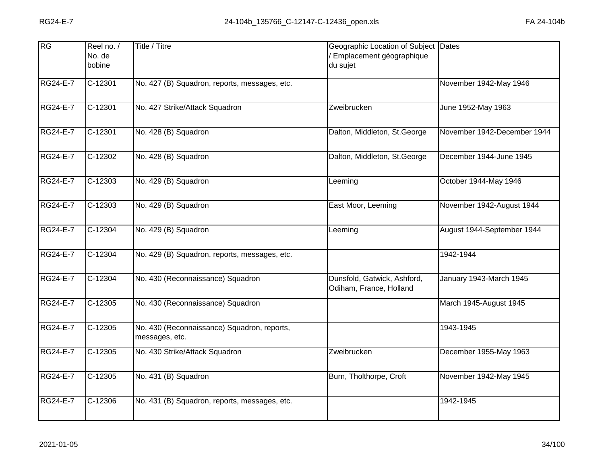| RG              | Reel no. /<br>No. de<br>bobine | Title / Titre                                                 | Geographic Location of Subject Dates<br>/ Emplacement géographique<br>du sujet |                             |
|-----------------|--------------------------------|---------------------------------------------------------------|--------------------------------------------------------------------------------|-----------------------------|
| <b>RG24-E-7</b> | $C-12301$                      | No. 427 (B) Squadron, reports, messages, etc.                 |                                                                                | November 1942-May 1946      |
| <b>RG24-E-7</b> | C-12301                        | No. 427 Strike/Attack Squadron                                | Zweibrucken                                                                    | June 1952-May 1963          |
| <b>RG24-E-7</b> | $C-12301$                      | No. 428 (B) Squadron                                          | Dalton, Middleton, St.George                                                   | November 1942-December 1944 |
| <b>RG24-E-7</b> | $C-12302$                      | No. 428 (B) Squadron                                          | Dalton, Middleton, St.George                                                   | December 1944-June 1945     |
| <b>RG24-E-7</b> | $C-12303$                      | No. 429 (B) Squadron                                          | Leeming                                                                        | October 1944-May 1946       |
| <b>RG24-E-7</b> | $C-12303$                      | No. 429 (B) Squadron                                          | East Moor, Leeming                                                             | November 1942-August 1944   |
| <b>RG24-E-7</b> | C-12304                        | No. 429 (B) Squadron                                          | Leeming                                                                        | August 1944-September 1944  |
| <b>RG24-E-7</b> | C-12304                        | No. 429 (B) Squadron, reports, messages, etc.                 |                                                                                | 1942-1944                   |
| RG24-E-7        | C-12304                        | No. 430 (Reconnaissance) Squadron                             | Dunsfold, Gatwick, Ashford,<br>Odiham, France, Holland                         | January 1943-March 1945     |
| <b>RG24-E-7</b> | $C-12305$                      | No. 430 (Reconnaissance) Squadron                             |                                                                                | March 1945-August 1945      |
| <b>RG24-E-7</b> | C-12305                        | No. 430 (Reconnaissance) Squadron, reports,<br>messages, etc. |                                                                                | 1943-1945                   |
| <b>RG24-E-7</b> | $C-12305$                      | No. 430 Strike/Attack Squadron                                | Zweibrucken                                                                    | December 1955-May 1963      |
| <b>RG24-E-7</b> | C-12305                        | No. 431 (B) Squadron                                          | Burn, Tholthorpe, Croft                                                        | November 1942-May 1945      |
| <b>RG24-E-7</b> | C-12306                        | No. 431 (B) Squadron, reports, messages, etc.                 |                                                                                | 1942-1945                   |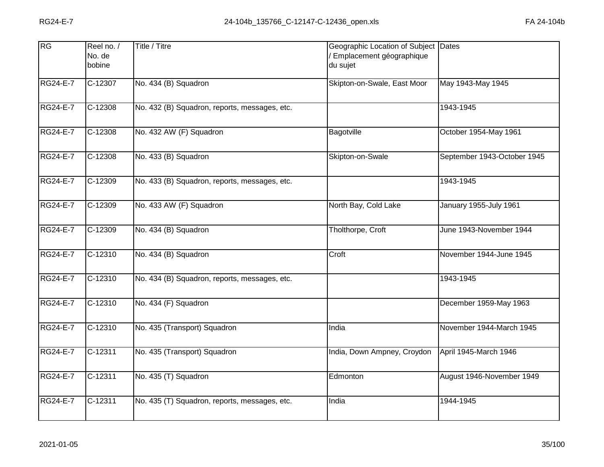| RG              | Reel no. /<br>No. de<br>bobine | <b>Title / Titre</b>                          | Geographic Location of Subject Dates<br>/ Emplacement géographique<br>du sujet |                             |
|-----------------|--------------------------------|-----------------------------------------------|--------------------------------------------------------------------------------|-----------------------------|
| <b>RG24-E-7</b> | C-12307                        | No. 434 (B) Squadron                          | Skipton-on-Swale, East Moor                                                    | May 1943-May 1945           |
| <b>RG24-E-7</b> | C-12308                        | No. 432 (B) Squadron, reports, messages, etc. |                                                                                | 1943-1945                   |
| <b>RG24-E-7</b> | $C-12308$                      | No. 432 AW (F) Squadron                       | Bagotville                                                                     | October 1954-May 1961       |
| <b>RG24-E-7</b> | C-12308                        | No. 433 (B) Squadron                          | Skipton-on-Swale                                                               | September 1943-October 1945 |
| <b>RG24-E-7</b> | $C-12309$                      | No. 433 (B) Squadron, reports, messages, etc. |                                                                                | 1943-1945                   |
| <b>RG24-E-7</b> | C-12309                        | No. 433 AW (F) Squadron                       | North Bay, Cold Lake                                                           | January 1955-July 1961      |
| RG24-E-7        | C-12309                        | No. 434 (B) Squadron                          | Tholthorpe, Croft                                                              | June 1943-November 1944     |
| <b>RG24-E-7</b> | $C-12310$                      | No. 434 (B) Squadron                          | Croft                                                                          | November 1944-June 1945     |
| <b>RG24-E-7</b> | C-12310                        | No. 434 (B) Squadron, reports, messages, etc. |                                                                                | 1943-1945                   |
| <b>RG24-E-7</b> | $C-12310$                      | No. 434 (F) Squadron                          |                                                                                | December 1959-May 1963      |
| <b>RG24-E-7</b> | C-12310                        | No. 435 (Transport) Squadron                  | India                                                                          | November 1944-March 1945    |
| <b>RG24-E-7</b> | $C-12311$                      | No. 435 (Transport) Squadron                  | India, Down Ampney, Croydon                                                    | April 1945-March 1946       |
| <b>RG24-E-7</b> | C-12311                        | No. 435 (T) Squadron                          | Edmonton                                                                       | August 1946-November 1949   |
| <b>RG24-E-7</b> | $C-12311$                      | No. 435 (T) Squadron, reports, messages, etc. | India                                                                          | 1944-1945                   |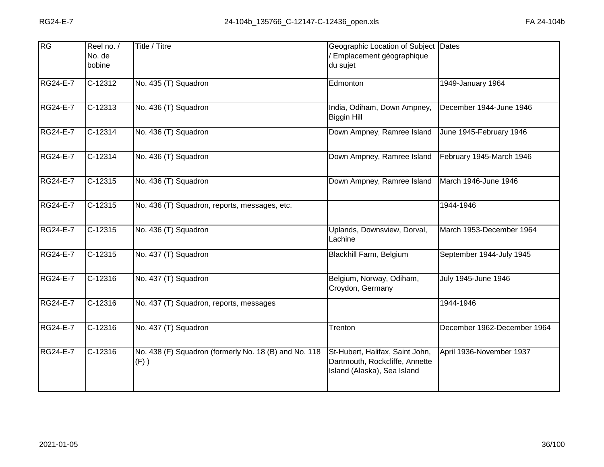| RG              | Reel no. /<br>No. de<br>bobine | Title / Titre                                                    | Geographic Location of Subject<br>Emplacement géographique<br>du sujet                           | Dates                       |
|-----------------|--------------------------------|------------------------------------------------------------------|--------------------------------------------------------------------------------------------------|-----------------------------|
| <b>RG24-E-7</b> | $C-12312$                      | No. 435 (T) Squadron                                             | Edmonton                                                                                         | 1949-January 1964           |
| <b>RG24-E-7</b> | C-12313                        | No. 436 (T) Squadron                                             | India, Odiham, Down Ampney,<br>Biggin Hill                                                       | December 1944-June 1946     |
| <b>RG24-E-7</b> | $C-12314$                      | No. 436 (T) Squadron                                             | Down Ampney, Ramree Island                                                                       | June 1945-February 1946     |
| <b>RG24-E-7</b> | $C-12314$                      | No. 436 (T) Squadron                                             | Down Ampney, Ramree Island                                                                       | February 1945-March 1946    |
| <b>RG24-E-7</b> | $C-12315$                      | No. 436 (T) Squadron                                             | Down Ampney, Ramree Island                                                                       | March 1946-June 1946        |
| <b>RG24-E-7</b> | $C-12315$                      | No. 436 (T) Squadron, reports, messages, etc.                    |                                                                                                  | 1944-1946                   |
| <b>RG24-E-7</b> | $C-12315$                      | No. 436 (T) Squadron                                             | Uplands, Downsview, Dorval,<br>Lachine                                                           | March 1953-December 1964    |
| <b>RG24-E-7</b> | $C-12315$                      | No. 437 (T) Squadron                                             | Blackhill Farm, Belgium                                                                          | September 1944-July 1945    |
| <b>RG24-E-7</b> | $C-12316$                      | No. 437 (T) Squadron                                             | Belgium, Norway, Odiham,<br>Croydon, Germany                                                     | July 1945-June 1946         |
| <b>RG24-E-7</b> | $C-12316$                      | No. 437 (T) Squadron, reports, messages                          |                                                                                                  | 1944-1946                   |
| RG24-E-7        | C-12316                        | No. 437 (T) Squadron                                             | Trenton                                                                                          | December 1962-December 1964 |
| <b>RG24-E-7</b> | $C-12316$                      | No. 438 (F) Squadron (formerly No. 18 (B) and No. 118<br>$(F)$ ) | St-Hubert, Halifax, Saint John,<br>Dartmouth, Rockcliffe, Annette<br>Island (Alaska), Sea Island | April 1936-November 1937    |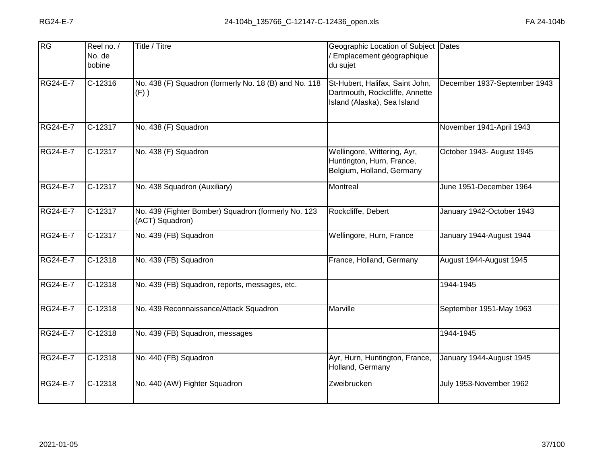| RG              | Reel no. /<br>No. de<br>bobine | Title / Titre                                                          | Geographic Location of Subject Dates<br>Emplacement géographique<br>du sujet                     |                              |
|-----------------|--------------------------------|------------------------------------------------------------------------|--------------------------------------------------------------------------------------------------|------------------------------|
| <b>RG24-E-7</b> | $C-12316$                      | No. 438 (F) Squadron (formerly No. 18 (B) and No. 118<br>$(F)$ )       | St-Hubert, Halifax, Saint John,<br>Dartmouth, Rockcliffe, Annette<br>Island (Alaska), Sea Island | December 1937-September 1943 |
| <b>RG24-E-7</b> | $C-12317$                      | No. 438 (F) Squadron                                                   |                                                                                                  | November 1941-April 1943     |
| RG24-E-7        | C-12317                        | No. 438 (F) Squadron                                                   | Wellingore, Wittering, Ayr,<br>Huntington, Hurn, France,<br>Belgium, Holland, Germany            | October 1943- August 1945    |
| RG24-E-7        | C-12317                        | No. 438 Squadron (Auxiliary)                                           | Montreal                                                                                         | June 1951-December 1964      |
| <b>RG24-E-7</b> | $C-12317$                      | No. 439 (Fighter Bomber) Squadron (formerly No. 123<br>(ACT) Squadron) | Rockcliffe, Debert                                                                               | January 1942-October 1943    |
| RG24-E-7        | $C-12317$                      | No. 439 (FB) Squadron                                                  | Wellingore, Hurn, France                                                                         | January 1944-August 1944     |
| <b>RG24-E-7</b> | C-12318                        | No. 439 (FB) Squadron                                                  | France, Holland, Germany                                                                         | August 1944-August 1945      |
| RG24-E-7        | $C-12318$                      | No. 439 (FB) Squadron, reports, messages, etc.                         |                                                                                                  | 1944-1945                    |
| RG24-E-7        | C-12318                        | No. 439 Reconnaissance/Attack Squadron                                 | Marville                                                                                         | September 1951-May 1963      |
| <b>RG24-E-7</b> | $C-12318$                      | No. 439 (FB) Squadron, messages                                        |                                                                                                  | 1944-1945                    |
| RG24-E-7        | C-12318                        | No. 440 (FB) Squadron                                                  | Ayr, Hurn, Huntington, France,<br>Holland, Germany                                               | January 1944-August 1945     |
| RG24-E-7        | C-12318                        | No. 440 (AW) Fighter Squadron                                          | Zweibrucken                                                                                      | July 1953-November 1962      |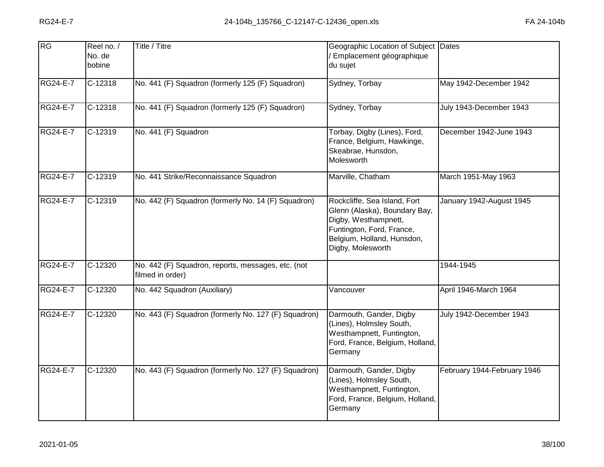| <b>RG</b>       | Reel no. /<br>No. de<br>bobine | Title / Titre                                                          | Geographic Location of Subject Dates<br>Emplacement géographique<br>du sujet                                                                                          |                             |
|-----------------|--------------------------------|------------------------------------------------------------------------|-----------------------------------------------------------------------------------------------------------------------------------------------------------------------|-----------------------------|
| <b>RG24-E-7</b> | $C-12318$                      | No. 441 (F) Squadron (formerly 125 (F) Squadron)                       | Sydney, Torbay                                                                                                                                                        | May 1942-December 1942      |
| RG24-E-7        | C-12318                        | No. 441 (F) Squadron (formerly 125 (F) Squadron)                       | Sydney, Torbay                                                                                                                                                        | July 1943-December 1943     |
| <b>RG24-E-7</b> | C-12319                        | No. 441 (F) Squadron                                                   | Torbay, Digby (Lines), Ford,<br>France, Belgium, Hawkinge,<br>Skeabrae, Hunsdon,<br>Molesworth                                                                        | December 1942-June 1943     |
| RG24-E-7        | C-12319                        | No. 441 Strike/Reconnaissance Squadron                                 | Marville, Chatham                                                                                                                                                     | March 1951-May 1963         |
| <b>RG24-E-7</b> | $C-12319$                      | No. 442 (F) Squadron (formerly No. 14 (F) Squadron)                    | Rockcliffe, Sea Island, Fort<br>Glenn (Alaska), Boundary Bay,<br>Digby, Westhampnett,<br>Funtington, Ford, France,<br>Belgium, Holland, Hunsdon,<br>Digby, Molesworth | January 1942-August 1945    |
| <b>RG24-E-7</b> | $C-12320$                      | No. 442 (F) Squadron, reports, messages, etc. (not<br>filmed in order) |                                                                                                                                                                       | 1944-1945                   |
| RG24-E-7        | C-12320                        | No. 442 Squadron (Auxiliary)                                           | Vancouver                                                                                                                                                             | April 1946-March 1964       |
| <b>RG24-E-7</b> | $C-12320$                      | No. 443 (F) Squadron (formerly No. 127 (F) Squadron)                   | Darmouth, Gander, Digby<br>(Lines), Holmsley South,<br>Westhampnett, Funtington,<br>Ford, France, Belgium, Holland,<br>Germany                                        | July 1942-December 1943     |
| <b>RG24-E-7</b> | C-12320                        | No. 443 (F) Squadron (formerly No. 127 (F) Squadron)                   | Darmouth, Gander, Digby<br>(Lines), Holmsley South,<br>Westhampnett, Funtington,<br>Ford, France, Belgium, Holland,<br>Germany                                        | February 1944-February 1946 |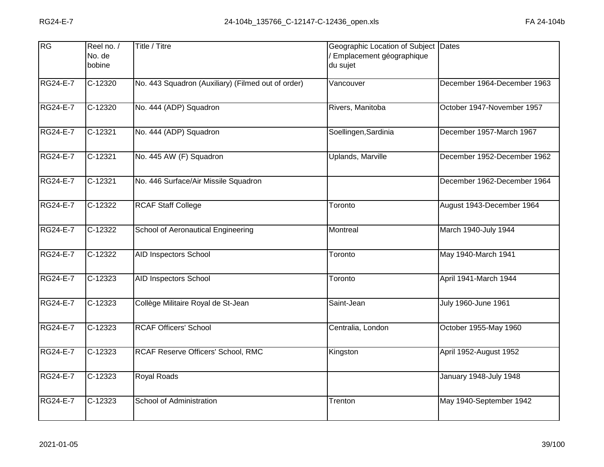| RG              | Reel no. /<br>No. de<br>bobine | Title / Titre                                      | Geographic Location of Subject Dates<br>Emplacement géographique<br>du sujet |                             |
|-----------------|--------------------------------|----------------------------------------------------|------------------------------------------------------------------------------|-----------------------------|
| <b>RG24-E-7</b> | C-12320                        | No. 443 Squadron (Auxiliary) (Filmed out of order) | Vancouver                                                                    | December 1964-December 1963 |
| <b>RG24-E-7</b> | C-12320                        | No. 444 (ADP) Squadron                             | Rivers, Manitoba                                                             | October 1947-November 1957  |
| <b>RG24-E-7</b> | $C-12321$                      | No. 444 (ADP) Squadron                             | Soellingen, Sardinia                                                         | December 1957-March 1967    |
| <b>RG24-E-7</b> | C-12321                        | No. 445 AW (F) Squadron                            | <b>Uplands, Marville</b>                                                     | December 1952-December 1962 |
| <b>RG24-E-7</b> | $C-12321$                      | No. 446 Surface/Air Missile Squadron               |                                                                              | December 1962-December 1964 |
| <b>RG24-E-7</b> | $C-12322$                      | <b>RCAF Staff College</b>                          | Toronto                                                                      | August 1943-December 1964   |
| <b>RG24-E-7</b> | $C-12322$                      | <b>School of Aeronautical Engineering</b>          | Montreal                                                                     | March 1940-July 1944        |
| <b>RG24-E-7</b> | $C-12322$                      | <b>AID Inspectors School</b>                       | Toronto                                                                      | May 1940-March 1941         |
| <b>RG24-E-7</b> | C-12323                        | AID Inspectors School                              | Toronto                                                                      | April 1941-March 1944       |
| <b>RG24-E-7</b> | $C-12323$                      | Collège Militaire Royal de St-Jean                 | Saint-Jean                                                                   | <b>July 1960-June 1961</b>  |
| <b>RG24-E-7</b> | $\overline{C}$ -12323          | <b>RCAF Officers' School</b>                       | Centralia, London                                                            | October 1955-May 1960       |
| <b>RG24-E-7</b> | C-12323                        | RCAF Reserve Officers' School, RMC                 | Kingston                                                                     | April 1952-August 1952      |
| <b>RG24-E-7</b> | $\overline{C}$ -12323          | <b>Royal Roads</b>                                 |                                                                              | January 1948-July 1948      |
| <b>RG24-E-7</b> | $C-12323$                      | School of Administration                           | Trenton                                                                      | May 1940-September 1942     |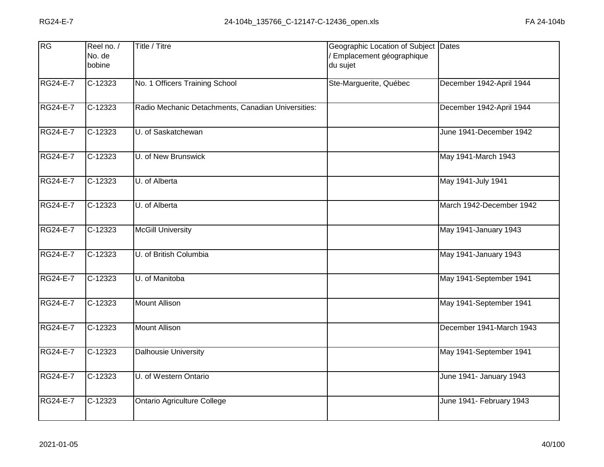| RG              | Reel no. /<br>No. de<br>bobine | Title / Titre                                      | Geographic Location of Subject Dates<br>/ Emplacement géographique<br>du sujet |                          |
|-----------------|--------------------------------|----------------------------------------------------|--------------------------------------------------------------------------------|--------------------------|
| <b>RG24-E-7</b> | $C-12323$                      | No. 1 Officers Training School                     | Ste-Marguerite, Québec                                                         | December 1942-April 1944 |
| RG24-E-7        | $C-12323$                      | Radio Mechanic Detachments, Canadian Universities: |                                                                                | December 1942-April 1944 |
| <b>RG24-E-7</b> | $C-12323$                      | U. of Saskatchewan                                 |                                                                                | June 1941-December 1942  |
| <b>RG24-E-7</b> | $C-12323$                      | U. of New Brunswick                                |                                                                                | May 1941-March 1943      |
| <b>RG24-E-7</b> | $C-12323$                      | U. of Alberta                                      |                                                                                | May 1941-July 1941       |
| <b>RG24-E-7</b> | $C-12323$                      | U. of Alberta                                      |                                                                                | March 1942-December 1942 |
| <b>RG24-E-7</b> | $C-12323$                      | <b>McGill University</b>                           |                                                                                | May 1941-January 1943    |
| <b>RG24-E-7</b> | $C-12323$                      | U. of British Columbia                             |                                                                                | May 1941-January 1943    |
| <b>RG24-E-7</b> | C-12323                        | U. of Manitoba                                     |                                                                                | May 1941-September 1941  |
| <b>RG24-E-7</b> | $C-12323$                      | <b>Mount Allison</b>                               |                                                                                | May 1941-September 1941  |
| <b>RG24-E-7</b> | C-12323                        | <b>Mount Allison</b>                               |                                                                                | December 1941-March 1943 |
| <b>RG24-E-7</b> | $C-12323$                      | <b>Dalhousie University</b>                        |                                                                                | May 1941-September 1941  |
| <b>RG24-E-7</b> | $C-12323$                      | U. of Western Ontario                              |                                                                                | June 1941- January 1943  |
| <b>RG24-E-7</b> | C-12323                        | Ontario Agriculture College                        |                                                                                | June 1941- February 1943 |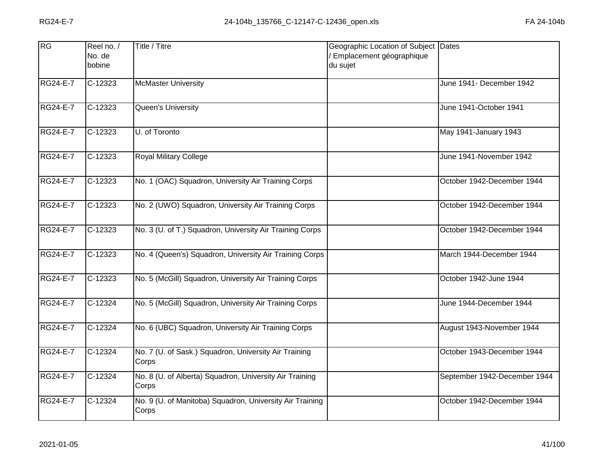| RG              | Reel no. /<br>No. de<br>bobine | Title / Titre                                                     | Geographic Location of Subject Dates<br>Emplacement géographique<br>du sujet |                              |
|-----------------|--------------------------------|-------------------------------------------------------------------|------------------------------------------------------------------------------|------------------------------|
| <b>RG24-E-7</b> | $C-12323$                      | <b>McMaster University</b>                                        |                                                                              | June 1941- December 1942     |
| <b>RG24-E-7</b> | C-12323                        | Queen's University                                                |                                                                              | June 1941-October 1941       |
| RG24-E-7        | $C-12323$                      | U. of Toronto                                                     |                                                                              | May 1941-January 1943        |
| <b>RG24-E-7</b> | $C-12323$                      | <b>Royal Military College</b>                                     |                                                                              | June 1941-November 1942      |
| <b>RG24-E-7</b> | $C-12323$                      | No. 1 (OAC) Squadron, University Air Training Corps               |                                                                              | October 1942-December 1944   |
| <b>RG24-E-7</b> | $C-12323$                      | No. 2 (UWO) Squadron, University Air Training Corps               |                                                                              | October 1942-December 1944   |
| <b>RG24-E-7</b> | $C-12323$                      | No. 3 (U. of T.) Squadron, University Air Training Corps          |                                                                              | October 1942-December 1944   |
| <b>RG24-E-7</b> | $C-12323$                      | No. 4 (Queen's) Squadron, University Air Training Corps           |                                                                              | March 1944-December 1944     |
| <b>RG24-E-7</b> | C-12323                        | No. 5 (McGill) Squadron, University Air Training Corps            |                                                                              | October 1942-June 1944       |
| <b>RG24-E-7</b> | $C-12324$                      | No. 5 (McGill) Squadron, University Air Training Corps            |                                                                              | June 1944-December 1944      |
| <b>RG24-E-7</b> | C-12324                        | No. 6 (UBC) Squadron, University Air Training Corps               |                                                                              | August 1943-November 1944    |
| <b>RG24-E-7</b> | $C-12324$                      | No. 7 (U. of Sask.) Squadron, University Air Training<br>Corps    |                                                                              | October 1943-December 1944   |
| RG24-E-7        | C-12324                        | No. 8 (U. of Alberta) Squadron, University Air Training<br>Corps  |                                                                              | September 1942-December 1944 |
| <b>RG24-E-7</b> | $C-12324$                      | No. 9 (U. of Manitoba) Squadron, University Air Training<br>Corps |                                                                              | October 1942-December 1944   |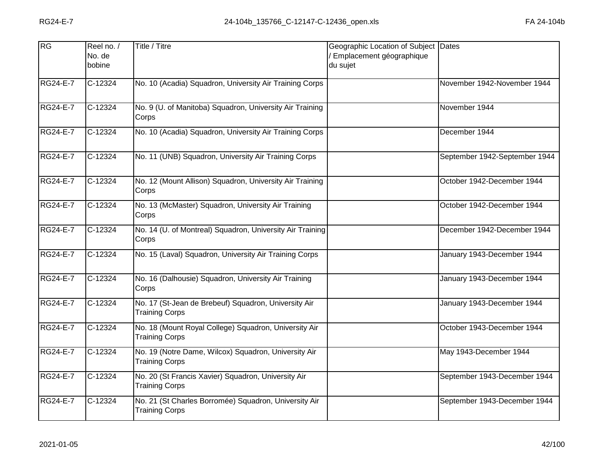| RG              | Reel no. /<br>No. de<br>bobine | Title / Titre                                                                  | Geographic Location of Subject Dates<br>Emplacement géographique<br>du sujet |                               |
|-----------------|--------------------------------|--------------------------------------------------------------------------------|------------------------------------------------------------------------------|-------------------------------|
| <b>RG24-E-7</b> | $C-12324$                      | No. 10 (Acadia) Squadron, University Air Training Corps                        |                                                                              | November 1942-November 1944   |
| <b>RG24-E-7</b> | C-12324                        | No. 9 (U. of Manitoba) Squadron, University Air Training<br>Corps              |                                                                              | November 1944                 |
| <b>RG24-E-7</b> | C-12324                        | No. 10 (Acadia) Squadron, University Air Training Corps                        |                                                                              | December 1944                 |
| <b>RG24-E-7</b> | $C-12324$                      | No. 11 (UNB) Squadron, University Air Training Corps                           |                                                                              | September 1942-September 1944 |
| <b>RG24-E-7</b> | $C-12324$                      | No. 12 (Mount Allison) Squadron, University Air Training<br>Corps              |                                                                              | October 1942-December 1944    |
| <b>RG24-E-7</b> | $C-12324$                      | No. 13 (McMaster) Squadron, University Air Training<br>Corps                   |                                                                              | October 1942-December 1944    |
| <b>RG24-E-7</b> | $C-12324$                      | No. 14 (U. of Montreal) Squadron, University Air Training<br>Corps             |                                                                              | December 1942-December 1944   |
| <b>RG24-E-7</b> | C-12324                        | No. 15 (Laval) Squadron, University Air Training Corps                         |                                                                              | January 1943-December 1944    |
| RG24-E-7        | C-12324                        | No. 16 (Dalhousie) Squadron, University Air Training<br>Corps                  |                                                                              | January 1943-December 1944    |
| <b>RG24-E-7</b> | $C-12324$                      | No. 17 (St-Jean de Brebeuf) Squadron, University Air<br><b>Training Corps</b>  |                                                                              | January 1943-December 1944    |
| <b>RG24-E-7</b> | C-12324                        | No. 18 (Mount Royal College) Squadron, University Air<br><b>Training Corps</b> |                                                                              | October 1943-December 1944    |
| <b>RG24-E-7</b> | $C-12324$                      | No. 19 (Notre Dame, Wilcox) Squadron, University Air<br><b>Training Corps</b>  |                                                                              | May 1943-December 1944        |
| RG24-E-7        | C-12324                        | No. 20 (St Francis Xavier) Squadron, University Air<br><b>Training Corps</b>   |                                                                              | September 1943-December 1944  |
| <b>RG24-E-7</b> | C-12324                        | No. 21 (St Charles Borromée) Squadron, University Air<br><b>Training Corps</b> |                                                                              | September 1943-December 1944  |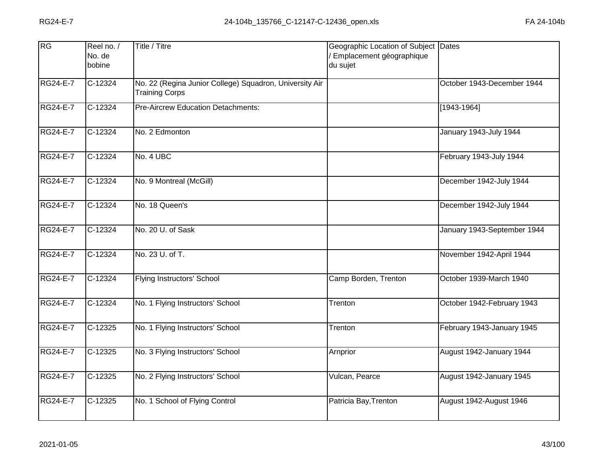| RG              | Reel no. /<br>No. de<br>bobine | Title / Titre                                                                    | Geographic Location of Subject Dates<br>/ Emplacement géographique<br>du sujet |                             |
|-----------------|--------------------------------|----------------------------------------------------------------------------------|--------------------------------------------------------------------------------|-----------------------------|
| <b>RG24-E-7</b> | $C-12324$                      | No. 22 (Regina Junior College) Squadron, University Air<br><b>Training Corps</b> |                                                                                | October 1943-December 1944  |
| RG24-E-7        | C-12324                        | <b>Pre-Aircrew Education Detachments:</b>                                        |                                                                                | $[1943 - 1964]$             |
| <b>RG24-E-7</b> | $C-12324$                      | No. 2 Edmonton                                                                   |                                                                                | January 1943-July 1944      |
| <b>RG24-E-7</b> | $C-12324$                      | No. 4 UBC                                                                        |                                                                                | February 1943-July 1944     |
| <b>RG24-E-7</b> | $C-12324$                      | No. 9 Montreal (McGill)                                                          |                                                                                | December 1942-July 1944     |
| <b>RG24-E-7</b> | $C-12324$                      | No. 18 Queen's                                                                   |                                                                                | December 1942-July 1944     |
| <b>RG24-E-7</b> | $C-12324$                      | No. 20 U. of Sask                                                                |                                                                                | January 1943-September 1944 |
| <b>RG24-E-7</b> | $C-12324$                      | No. 23 U. of T.                                                                  |                                                                                | November 1942-April 1944    |
| <b>RG24-E-7</b> | C-12324                        | Flying Instructors' School                                                       | Camp Borden, Trenton                                                           | October 1939-March 1940     |
| <b>RG24-E-7</b> | $C-12324$                      | No. 1 Flying Instructors' School                                                 | Trenton                                                                        | October 1942-February 1943  |
| <b>RG24-E-7</b> | C-12325                        | No. 1 Flying Instructors' School                                                 | Trenton                                                                        | February 1943-January 1945  |
| <b>RG24-E-7</b> | $C-12325$                      | No. 3 Flying Instructors' School                                                 | Arnprior                                                                       | August 1942-January 1944    |
| <b>RG24-E-7</b> | C-12325                        | No. 2 Flying Instructors' School                                                 | Vulcan, Pearce                                                                 | August 1942-January 1945    |
| <b>RG24-E-7</b> | C-12325                        | No. 1 School of Flying Control                                                   | Patricia Bay, Trenton                                                          | August 1942-August 1946     |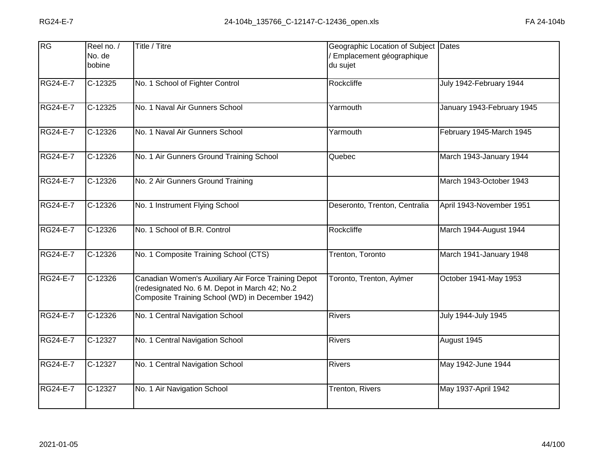| <b>RG</b>       | Reel no. /<br>No. de<br>bobine | Title / Titre                                                                                                                                             | Geographic Location of Subject Dates<br>Emplacement géographique<br>du sujet |                            |
|-----------------|--------------------------------|-----------------------------------------------------------------------------------------------------------------------------------------------------------|------------------------------------------------------------------------------|----------------------------|
| <b>RG24-E-7</b> | $C-12325$                      | No. 1 School of Fighter Control                                                                                                                           | Rockcliffe                                                                   | July 1942-February 1944    |
| <b>RG24-E-7</b> | C-12325                        | No. 1 Naval Air Gunners School                                                                                                                            | Yarmouth                                                                     | January 1943-February 1945 |
| <b>RG24-E-7</b> | $C-12326$                      | No. 1 Naval Air Gunners School                                                                                                                            | Yarmouth                                                                     | February 1945-March 1945   |
| <b>RG24-E-7</b> | C-12326                        | No. 1 Air Gunners Ground Training School                                                                                                                  | Quebec                                                                       | March 1943-January 1944    |
| <b>RG24-E-7</b> | $C-12326$                      | No. 2 Air Gunners Ground Training                                                                                                                         |                                                                              | March 1943-October 1943    |
| <b>RG24-E-7</b> | $C-12326$                      | No. 1 Instrument Flying School                                                                                                                            | Deseronto, Trenton, Centralia                                                | April 1943-November 1951   |
| <b>RG24-E-7</b> | $C-12326$                      | No. 1 School of B.R. Control                                                                                                                              | Rockcliffe                                                                   | March 1944-August 1944     |
| <b>RG24-E-7</b> | $C-12326$                      | No. 1 Composite Training School (CTS)                                                                                                                     | Trenton, Toronto                                                             | March 1941-January 1948    |
| <b>RG24-E-7</b> | C-12326                        | Canadian Women's Auxiliary Air Force Training Depot<br>(redesignated No. 6 M. Depot in March 42; No.2<br>Composite Training School (WD) in December 1942) | Toronto, Trenton, Aylmer                                                     | October 1941-May 1953      |
| <b>RG24-E-7</b> | $C-12326$                      | No. 1 Central Navigation School                                                                                                                           | <b>Rivers</b>                                                                | <b>July 1944-July 1945</b> |
| <b>RG24-E-7</b> | C-12327                        | No. 1 Central Navigation School                                                                                                                           | <b>Rivers</b>                                                                | August 1945                |
| <b>RG24-E-7</b> | C-12327                        | No. 1 Central Navigation School                                                                                                                           | <b>Rivers</b>                                                                | May 1942-June 1944         |
| <b>RG24-E-7</b> | C-12327                        | No. 1 Air Navigation School                                                                                                                               | Trenton, Rivers                                                              | May 1937-April 1942        |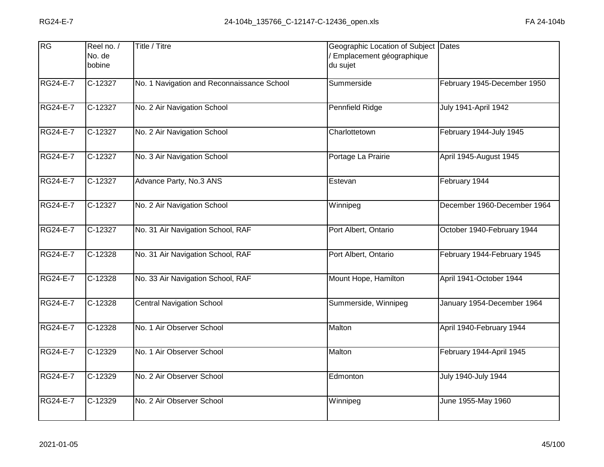| RG              | Reel no. /<br>No. de<br>bobine | Title / Titre                              | Geographic Location of Subject Dates<br>Emplacement géographique<br>du sujet |                             |
|-----------------|--------------------------------|--------------------------------------------|------------------------------------------------------------------------------|-----------------------------|
| <b>RG24-E-7</b> | $C-12327$                      | No. 1 Navigation and Reconnaissance School | Summerside                                                                   | February 1945-December 1950 |
| <b>RG24-E-7</b> | C-12327                        | No. 2 Air Navigation School                | Pennfield Ridge                                                              | <b>July 1941-April 1942</b> |
| <b>RG24-E-7</b> | $C-12327$                      | No. 2 Air Navigation School                | Charlottetown                                                                | February 1944-July 1945     |
| <b>RG24-E-7</b> | C-12327                        | No. 3 Air Navigation School                | Portage La Prairie                                                           | April 1945-August 1945      |
| <b>RG24-E-7</b> | $C-12327$                      | Advance Party, No.3 ANS                    | Estevan                                                                      | February 1944               |
| <b>RG24-E-7</b> | $C-12327$                      | No. 2 Air Navigation School                | Winnipeg                                                                     | December 1960-December 1964 |
| <b>RG24-E-7</b> | $C-12327$                      | No. 31 Air Navigation School, RAF          | Port Albert, Ontario                                                         | October 1940-February 1944  |
| <b>RG24-E-7</b> | $C-12328$                      | No. 31 Air Navigation School, RAF          | Port Albert, Ontario                                                         | February 1944-February 1945 |
| <b>RG24-E-7</b> | C-12328                        | No. 33 Air Navigation School, RAF          | Mount Hope, Hamilton                                                         | April 1941-October 1944     |
| <b>RG24-E-7</b> | $C-12328$                      | <b>Central Navigation School</b>           | Summerside, Winnipeg                                                         | January 1954-December 1964  |
| <b>RG24-E-7</b> | C-12328                        | No. 1 Air Observer School                  | Malton                                                                       | April 1940-February 1944    |
| <b>RG24-E-7</b> | C-12329                        | No. 1 Air Observer School                  | Malton                                                                       | February 1944-April 1945    |
| <b>RG24-E-7</b> | $\overline{C}$ -12329          | No. 2 Air Observer School                  | Edmonton                                                                     | July 1940-July 1944         |
| <b>RG24-E-7</b> | $C-12329$                      | No. 2 Air Observer School                  | Winnipeg                                                                     | June 1955-May 1960          |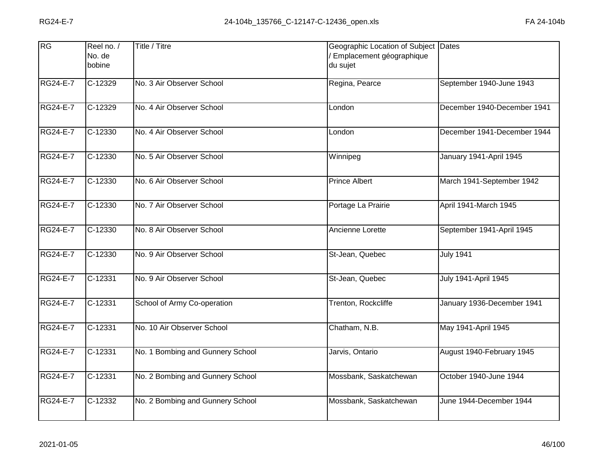| RG              | Reel no. /<br>No. de<br>bobine | Title / Titre                    | Geographic Location of Subject Dates<br>Emplacement géographique<br>du sujet |                             |
|-----------------|--------------------------------|----------------------------------|------------------------------------------------------------------------------|-----------------------------|
| <b>RG24-E-7</b> | $C-12329$                      | No. 3 Air Observer School        | Regina, Pearce                                                               | September 1940-June 1943    |
| RG24-E-7        | C-12329                        | No. 4 Air Observer School        | London                                                                       | December 1940-December 1941 |
| <b>RG24-E-7</b> | C-12330                        | No. 4 Air Observer School        | London                                                                       | December 1941-December 1944 |
| <b>RG24-E-7</b> | $C-12330$                      | No. 5 Air Observer School        | Winnipeg                                                                     | January 1941-April 1945     |
| <b>RG24-E-7</b> | $C-12330$                      | No. 6 Air Observer School        | <b>Prince Albert</b>                                                         | March 1941-September 1942   |
| <b>RG24-E-7</b> | C-12330                        | No. 7 Air Observer School        | Portage La Prairie                                                           | April 1941-March 1945       |
| <b>RG24-E-7</b> | $C-12330$                      | No. 8 Air Observer School        | Ancienne Lorette                                                             | September 1941-April 1945   |
| <b>RG24-E-7</b> | C-12330                        | No. 9 Air Observer School        | St-Jean, Quebec                                                              | <b>July 1941</b>            |
| RG24-E-7        | C-12331                        | No. 9 Air Observer School        | St-Jean, Quebec                                                              | <b>July 1941-April 1945</b> |
| <b>RG24-E-7</b> | $C-12331$                      | School of Army Co-operation      | Trenton, Rockcliffe                                                          | January 1936-December 1941  |
| <b>RG24-E-7</b> | C-12331                        | No. 10 Air Observer School       | Chatham, N.B.                                                                | May 1941-April 1945         |
| <b>RG24-E-7</b> | $C-12331$                      | No. 1 Bombing and Gunnery School | Jarvis, Ontario                                                              | August 1940-February 1945   |
| RG24-E-7        | C-12331                        | No. 2 Bombing and Gunnery School | Mossbank, Saskatchewan                                                       | October 1940-June 1944      |
| <b>RG24-E-7</b> | C-12332                        | No. 2 Bombing and Gunnery School | Mossbank, Saskatchewan                                                       | June 1944-December 1944     |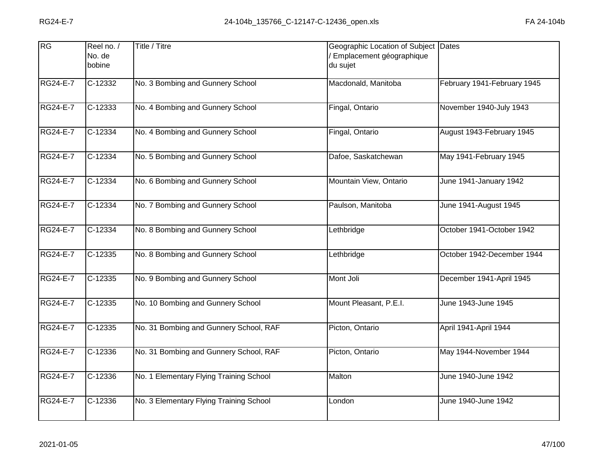| RG              | Reel no. /<br>No. de<br>bobine | Title / Titre                           | Geographic Location of Subject Dates<br>Emplacement géographique<br>du sujet |                             |
|-----------------|--------------------------------|-----------------------------------------|------------------------------------------------------------------------------|-----------------------------|
| <b>RG24-E-7</b> | C-12332                        | No. 3 Bombing and Gunnery School        | Macdonald, Manitoba                                                          | February 1941-February 1945 |
| RG24-E-7        | C-12333                        | No. 4 Bombing and Gunnery School        | Fingal, Ontario                                                              | November 1940-July 1943     |
| <b>RG24-E-7</b> | $C-12334$                      | No. 4 Bombing and Gunnery School        | Fingal, Ontario                                                              | August 1943-February 1945   |
| RG24-E-7        | C-12334                        | No. 5 Bombing and Gunnery School        | Dafoe, Saskatchewan                                                          | May 1941-February 1945      |
| <b>RG24-E-7</b> | $C-12334$                      | No. 6 Bombing and Gunnery School        | Mountain View, Ontario                                                       | June 1941-January 1942      |
| <b>RG24-E-7</b> | $C-12334$                      | No. 7 Bombing and Gunnery School        | Paulson, Manitoba                                                            | June 1941-August 1945       |
| <b>RG24-E-7</b> | $C-12334$                      | No. 8 Bombing and Gunnery School        | Lethbridge                                                                   | October 1941-October 1942   |
| <b>RG24-E-7</b> | $C-12335$                      | No. 8 Bombing and Gunnery School        | Lethbridge                                                                   | October 1942-December 1944  |
| RG24-E-7        | C-12335                        | No. 9 Bombing and Gunnery School        | Mont Joli                                                                    | December 1941-April 1945    |
| <b>RG24-E-7</b> | $C-12335$                      | No. 10 Bombing and Gunnery School       | Mount Pleasant, P.E.I.                                                       | June 1943-June 1945         |
| <b>RG24-E-7</b> | C-12335                        | No. 31 Bombing and Gunnery School, RAF  | Picton, Ontario                                                              | April 1941-April 1944       |
| <b>RG24-E-7</b> | $C-12336$                      | No. 31 Bombing and Gunnery School, RAF  | Picton, Ontario                                                              | May 1944-November 1944      |
| RG24-E-7        | $\overline{C}$ -12336          | No. 1 Elementary Flying Training School | Malton                                                                       | June 1940-June 1942         |
| <b>RG24-E-7</b> | C-12336                        | No. 3 Elementary Flying Training School | London                                                                       | June 1940-June 1942         |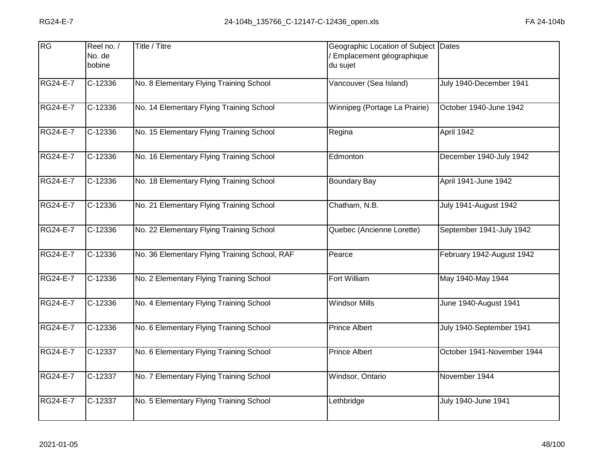| RG              | Reel no. /<br>No. de<br>bobine | Title / Titre                                 | Geographic Location of Subject Dates<br>Emplacement géographique<br>du sujet |                              |
|-----------------|--------------------------------|-----------------------------------------------|------------------------------------------------------------------------------|------------------------------|
| <b>RG24-E-7</b> | $C-12336$                      | No. 8 Elementary Flying Training School       | Vancouver (Sea Island)                                                       | July 1940-December 1941      |
| <b>RG24-E-7</b> | C-12336                        | No. 14 Elementary Flying Training School      | Winnipeg (Portage La Prairie)                                                | October 1940-June 1942       |
| <b>RG24-E-7</b> | $C-12336$                      | No. 15 Elementary Flying Training School      | Regina                                                                       | April 1942                   |
| <b>RG24-E-7</b> | C-12336                        | No. 16 Elementary Flying Training School      | Edmonton                                                                     | December 1940-July 1942      |
| <b>RG24-E-7</b> | $C-12336$                      | No. 18 Elementary Flying Training School      | <b>Boundary Bay</b>                                                          | April 1941-June 1942         |
| <b>RG24-E-7</b> | C-12336                        | No. 21 Elementary Flying Training School      | Chatham, N.B.                                                                | <b>July 1941-August 1942</b> |
| <b>RG24-E-7</b> | $C-12336$                      | No. 22 Elementary Flying Training School      | Quebec (Ancienne Lorette)                                                    | September 1941-July 1942     |
| <b>RG24-E-7</b> | $C-12336$                      | No. 36 Elementary Flying Training School, RAF | Pearce                                                                       | February 1942-August 1942    |
| <b>RG24-E-7</b> | $C-12336$                      | No. 2 Elementary Flying Training School       | Fort William                                                                 | May 1940-May 1944            |
| <b>RG24-E-7</b> | $C-12336$                      | No. 4 Elementary Flying Training School       | <b>Windsor Mills</b>                                                         | June 1940-August 1941        |
| <b>RG24-E-7</b> | C-12336                        | No. 6 Elementary Flying Training School       | <b>Prince Albert</b>                                                         | July 1940-September 1941     |
| <b>RG24-E-7</b> | $C-12337$                      | No. 6 Elementary Flying Training School       | <b>Prince Albert</b>                                                         | October 1941-November 1944   |
| RG24-E-7        | C-12337                        | No. 7 Elementary Flying Training School       | Windsor, Ontario                                                             | November 1944                |
| <b>RG24-E-7</b> | C-12337                        | No. 5 Elementary Flying Training School       | Lethbridge                                                                   | July 1940-June 1941          |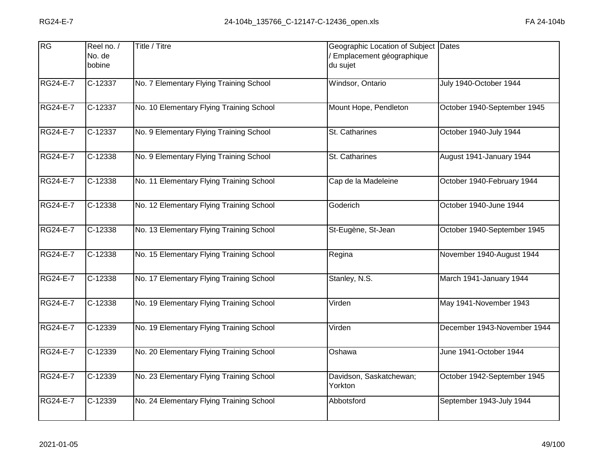| RG              | Reel no. /<br>No. de<br>bobine | Title / Titre                            | Geographic Location of Subject Dates<br>Emplacement géographique<br>du sujet |                             |
|-----------------|--------------------------------|------------------------------------------|------------------------------------------------------------------------------|-----------------------------|
| <b>RG24-E-7</b> | $C-12337$                      | No. 7 Elementary Flying Training School  | Windsor, Ontario                                                             | July 1940-October 1944      |
| <b>RG24-E-7</b> | C-12337                        | No. 10 Elementary Flying Training School | Mount Hope, Pendleton                                                        | October 1940-September 1945 |
| <b>RG24-E-7</b> | $C-12337$                      | No. 9 Elementary Flying Training School  | St. Catharines                                                               | October 1940-July 1944      |
| <b>RG24-E-7</b> | C-12338                        | No. 9 Elementary Flying Training School  | St. Catharines                                                               | August 1941-January 1944    |
| <b>RG24-E-7</b> | $C-12338$                      | No. 11 Elementary Flying Training School | Cap de la Madeleine                                                          | October 1940-February 1944  |
| <b>RG24-E-7</b> | $C-12338$                      | No. 12 Elementary Flying Training School | Goderich                                                                     | October 1940-June 1944      |
| <b>RG24-E-7</b> | $C-12338$                      | No. 13 Elementary Flying Training School | St-Eugène, St-Jean                                                           | October 1940-September 1945 |
| <b>RG24-E-7</b> | $C-12338$                      | No. 15 Elementary Flying Training School | Regina                                                                       | November 1940-August 1944   |
| <b>RG24-E-7</b> | C-12338                        | No. 17 Elementary Flying Training School | Stanley, N.S.                                                                | March 1941-January 1944     |
| <b>RG24-E-7</b> | $C-12338$                      | No. 19 Elementary Flying Training School | Virden                                                                       | May 1941-November 1943      |
| <b>RG24-E-7</b> | C-12339                        | No. 19 Elementary Flying Training School | Virden                                                                       | December 1943-November 1944 |
| <b>RG24-E-7</b> | C-12339                        | No. 20 Elementary Flying Training School | Oshawa                                                                       | June 1941-October 1944      |
| <b>RG24-E-7</b> | $\overline{C}$ -12339          | No. 23 Elementary Flying Training School | Davidson, Saskatchewan;<br>Yorkton                                           | October 1942-September 1945 |
| <b>RG24-E-7</b> | $C-12339$                      | No. 24 Elementary Flying Training School | Abbotsford                                                                   | September 1943-July 1944    |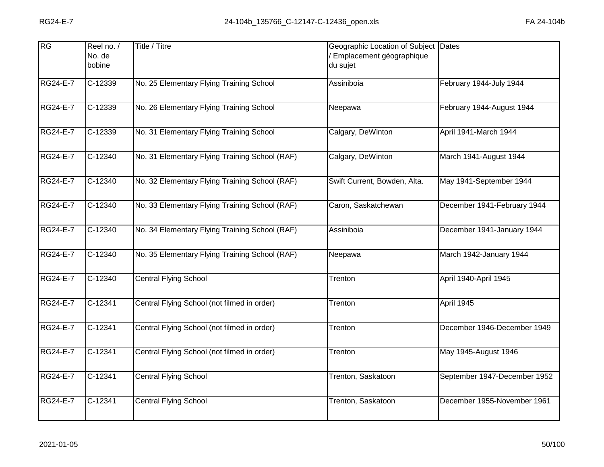| RG              | Reel no. /<br>No. de<br>bobine | Title / Titre                                  | Geographic Location of Subject Dates<br>Emplacement géographique<br>du sujet |                              |
|-----------------|--------------------------------|------------------------------------------------|------------------------------------------------------------------------------|------------------------------|
| <b>RG24-E-7</b> | C-12339                        | No. 25 Elementary Flying Training School       | Assiniboia                                                                   | February 1944-July 1944      |
| <b>RG24-E-7</b> | C-12339                        | No. 26 Elementary Flying Training School       | Neepawa                                                                      | February 1944-August 1944    |
| <b>RG24-E-7</b> | $C-12339$                      | No. 31 Elementary Flying Training School       | Calgary, DeWinton                                                            | April 1941-March 1944        |
| <b>RG24-E-7</b> | C-12340                        | No. 31 Elementary Flying Training School (RAF) | Calgary, DeWinton                                                            | March 1941-August 1944       |
| <b>RG24-E-7</b> | $C-12340$                      | No. 32 Elementary Flying Training School (RAF) | Swift Current, Bowden, Alta.                                                 | May 1941-September 1944      |
| <b>RG24-E-7</b> | $C-12340$                      | No. 33 Elementary Flying Training School (RAF) | Caron, Saskatchewan                                                          | December 1941-February 1944  |
| <b>RG24-E-7</b> | $C-12340$                      | No. 34 Elementary Flying Training School (RAF) | Assiniboia                                                                   | December 1941-January 1944   |
| <b>RG24-E-7</b> | $C-12340$                      | No. 35 Elementary Flying Training School (RAF) | Neepawa                                                                      | March 1942-January 1944      |
| <b>RG24-E-7</b> | C-12340                        | <b>Central Flying School</b>                   | Trenton                                                                      | April 1940-April 1945        |
| <b>RG24-E-7</b> | $C-12341$                      | Central Flying School (not filmed in order)    | Trenton                                                                      | April 1945                   |
| <b>RG24-E-7</b> | C-12341                        | Central Flying School (not filmed in order)    | Trenton                                                                      | December 1946-December 1949  |
| <b>RG24-E-7</b> | C-12341                        | Central Flying School (not filmed in order)    | Trenton                                                                      | May 1945-August 1946         |
| <b>RG24-E-7</b> | $C-12341$                      | <b>Central Flying School</b>                   | Trenton, Saskatoon                                                           | September 1947-December 1952 |
| <b>RG24-E-7</b> | C-12341                        | <b>Central Flying School</b>                   | Trenton, Saskatoon                                                           | December 1955-November 1961  |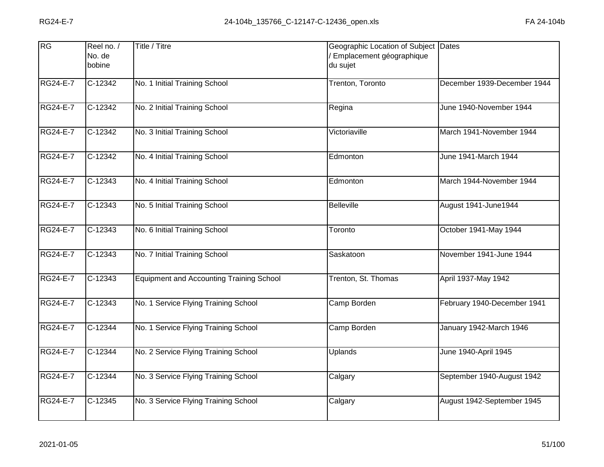| RG              | Reel no. /<br>No. de<br>bobine | Title / Titre                                   | Geographic Location of Subject Dates<br>Emplacement géographique<br>du sujet |                             |
|-----------------|--------------------------------|-------------------------------------------------|------------------------------------------------------------------------------|-----------------------------|
| <b>RG24-E-7</b> | $C-12342$                      | No. 1 Initial Training School                   | Trenton, Toronto                                                             | December 1939-December 1944 |
| RG24-E-7        | $C-12342$                      | No. 2 Initial Training School                   | Regina                                                                       | June 1940-November 1944     |
| <b>RG24-E-7</b> | $C-12342$                      | No. 3 Initial Training School                   | Victoriaville                                                                | March 1941-November 1944    |
| RG24-E-7        | C-12342                        | No. 4 Initial Training School                   | Edmonton                                                                     | June 1941-March 1944        |
| <b>RG24-E-7</b> | $C-12343$                      | No. 4 Initial Training School                   | Edmonton                                                                     | March 1944-November 1944    |
| RG24-E-7        | C-12343                        | No. 5 Initial Training School                   | <b>Belleville</b>                                                            | August 1941-June1944        |
| <b>RG24-E-7</b> | $C-12343$                      | No. 6 Initial Training School                   | Toronto                                                                      | October 1941-May 1944       |
| RG24-E-7        | $C-12343$                      | No. 7 Initial Training School                   | Saskatoon                                                                    | November 1941-June 1944     |
| RG24-E-7        | C-12343                        | <b>Equipment and Accounting Training School</b> | Trenton, St. Thomas                                                          | April 1937-May 1942         |
| <b>RG24-E-7</b> | $C-12343$                      | No. 1 Service Flying Training School            | Camp Borden                                                                  | February 1940-December 1941 |
| RG24-E-7        | C-12344                        | No. 1 Service Flying Training School            | Camp Borden                                                                  | January 1942-March 1946     |
| <b>RG24-E-7</b> | $C-12344$                      | No. 2 Service Flying Training School            | <b>Uplands</b>                                                               | June 1940-April 1945        |
| <b>RG24-E-7</b> | $\overline{C}$ -12344          | No. 3 Service Flying Training School            | Calgary                                                                      | September 1940-August 1942  |
| <b>RG24-E-7</b> | C-12345                        | No. 3 Service Flying Training School            | Calgary                                                                      | August 1942-September 1945  |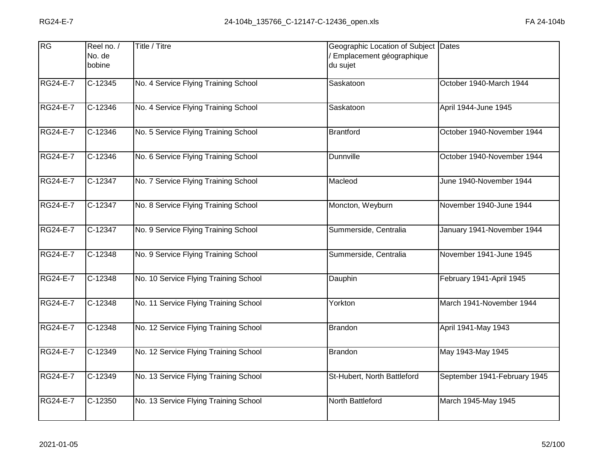| <b>RG</b>       | Reel no. /<br>No. de<br>bobine | Title / Titre                         | Geographic Location of Subject Dates<br>Emplacement géographique<br>du sujet |                              |
|-----------------|--------------------------------|---------------------------------------|------------------------------------------------------------------------------|------------------------------|
| <b>RG24-E-7</b> | $C-12345$                      | No. 4 Service Flying Training School  | Saskatoon                                                                    | October 1940-March 1944      |
| RG24-E-7        | C-12346                        | No. 4 Service Flying Training School  | Saskatoon                                                                    | April 1944-June 1945         |
| <b>RG24-E-7</b> | $C-12346$                      | No. 5 Service Flying Training School  | <b>Brantford</b>                                                             | October 1940-November 1944   |
| RG24-E-7        | C-12346                        | No. 6 Service Flying Training School  | Dunnville                                                                    | October 1940-November 1944   |
| <b>RG24-E-7</b> | $C-12347$                      | No. 7 Service Flying Training School  | Macleod                                                                      | June 1940-November 1944      |
| <b>RG24-E-7</b> | $C-12347$                      | No. 8 Service Flying Training School  | Moncton, Weyburn                                                             | November 1940-June 1944      |
| <b>RG24-E-7</b> | C-12347                        | No. 9 Service Flying Training School  | Summerside, Centralia                                                        | January 1941-November 1944   |
| <b>RG24-E-7</b> | C-12348                        | No. 9 Service Flying Training School  | Summerside, Centralia                                                        | November 1941-June 1945      |
| RG24-E-7        | $C-12348$                      | No. 10 Service Flying Training School | Dauphin                                                                      | February 1941-April 1945     |
| <b>RG24-E-7</b> | $C-12348$                      | No. 11 Service Flying Training School | Yorkton                                                                      | March 1941-November 1944     |
| <b>RG24-E-7</b> | C-12348                        | No. 12 Service Flying Training School | <b>Brandon</b>                                                               | April 1941-May 1943          |
| <b>RG24-E-7</b> | $C-12349$                      | No. 12 Service Flying Training School | <b>Brandon</b>                                                               | May 1943-May 1945            |
| RG24-E-7        | C-12349                        | No. 13 Service Flying Training School | St-Hubert, North Battleford                                                  | September 1941-February 1945 |
| RG24-E-7        | C-12350                        | No. 13 Service Flying Training School | North Battleford                                                             | March 1945-May 1945          |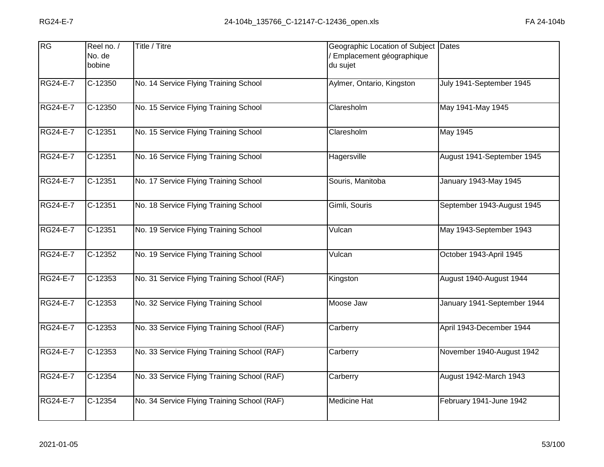| RG              | Reel no. /<br>No. de<br>bobine | Title / Titre                               | Geographic Location of Subject<br>Emplacement géographique<br>du sujet | <b>Dates</b>                |
|-----------------|--------------------------------|---------------------------------------------|------------------------------------------------------------------------|-----------------------------|
| <b>RG24-E-7</b> | $C-12350$                      | No. 14 Service Flying Training School       | Aylmer, Ontario, Kingston                                              | July 1941-September 1945    |
| <b>RG24-E-7</b> | C-12350                        | No. 15 Service Flying Training School       | Claresholm                                                             | May 1941-May 1945           |
| <b>RG24-E-7</b> | $C-12351$                      | No. 15 Service Flying Training School       | Claresholm                                                             | <b>May 1945</b>             |
| <b>RG24-E-7</b> | C-12351                        | No. 16 Service Flying Training School       | Hagersville                                                            | August 1941-September 1945  |
| <b>RG24-E-7</b> | $C-12351$                      | No. 17 Service Flying Training School       | Souris, Manitoba                                                       | January 1943-May 1945       |
| <b>RG24-E-7</b> | C-12351                        | No. 18 Service Flying Training School       | Gimli, Souris                                                          | September 1943-August 1945  |
| <b>RG24-E-7</b> | $C-12351$                      | No. 19 Service Flying Training School       | Vulcan                                                                 | May 1943-September 1943     |
| <b>RG24-E-7</b> | $C-12352$                      | No. 19 Service Flying Training School       | Vulcan                                                                 | October 1943-April 1945     |
| <b>RG24-E-7</b> | C-12353                        | No. 31 Service Flying Training School (RAF) | Kingston                                                               | August 1940-August 1944     |
| <b>RG24-E-7</b> | $C-12353$                      | No. 32 Service Flying Training School       | Moose Jaw                                                              | January 1941-September 1944 |
| <b>RG24-E-7</b> | $C-12353$                      | No. 33 Service Flying Training School (RAF) | Carberry                                                               | April 1943-December 1944    |
| <b>RG24-E-7</b> | $C-12353$                      | No. 33 Service Flying Training School (RAF) | Carberry                                                               | November 1940-August 1942   |
| <b>RG24-E-7</b> | C-12354                        | No. 33 Service Flying Training School (RAF) | Carberry                                                               | August 1942-March 1943      |
| <b>RG24-E-7</b> | C-12354                        | No. 34 Service Flying Training School (RAF) | <b>Medicine Hat</b>                                                    | February 1941-June 1942     |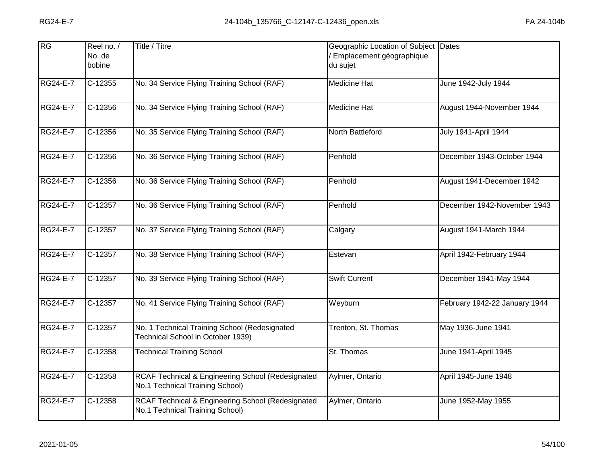| RG              | Reel no. /<br>No. de<br>bobine | Title / Titre                                                                        | Geographic Location of Subject Dates<br>Emplacement géographique<br>du sujet |                               |
|-----------------|--------------------------------|--------------------------------------------------------------------------------------|------------------------------------------------------------------------------|-------------------------------|
| RG24-E-7        | $C-12355$                      | No. 34 Service Flying Training School (RAF)                                          | <b>Medicine Hat</b>                                                          | June 1942-July 1944           |
| <b>RG24-E-7</b> | C-12356                        | No. 34 Service Flying Training School (RAF)                                          | Medicine Hat                                                                 | August 1944-November 1944     |
| RG24-E-7        | $C-12356$                      | No. 35 Service Flying Training School (RAF)                                          | North Battleford                                                             | <b>July 1941-April 1944</b>   |
| <b>RG24-E-7</b> | C-12356                        | No. 36 Service Flying Training School (RAF)                                          | Penhold                                                                      | December 1943-October 1944    |
| <b>RG24-E-7</b> | $C-12356$                      | No. 36 Service Flying Training School (RAF)                                          | Penhold                                                                      | August 1941-December 1942     |
| <b>RG24-E-7</b> | $C-12357$                      | No. 36 Service Flying Training School (RAF)                                          | Penhold                                                                      | December 1942-November 1943   |
| RG24-E-7        | C-12357                        | No. 37 Service Flying Training School (RAF)                                          | Calgary                                                                      | August 1941-March 1944        |
| RG24-E-7        | C-12357                        | No. 38 Service Flying Training School (RAF)                                          | Estevan                                                                      | April 1942-February 1944      |
| RG24-E-7        | C-12357                        | No. 39 Service Flying Training School (RAF)                                          | <b>Swift Current</b>                                                         | December 1941-May 1944        |
| <b>RG24-E-7</b> | $C-12357$                      | No. 41 Service Flying Training School (RAF)                                          | Weyburn                                                                      | February 1942-22 January 1944 |
| <b>RG24-E-7</b> | C-12357                        | No. 1 Technical Training School (Redesignated<br>Technical School in October 1939)   | Trenton, St. Thomas                                                          | May 1936-June 1941            |
| <b>RG24-E-7</b> | $C-12358$                      | <b>Technical Training School</b>                                                     | St. Thomas                                                                   | June 1941-April 1945          |
| RG24-E-7        | C-12358                        | RCAF Technical & Engineering School (Redesignated<br>No.1 Technical Training School) | Aylmer, Ontario                                                              | April 1945-June 1948          |
| <b>RG24-E-7</b> | $C-12358$                      | RCAF Technical & Engineering School (Redesignated<br>No.1 Technical Training School) | Aylmer, Ontario                                                              | June 1952-May 1955            |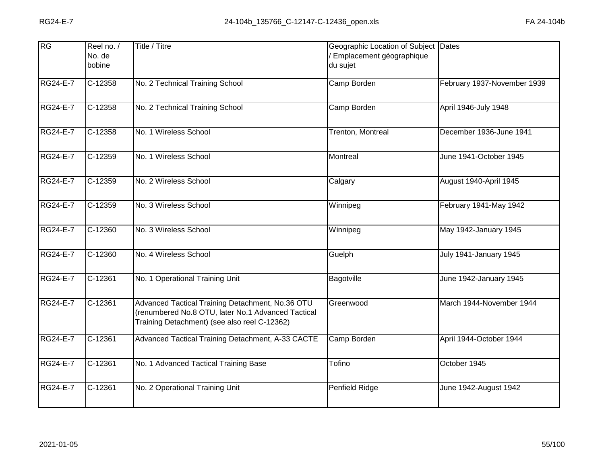| <b>RG</b>       | Reel no. /<br>No. de<br>bobine | Title / Titre                                                                                                                                          | Geographic Location of Subject Dates<br>/ Emplacement géographique<br>du sujet |                             |
|-----------------|--------------------------------|--------------------------------------------------------------------------------------------------------------------------------------------------------|--------------------------------------------------------------------------------|-----------------------------|
| <b>RG24-E-7</b> | $C-12358$                      | No. 2 Technical Training School                                                                                                                        | Camp Borden                                                                    | February 1937-November 1939 |
| <b>RG24-E-7</b> | C-12358                        | No. 2 Technical Training School                                                                                                                        | Camp Borden                                                                    | April 1946-July 1948        |
| <b>RG24-E-7</b> | C-12358                        | No. 1 Wireless School                                                                                                                                  | Trenton, Montreal                                                              | December 1936-June 1941     |
| <b>RG24-E-7</b> | $C-12359$                      | No. 1 Wireless School                                                                                                                                  | Montreal                                                                       | June 1941-October 1945      |
| <b>RG24-E-7</b> | $C-12359$                      | No. 2 Wireless School                                                                                                                                  | Calgary                                                                        | August 1940-April 1945      |
| <b>RG24-E-7</b> | $C-12359$                      | No. 3 Wireless School                                                                                                                                  | Winnipeg                                                                       | February 1941-May 1942      |
| <b>RG24-E-7</b> | $C-12360$                      | No. 3 Wireless School                                                                                                                                  | Winnipeg                                                                       | May 1942-January 1945       |
| <b>RG24-E-7</b> | $C-12360$                      | No. 4 Wireless School                                                                                                                                  | Guelph                                                                         | July 1941-January 1945      |
| <b>RG24-E-7</b> | C-12361                        | No. 1 Operational Training Unit                                                                                                                        | Bagotville                                                                     | June 1942-January 1945      |
| <b>RG24-E-7</b> | $C-12361$                      | Advanced Tactical Training Detachment, No.36 OTU<br>(renumbered No.8 OTU, later No.1 Advanced Tactical<br>Training Detachment) (see also reel C-12362) | Greenwood                                                                      | March 1944-November 1944    |
| <b>RG24-E-7</b> | C-12361                        | Advanced Tactical Training Detachment, A-33 CACTE                                                                                                      | Camp Borden                                                                    | April 1944-October 1944     |
| <b>RG24-E-7</b> | $C-12361$                      | No. 1 Advanced Tactical Training Base                                                                                                                  | <b>Tofino</b>                                                                  | October 1945                |
| <b>RG24-E-7</b> | $C-12361$                      | No. 2 Operational Training Unit                                                                                                                        | Penfield Ridge                                                                 | June 1942-August 1942       |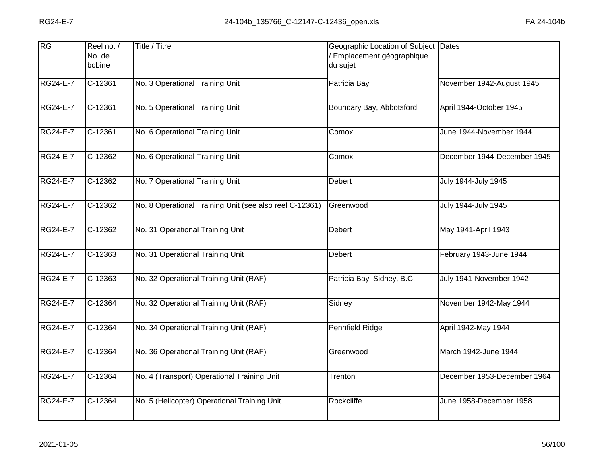| RG              | Reel no. /<br>No. de<br>bobine | Title / Titre                                           | Geographic Location of Subject Dates<br>Emplacement géographique<br>du sujet |                             |
|-----------------|--------------------------------|---------------------------------------------------------|------------------------------------------------------------------------------|-----------------------------|
| <b>RG24-E-7</b> | $C-12361$                      | No. 3 Operational Training Unit                         | Patricia Bay                                                                 | November 1942-August 1945   |
| <b>RG24-E-7</b> | $C-12361$                      | No. 5 Operational Training Unit                         | Boundary Bay, Abbotsford                                                     | April 1944-October 1945     |
| <b>RG24-E-7</b> | $C-12361$                      | No. 6 Operational Training Unit                         | Comox                                                                        | June 1944-November 1944     |
| <b>RG24-E-7</b> | C-12362                        | No. 6 Operational Training Unit                         | Comox                                                                        | December 1944-December 1945 |
| <b>RG24-E-7</b> | $C-12362$                      | No. 7 Operational Training Unit                         | <b>Debert</b>                                                                | <b>July 1944-July 1945</b>  |
| <b>RG24-E-7</b> | C-12362                        | No. 8 Operational Training Unit (see also reel C-12361) | Greenwood                                                                    | July 1944-July 1945         |
| <b>RG24-E-7</b> | $C-12362$                      | No. 31 Operational Training Unit                        | <b>Debert</b>                                                                | May 1941-April 1943         |
| <b>RG24-E-7</b> | $C-12363$                      | No. 31 Operational Training Unit                        | <b>Debert</b>                                                                | February 1943-June 1944     |
| <b>RG24-E-7</b> | C-12363                        | No. 32 Operational Training Unit (RAF)                  | Patricia Bay, Sidney, B.C.                                                   | July 1941-November 1942     |
| <b>RG24-E-7</b> | $C-12364$                      | No. 32 Operational Training Unit (RAF)                  | Sidney                                                                       | November 1942-May 1944      |
| <b>RG24-E-7</b> | C-12364                        | No. 34 Operational Training Unit (RAF)                  | Pennfield Ridge                                                              | April 1942-May 1944         |
| <b>RG24-E-7</b> | $C-12364$                      | No. 36 Operational Training Unit (RAF)                  | Greenwood                                                                    | March 1942-June 1944        |
| RG24-E-7        | $\overline{C}$ -12364          | No. 4 (Transport) Operational Training Unit             | Trenton                                                                      | December 1953-December 1964 |
| <b>RG24-E-7</b> | C-12364                        | No. 5 (Helicopter) Operational Training Unit            | Rockcliffe                                                                   | June 1958-December 1958     |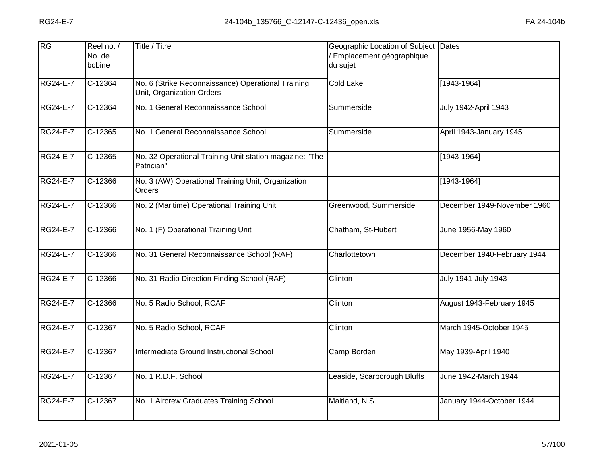| RG              | Reel no. /<br>No. de<br>bobine | Title / Titre                                                                   | Geographic Location of Subject Dates<br>Emplacement géographique<br>du sujet |                             |
|-----------------|--------------------------------|---------------------------------------------------------------------------------|------------------------------------------------------------------------------|-----------------------------|
| <b>RG24-E-7</b> | C-12364                        | No. 6 (Strike Reconnaissance) Operational Training<br>Unit, Organization Orders | <b>Cold Lake</b>                                                             | [1943-1964]                 |
| RG24-E-7        | C-12364                        | No. 1 General Reconnaissance School                                             | Summerside                                                                   | July 1942-April 1943        |
| <b>RG24-E-7</b> | $C-12365$                      | No. 1 General Reconnaissance School                                             | Summerside                                                                   | April 1943-January 1945     |
| RG24-E-7        | C-12365                        | No. 32 Operational Training Unit station magazine: "The<br>Patrician"           |                                                                              | $[1943 - 1964]$             |
| <b>RG24-E-7</b> | $C-12366$                      | No. 3 (AW) Operational Training Unit, Organization<br>Orders                    |                                                                              | $[1943 - 1964]$             |
| <b>RG24-E-7</b> | $C-12366$                      | No. 2 (Maritime) Operational Training Unit                                      | Greenwood, Summerside                                                        | December 1949-November 1960 |
| <b>RG24-E-7</b> | $C-12366$                      | No. 1 (F) Operational Training Unit                                             | Chatham, St-Hubert                                                           | June 1956-May 1960          |
| <b>RG24-E-7</b> | $C-12366$                      | No. 31 General Reconnaissance School (RAF)                                      | Charlottetown                                                                | December 1940-February 1944 |
| <b>RG24-E-7</b> | C-12366                        | No. 31 Radio Direction Finding School (RAF)                                     | Clinton                                                                      | July 1941-July 1943         |
| <b>RG24-E-7</b> | C-12366                        | No. 5 Radio School, RCAF                                                        | Clinton                                                                      | August 1943-February 1945   |
| RG24-E-7        | $C-12367$                      | No. 5 Radio School, RCAF                                                        | Clinton                                                                      | March 1945-October 1945     |
| <b>RG24-E-7</b> | $C-12367$                      | Intermediate Ground Instructional School                                        | Camp Borden                                                                  | May 1939-April 1940         |
| <b>RG24-E-7</b> | $\overline{C}$ -12367          | No. 1 R.D.F. School                                                             | Leaside, Scarborough Bluffs                                                  | June 1942-March 1944        |
| RG24-E-7        | C-12367                        | No. 1 Aircrew Graduates Training School                                         | Maitland, N.S.                                                               | January 1944-October 1944   |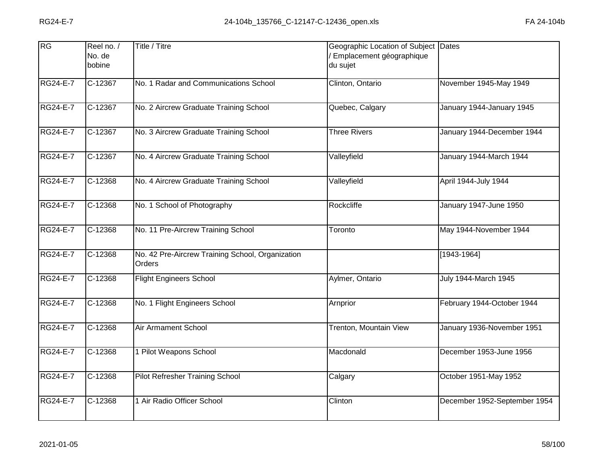| RG              | Reel no. /<br>No. de<br>bobine | Title / Titre                                              | Geographic Location of Subject Dates<br>Emplacement géographique<br>du sujet |                              |
|-----------------|--------------------------------|------------------------------------------------------------|------------------------------------------------------------------------------|------------------------------|
| <b>RG24-E-7</b> | $C-12367$                      | No. 1 Radar and Communications School                      | Clinton, Ontario                                                             | November 1945-May 1949       |
| <b>RG24-E-7</b> | C-12367                        | No. 2 Aircrew Graduate Training School                     | Quebec, Calgary                                                              | January 1944-January 1945    |
| <b>RG24-E-7</b> | $C-12367$                      | No. 3 Aircrew Graduate Training School                     | <b>Three Rivers</b>                                                          | January 1944-December 1944   |
| <b>RG24-E-7</b> | C-12367                        | No. 4 Aircrew Graduate Training School                     | Valleyfield                                                                  | January 1944-March 1944      |
| <b>RG24-E-7</b> | $C-12368$                      | No. 4 Aircrew Graduate Training School                     | Valleyfield                                                                  | April 1944-July 1944         |
| <b>RG24-E-7</b> | $C-12368$                      | No. 1 School of Photography                                | Rockcliffe                                                                   | January 1947-June 1950       |
| <b>RG24-E-7</b> | $C-12368$                      | No. 11 Pre-Aircrew Training School                         | Toronto                                                                      | May 1944-November 1944       |
| <b>RG24-E-7</b> | $C-12368$                      | No. 42 Pre-Aircrew Training School, Organization<br>Orders |                                                                              | [1943-1964]                  |
| RG24-E-7        | C-12368                        | <b>Flight Engineers School</b>                             | Aylmer, Ontario                                                              | <b>July 1944-March 1945</b>  |
| <b>RG24-E-7</b> | $C-12368$                      | No. 1 Flight Engineers School                              | Arnprior                                                                     | February 1944-October 1944   |
| <b>RG24-E-7</b> | C-12368                        | Air Armament School                                        | Trenton, Mountain View                                                       | January 1936-November 1951   |
| <b>RG24-E-7</b> | $C-12368$                      | 1 Pilot Weapons School                                     | Macdonald                                                                    | December 1953-June 1956      |
| <b>RG24-E-7</b> | C-12368                        | Pilot Refresher Training School                            | Calgary                                                                      | October 1951-May 1952        |
| <b>RG24-E-7</b> | C-12368                        | 1 Air Radio Officer School                                 | Clinton                                                                      | December 1952-September 1954 |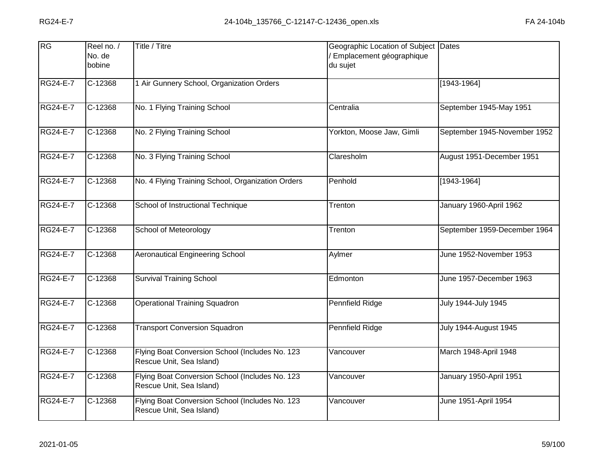| RG              | Reel no. /<br>No. de<br>bobine | Title / Titre                                                               | Geographic Location of Subject Dates<br>Emplacement géographique<br>du sujet |                              |
|-----------------|--------------------------------|-----------------------------------------------------------------------------|------------------------------------------------------------------------------|------------------------------|
| <b>RG24-E-7</b> | C-12368                        | 1 Air Gunnery School, Organization Orders                                   |                                                                              | [1943-1964]                  |
| <b>RG24-E-7</b> | $C-12368$                      | No. 1 Flying Training School                                                | Centralia                                                                    | September 1945-May 1951      |
| <b>RG24-E-7</b> | $C-12368$                      | No. 2 Flying Training School                                                | Yorkton, Moose Jaw, Gimli                                                    | September 1945-November 1952 |
| <b>RG24-E-7</b> | C-12368                        | No. 3 Flying Training School                                                | Claresholm                                                                   | August 1951-December 1951    |
| <b>RG24-E-7</b> | $C-12368$                      | No. 4 Flying Training School, Organization Orders                           | Penhold                                                                      | $[1943 - 1964]$              |
| <b>RG24-E-7</b> | $C-12368$                      | School of Instructional Technique                                           | Trenton                                                                      | January 1960-April 1962      |
| <b>RG24-E-7</b> | $C-12368$                      | School of Meteorology                                                       | Trenton                                                                      | September 1959-December 1964 |
| <b>RG24-E-7</b> | $C-12368$                      | <b>Aeronautical Engineering School</b>                                      | Aylmer                                                                       | June 1952-November 1953      |
| <b>RG24-E-7</b> | C-12368                        | <b>Survival Training School</b>                                             | Edmonton                                                                     | June 1957-December 1963      |
| <b>RG24-E-7</b> | $C-12368$                      | <b>Operational Training Squadron</b>                                        | <b>Pennfield Ridge</b>                                                       | <b>July 1944-July 1945</b>   |
| <b>RG24-E-7</b> | C-12368                        | <b>Transport Conversion Squadron</b>                                        | Pennfield Ridge                                                              | July 1944-August 1945        |
| <b>RG24-E-7</b> | C-12368                        | Flying Boat Conversion School (Includes No. 123<br>Rescue Unit, Sea Island) | Vancouver                                                                    | March 1948-April 1948        |
| <b>RG24-E-7</b> | C-12368                        | Flying Boat Conversion School (Includes No. 123<br>Rescue Unit, Sea Island) | Vancouver                                                                    | January 1950-April 1951      |
| <b>RG24-E-7</b> | C-12368                        | Flying Boat Conversion School (Includes No. 123<br>Rescue Unit, Sea Island) | Vancouver                                                                    | June 1951-April 1954         |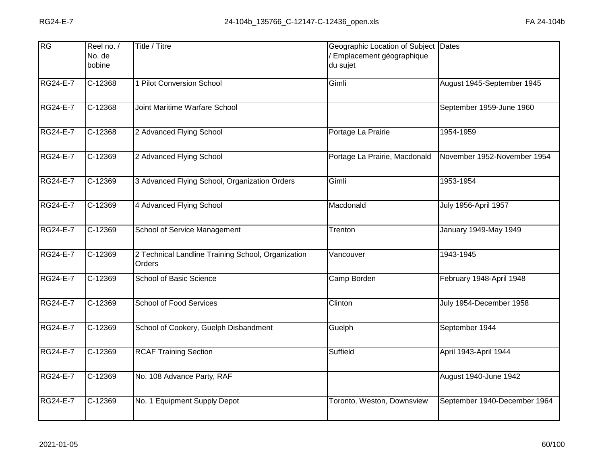| RG              | Reel no. /<br>No. de<br>bobine | Title / Titre                                                | Geographic Location of Subject Dates<br>Emplacement géographique<br>du sujet |                              |
|-----------------|--------------------------------|--------------------------------------------------------------|------------------------------------------------------------------------------|------------------------------|
| <b>RG24-E-7</b> | $C-12368$                      | 1 Pilot Conversion School                                    | Gimli                                                                        | August 1945-September 1945   |
| <b>RG24-E-7</b> | $C-12368$                      | Joint Maritime Warfare School                                |                                                                              | September 1959-June 1960     |
| <b>RG24-E-7</b> | C-12368                        | 2 Advanced Flying School                                     | Portage La Prairie                                                           | 1954-1959                    |
| <b>RG24-E-7</b> | $C-12369$                      | 2 Advanced Flying School                                     | Portage La Prairie, Macdonald                                                | November 1952-November 1954  |
| <b>RG24-E-7</b> | $C-12369$                      | 3 Advanced Flying School, Organization Orders                | Gimli                                                                        | 1953-1954                    |
| <b>RG24-E-7</b> | C-12369                        | 4 Advanced Flying School                                     | Macdonald                                                                    | July 1956-April 1957         |
| <b>RG24-E-7</b> | $C-12369$                      | <b>School of Service Management</b>                          | Trenton                                                                      | January 1949-May 1949        |
| <b>RG24-E-7</b> | C-12369                        | 2 Technical Landline Training School, Organization<br>Orders | Vancouver                                                                    | 1943-1945                    |
| <b>RG24-E-7</b> | C-12369                        | School of Basic Science                                      | Camp Borden                                                                  | February 1948-April 1948     |
| <b>RG24-E-7</b> | $C-12369$                      | <b>School of Food Services</b>                               | Clinton                                                                      | July 1954-December 1958      |
| <b>RG24-E-7</b> | C-12369                        | School of Cookery, Guelph Disbandment                        | Guelph                                                                       | September 1944               |
| <b>RG24-E-7</b> | $C-12369$                      | <b>RCAF Training Section</b>                                 | Suffield                                                                     | April 1943-April 1944        |
| <b>RG24-E-7</b> | C-12369                        | No. 108 Advance Party, RAF                                   |                                                                              | August 1940-June 1942        |
| <b>RG24-E-7</b> | C-12369                        | No. 1 Equipment Supply Depot                                 | Toronto, Weston, Downsview                                                   | September 1940-December 1964 |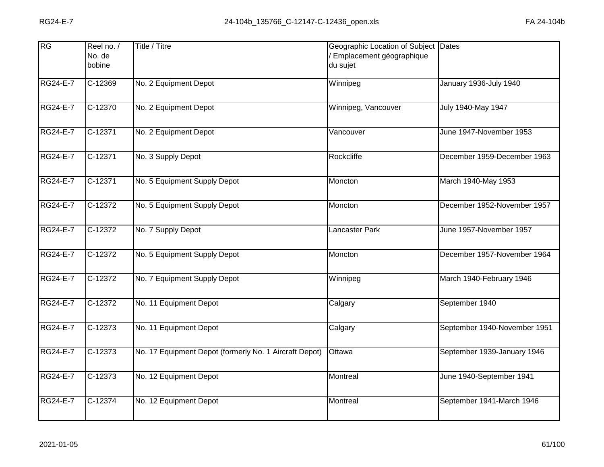| RG              | Reel no. /<br>No. de<br>bobine | Title / Titre                                          | Geographic Location of Subject Dates<br>Emplacement géographique<br>du sujet |                              |
|-----------------|--------------------------------|--------------------------------------------------------|------------------------------------------------------------------------------|------------------------------|
| <b>RG24-E-7</b> | $C-12369$                      | No. 2 Equipment Depot                                  | Winnipeg                                                                     | January 1936-July 1940       |
| <b>RG24-E-7</b> | $C-12370$                      | No. 2 Equipment Depot                                  | Winnipeg, Vancouver                                                          | <b>July 1940-May 1947</b>    |
| <b>RG24-E-7</b> | C-12371                        | No. 2 Equipment Depot                                  | Vancouver                                                                    | June 1947-November 1953      |
| <b>RG24-E-7</b> | $C-12371$                      | No. 3 Supply Depot                                     | Rockcliffe                                                                   | December 1959-December 1963  |
| <b>RG24-E-7</b> | $C-12371$                      | No. 5 Equipment Supply Depot                           | Moncton                                                                      | March 1940-May 1953          |
| <b>RG24-E-7</b> | C-12372                        | No. 5 Equipment Supply Depot                           | Moncton                                                                      | December 1952-November 1957  |
| <b>RG24-E-7</b> | $C-12372$                      | No. 7 Supply Depot                                     | Lancaster Park                                                               | June 1957-November 1957      |
| <b>RG24-E-7</b> | C-12372                        | No. 5 Equipment Supply Depot                           | Moncton                                                                      | December 1957-November 1964  |
| <b>RG24-E-7</b> | C-12372                        | No. 7 Equipment Supply Depot                           | Winnipeg                                                                     | March 1940-February 1946     |
| <b>RG24-E-7</b> | $C-12372$                      | No. 11 Equipment Depot                                 | Calgary                                                                      | September 1940               |
| <b>RG24-E-7</b> | C-12373                        | No. 11 Equipment Depot                                 | Calgary                                                                      | September 1940-November 1951 |
| <b>RG24-E-7</b> | $C-12373$                      | No. 17 Equipment Depot (formerly No. 1 Aircraft Depot) | Ottawa                                                                       | September 1939-January 1946  |
| <b>RG24-E-7</b> | C-12373                        | No. 12 Equipment Depot                                 | Montreal                                                                     | June 1940-September 1941     |
| <b>RG24-E-7</b> | C-12374                        | No. 12 Equipment Depot                                 | Montreal                                                                     | September 1941-March 1946    |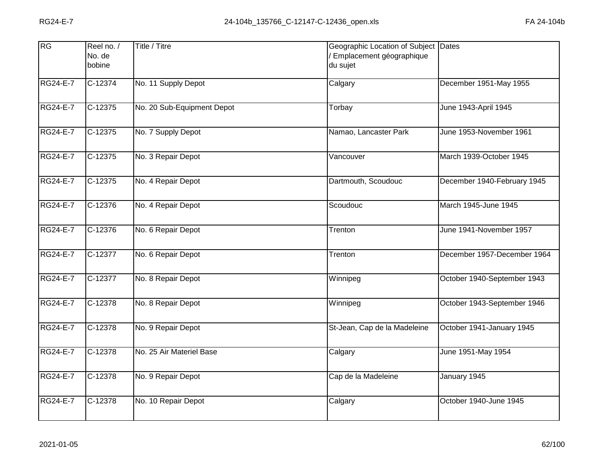| RG              | Reel no. /<br>No. de<br>bobine | Title / Titre              | Geographic Location of Subject Dates<br>Emplacement géographique<br>du sujet |                             |
|-----------------|--------------------------------|----------------------------|------------------------------------------------------------------------------|-----------------------------|
| <b>RG24-E-7</b> | $C-12374$                      | No. 11 Supply Depot        | Calgary                                                                      | December 1951-May 1955      |
| <b>RG24-E-7</b> | $\overline{C}$ -12375          | No. 20 Sub-Equipment Depot | Torbay                                                                       | June 1943-April 1945        |
| <b>RG24-E-7</b> | $C-12375$                      | No. 7 Supply Depot         | Namao, Lancaster Park                                                        | June 1953-November 1961     |
| <b>RG24-E-7</b> | C-12375                        | No. 3 Repair Depot         | Vancouver                                                                    | March 1939-October 1945     |
| <b>RG24-E-7</b> | $C-12375$                      | No. 4 Repair Depot         | Dartmouth, Scoudouc                                                          | December 1940-February 1945 |
| <b>RG24-E-7</b> | C-12376                        | No. 4 Repair Depot         | Scoudouc                                                                     | March 1945-June 1945        |
| <b>RG24-E-7</b> | $C-12376$                      | No. 6 Repair Depot         | Trenton                                                                      | June 1941-November 1957     |
| <b>RG24-E-7</b> | $C-12377$                      | No. 6 Repair Depot         | Trenton                                                                      | December 1957-December 1964 |
| <b>RG24-E-7</b> | C-12377                        | No. 8 Repair Depot         | Winnipeg                                                                     | October 1940-September 1943 |
| <b>RG24-E-7</b> | $C-12378$                      | No. 8 Repair Depot         | Winnipeg                                                                     | October 1943-September 1946 |
| <b>RG24-E-7</b> | C-12378                        | No. 9 Repair Depot         | St-Jean, Cap de la Madeleine                                                 | October 1941-January 1945   |
| <b>RG24-E-7</b> | $C-12378$                      | No. 25 Air Materiel Base   | Calgary                                                                      | June 1951-May 1954          |
| <b>RG24-E-7</b> | $\overline{C}$ -12378          | No. 9 Repair Depot         | Cap de la Madeleine                                                          | January 1945                |
| <b>RG24-E-7</b> | C-12378                        | No. 10 Repair Depot        | Calgary                                                                      | October 1940-June 1945      |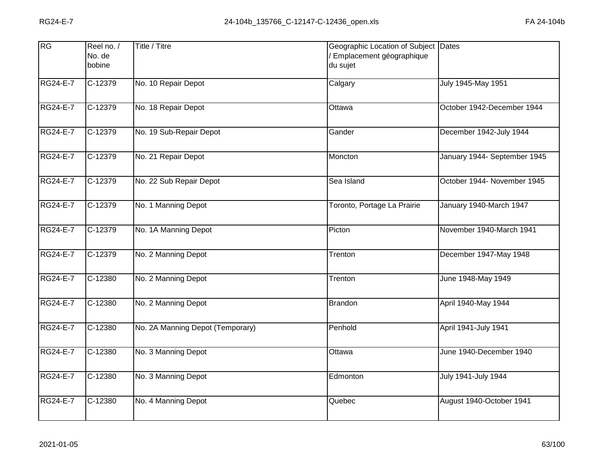| RG              | Reel no. /<br>No. de<br>bobine | <b>Title / Titre</b>             | Geographic Location of Subject Dates<br>Emplacement géographique<br>du sujet |                              |
|-----------------|--------------------------------|----------------------------------|------------------------------------------------------------------------------|------------------------------|
| <b>RG24-E-7</b> | C-12379                        | No. 10 Repair Depot              | Calgary                                                                      | July 1945-May 1951           |
| <b>RG24-E-7</b> | C-12379                        | No. 18 Repair Depot              | Ottawa                                                                       | October 1942-December 1944   |
| <b>RG24-E-7</b> | $C-12379$                      | No. 19 Sub-Repair Depot          | Gander                                                                       | December 1942-July 1944      |
| <b>RG24-E-7</b> | $C-12379$                      | No. 21 Repair Depot              | Moncton                                                                      | January 1944- September 1945 |
| <b>RG24-E-7</b> | $C-12379$                      | No. 22 Sub Repair Depot          | Sea Island                                                                   | October 1944- November 1945  |
| <b>RG24-E-7</b> | $C-12379$                      | No. 1 Manning Depot              | Toronto, Portage La Prairie                                                  | January 1940-March 1947      |
| <b>RG24-E-7</b> | $C-12379$                      | No. 1A Manning Depot             | Picton                                                                       | November 1940-March 1941     |
| <b>RG24-E-7</b> | $C-12379$                      | No. 2 Manning Depot              | Trenton                                                                      | December 1947-May 1948       |
| <b>RG24-E-7</b> | C-12380                        | No. 2 Manning Depot              | Trenton                                                                      | June 1948-May 1949           |
| <b>RG24-E-7</b> | $C-12380$                      | No. 2 Manning Depot              | <b>Brandon</b>                                                               | April 1940-May 1944          |
| <b>RG24-E-7</b> | C-12380                        | No. 2A Manning Depot (Temporary) | Penhold                                                                      | April 1941-July 1941         |
| <b>RG24-E-7</b> | $C-12380$                      | No. 3 Manning Depot              | Ottawa                                                                       | June 1940-December 1940      |
| <b>RG24-E-7</b> | $\overline{C}$ -12380          | No. 3 Manning Depot              | Edmonton                                                                     | <b>July 1941-July 1944</b>   |
| <b>RG24-E-7</b> | C-12380                        | No. 4 Manning Depot              | Quebec                                                                       | August 1940-October 1941     |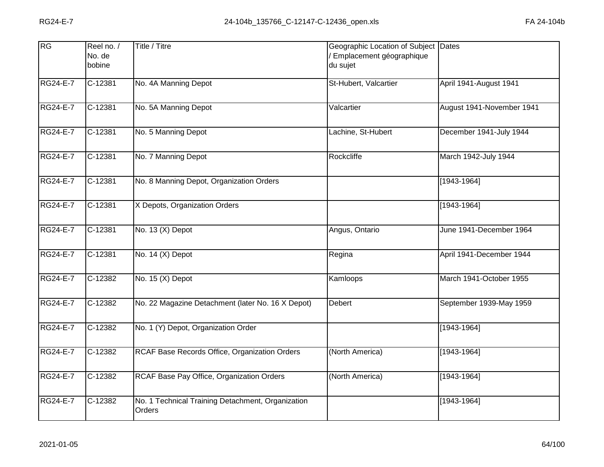| $\overline{\text{RG}}$ | Reel no. /<br>No. de<br>bobine | Title / Titre                                               | Geographic Location of Subject Dates<br>Emplacement géographique<br>du sujet |                           |
|------------------------|--------------------------------|-------------------------------------------------------------|------------------------------------------------------------------------------|---------------------------|
| <b>RG24-E-7</b>        | $C-12381$                      | No. 4A Manning Depot                                        | St-Hubert, Valcartier                                                        | April 1941-August 1941    |
| RG24-E-7               | C-12381                        | No. 5A Manning Depot                                        | Valcartier                                                                   | August 1941-November 1941 |
| <b>RG24-E-7</b>        | C-12381                        | No. 5 Manning Depot                                         | Lachine, St-Hubert                                                           | December 1941-July 1944   |
| <b>RG24-E-7</b>        | $C-12381$                      | No. 7 Manning Depot                                         | Rockcliffe                                                                   | March 1942-July 1944      |
| <b>RG24-E-7</b>        | $C-12381$                      | No. 8 Manning Depot, Organization Orders                    |                                                                              | [1943-1964]               |
| <b>RG24-E-7</b>        | C-12381                        | X Depots, Organization Orders                               |                                                                              | $[1943 - 1964]$           |
| <b>RG24-E-7</b>        | $C-12381$                      | No. 13 (X) Depot                                            | Angus, Ontario                                                               | June 1941-December 1964   |
| <b>RG24-E-7</b>        | C-12381                        | No. 14 (X) Depot                                            | Regina                                                                       | April 1941-December 1944  |
| <b>RG24-E-7</b>        | C-12382                        | No. 15 (X) Depot                                            | Kamloops                                                                     | March 1941-October 1955   |
| <b>RG24-E-7</b>        | C-12382                        | No. 22 Magazine Detachment (later No. 16 X Depot)           | <b>Debert</b>                                                                | September 1939-May 1959   |
| <b>RG24-E-7</b>        | C-12382                        | No. 1 (Y) Depot, Organization Order                         |                                                                              | [1943-1964]               |
| <b>RG24-E-7</b>        | $C-12382$                      | RCAF Base Records Office, Organization Orders               | (North America)                                                              | [1943-1964]               |
| RG24-E-7               | C-12382                        | RCAF Base Pay Office, Organization Orders                   | (North America)                                                              | $[1943 - 1964]$           |
| <b>RG24-E-7</b>        | C-12382                        | No. 1 Technical Training Detachment, Organization<br>Orders |                                                                              | $[1943 - 1964]$           |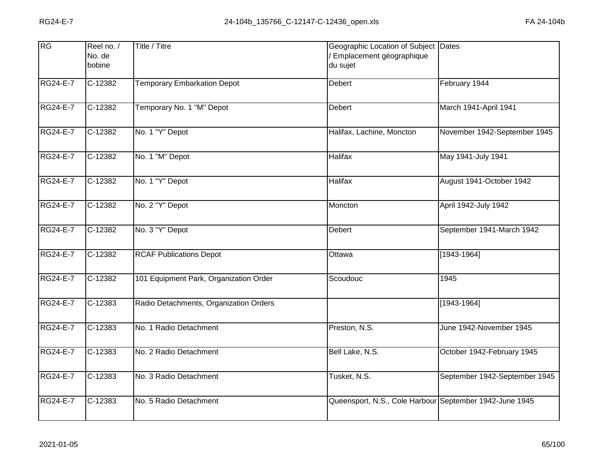| RG              | Reel no. /<br>No. de<br>bobine | Title / Titre                          | Geographic Location of Subject Dates<br>/ Emplacement géographique<br>du sujet |                               |
|-----------------|--------------------------------|----------------------------------------|--------------------------------------------------------------------------------|-------------------------------|
| <b>RG24-E-7</b> | $C-12382$                      | <b>Temporary Embarkation Depot</b>     | <b>Debert</b>                                                                  | February 1944                 |
| <b>RG24-E-7</b> | $C-12382$                      | Temporary No. 1 "M" Depot              | <b>Debert</b>                                                                  | March 1941-April 1941         |
| <b>RG24-E-7</b> | $C-12382$                      | No. 1 "Y" Depot                        | Halifax, Lachine, Moncton                                                      | November 1942-September 1945  |
| <b>RG24-E-7</b> | $C-12382$                      | No. 1 "M" Depot                        | <b>Halifax</b>                                                                 | May 1941-July 1941            |
| <b>RG24-E-7</b> | $C-12382$                      | No. 1 "Y" Depot                        | <b>Halifax</b>                                                                 | August 1941-October 1942      |
| <b>RG24-E-7</b> | $C-12382$                      | No. 2 "Y" Depot                        | Moncton                                                                        | April 1942-July 1942          |
| <b>RG24-E-7</b> | $C-12382$                      | No. 3 "Y" Depot                        | <b>Debert</b>                                                                  | September 1941-March 1942     |
| <b>RG24-E-7</b> | C-12382                        | <b>RCAF Publications Depot</b>         | Ottawa                                                                         | [1943-1964]                   |
| <b>RG24-E-7</b> | C-12382                        | 101 Equipment Park, Organization Order | Scoudouc                                                                       | 1945                          |
| <b>RG24-E-7</b> | $C-12383$                      | Radio Detachments, Organization Orders |                                                                                | [1943-1964]                   |
| <b>RG24-E-7</b> | C-12383                        | No. 1 Radio Detachment                 | Preston, N.S.                                                                  | June 1942-November 1945       |
| <b>RG24-E-7</b> | $C-12383$                      | No. 2 Radio Detachment                 | Bell Lake, N.S.                                                                | October 1942-February 1945    |
| <b>RG24-E-7</b> | $C-12383$                      | No. 3 Radio Detachment                 | Tusket, N.S.                                                                   | September 1942-September 1945 |
| <b>RG24-E-7</b> | C-12383                        | No. 5 Radio Detachment                 | Queensport, N.S., Cole Harbour September 1942-June 1945                        |                               |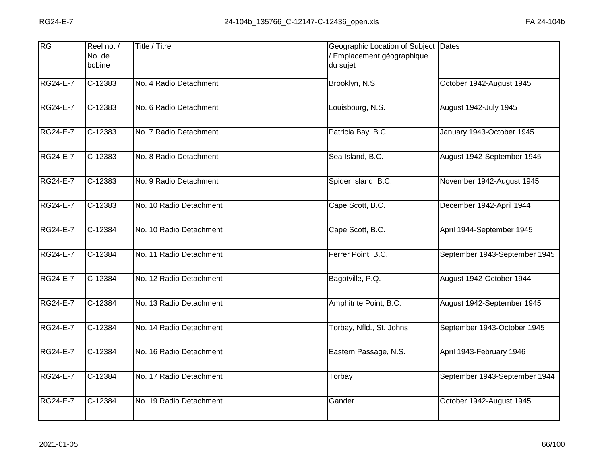| RG              | Reel no. /<br>No. de<br>bobine | Title / Titre           | Geographic Location of Subject Dates<br>Emplacement géographique<br>du sujet |                               |
|-----------------|--------------------------------|-------------------------|------------------------------------------------------------------------------|-------------------------------|
| <b>RG24-E-7</b> | $C-12383$                      | No. 4 Radio Detachment  | Brooklyn, N.S.                                                               | October 1942-August 1945      |
| <b>RG24-E-7</b> | C-12383                        | No. 6 Radio Detachment  | Louisbourg, N.S.                                                             | August 1942-July 1945         |
| <b>RG24-E-7</b> | $C-12383$                      | No. 7 Radio Detachment  | Patricia Bay, B.C.                                                           | January 1943-October 1945     |
| <b>RG24-E-7</b> | $C-12383$                      | No. 8 Radio Detachment  | Sea Island, B.C.                                                             | August 1942-September 1945    |
| <b>RG24-E-7</b> | $C-12383$                      | No. 9 Radio Detachment  | Spider Island, B.C.                                                          | November 1942-August 1945     |
| <b>RG24-E-7</b> | $C-12383$                      | No. 10 Radio Detachment | Cape Scott, B.C.                                                             | December 1942-April 1944      |
| <b>RG24-E-7</b> | $C-12384$                      | No. 10 Radio Detachment | Cape Scott, B.C.                                                             | April 1944-September 1945     |
| <b>RG24-E-7</b> | $C-12384$                      | No. 11 Radio Detachment | Ferrer Point, B.C.                                                           | September 1943-September 1945 |
| RG24-E-7        | C-12384                        | No. 12 Radio Detachment | Bagotville, P.Q.                                                             | August 1942-October 1944      |
| <b>RG24-E-7</b> | $C-12384$                      | No. 13 Radio Detachment | Amphitrite Point, B.C.                                                       | August 1942-September 1945    |
| <b>RG24-E-7</b> | C-12384                        | No. 14 Radio Detachment | Torbay, Nfld., St. Johns                                                     | September 1943-October 1945   |
| <b>RG24-E-7</b> | $C-12384$                      | No. 16 Radio Detachment | Eastern Passage, N.S.                                                        | April 1943-February 1946      |
| RG24-E-7        | C-12384                        | No. 17 Radio Detachment | Torbay                                                                       | September 1943-September 1944 |
| RG24-E-7        | C-12384                        | No. 19 Radio Detachment | Gander                                                                       | October 1942-August 1945      |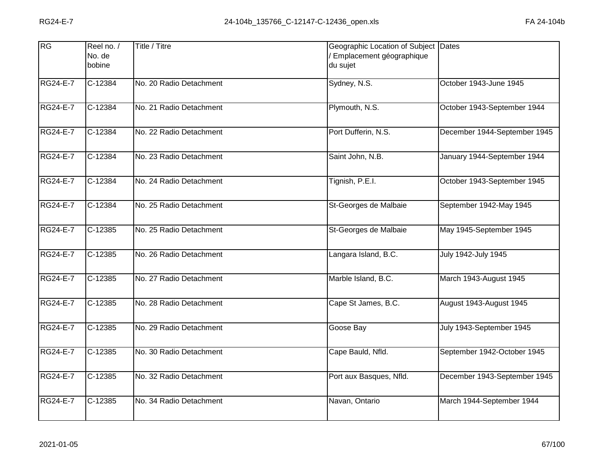| RG              | Reel no. /<br>No. de<br>bobine | Title / Titre           | Geographic Location of Subject Dates<br>Emplacement géographique<br>du sujet |                              |
|-----------------|--------------------------------|-------------------------|------------------------------------------------------------------------------|------------------------------|
| <b>RG24-E-7</b> | C-12384                        | No. 20 Radio Detachment | Sydney, N.S.                                                                 | October 1943-June 1945       |
| RG24-E-7        | C-12384                        | No. 21 Radio Detachment | Plymouth, N.S.                                                               | October 1943-September 1944  |
| <b>RG24-E-7</b> | C-12384                        | No. 22 Radio Detachment | Port Dufferin, N.S.                                                          | December 1944-September 1945 |
| <b>RG24-E-7</b> | C-12384                        | No. 23 Radio Detachment | Saint John, N.B.                                                             | January 1944-September 1944  |
| <b>RG24-E-7</b> | C-12384                        | No. 24 Radio Detachment | Tignish, P.E.I.                                                              | October 1943-September 1945  |
| <b>RG24-E-7</b> | $C-12384$                      | No. 25 Radio Detachment | St-Georges de Malbaie                                                        | September 1942-May 1945      |
| <b>RG24-E-7</b> | $C-12385$                      | No. 25 Radio Detachment | St-Georges de Malbaie                                                        | May 1945-September 1945      |
| <b>RG24-E-7</b> | $C-12385$                      | No. 26 Radio Detachment | Langara Island, B.C.                                                         | <b>July 1942-July 1945</b>   |
| <b>RG24-E-7</b> | $C-12385$                      | No. 27 Radio Detachment | Marble Island, B.C.                                                          | March 1943-August 1945       |
| <b>RG24-E-7</b> | $C-12385$                      | No. 28 Radio Detachment | Cape St James, B.C.                                                          | August 1943-August 1945      |
| <b>RG24-E-7</b> | C-12385                        | No. 29 Radio Detachment | Goose Bay                                                                    | July 1943-September 1945     |
| <b>RG24-E-7</b> | $C-12385$                      | No. 30 Radio Detachment | Cape Bauld, Nfld.                                                            | September 1942-October 1945  |
| <b>RG24-E-7</b> | C-12385                        | No. 32 Radio Detachment | Port aux Basques, Nfld.                                                      | December 1943-September 1945 |
| <b>RG24-E-7</b> | C-12385                        | No. 34 Radio Detachment | Navan, Ontario                                                               | March 1944-September 1944    |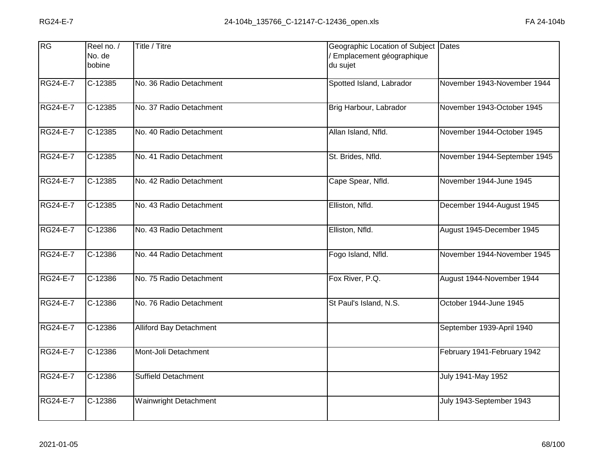| RG              | Reel no. /<br>No. de<br>bobine | Title / Titre                  | Geographic Location of Subject Dates<br>Emplacement géographique<br>du sujet |                              |
|-----------------|--------------------------------|--------------------------------|------------------------------------------------------------------------------|------------------------------|
| <b>RG24-E-7</b> | $C-12385$                      | No. 36 Radio Detachment        | Spotted Island, Labrador                                                     | November 1943-November 1944  |
| RG24-E-7        | C-12385                        | No. 37 Radio Detachment        | Brig Harbour, Labrador                                                       | November 1943-October 1945   |
| <b>RG24-E-7</b> | C-12385                        | No. 40 Radio Detachment        | Allan Island, Nfld.                                                          | November 1944-October 1945   |
| <b>RG24-E-7</b> | $C-12385$                      | No. 41 Radio Detachment        | St. Brides, Nfld.                                                            | November 1944-September 1945 |
| <b>RG24-E-7</b> | $C-12385$                      | No. 42 Radio Detachment        | Cape Spear, Nfld.                                                            | November 1944-June 1945      |
| <b>RG24-E-7</b> | C-12385                        | No. 43 Radio Detachment        | Elliston, Nfld.                                                              | December 1944-August 1945    |
| <b>RG24-E-7</b> | $C-12386$                      | No. 43 Radio Detachment        | Elliston, Nfld.                                                              | August 1945-December 1945    |
| <b>RG24-E-7</b> | C-12386                        | No. 44 Radio Detachment        | Fogo Island, Nfld.                                                           | November 1944-November 1945  |
| RG24-E-7        | $C-12386$                      | No. 75 Radio Detachment        | Fox River, P.Q.                                                              | August 1944-November 1944    |
| <b>RG24-E-7</b> | $C-12386$                      | No. 76 Radio Detachment        | St Paul's Island, N.S.                                                       | October 1944-June 1945       |
| <b>RG24-E-7</b> | C-12386                        | <b>Alliford Bay Detachment</b> |                                                                              | September 1939-April 1940    |
| RG24-E-7        | $C-12386$                      | Mont-Joli Detachment           |                                                                              | February 1941-February 1942  |
| <b>RG24-E-7</b> | C-12386                        | <b>Suffield Detachment</b>     |                                                                              | July 1941-May 1952           |
| <b>RG24-E-7</b> | C-12386                        | Wainwright Detachment          |                                                                              | July 1943-September 1943     |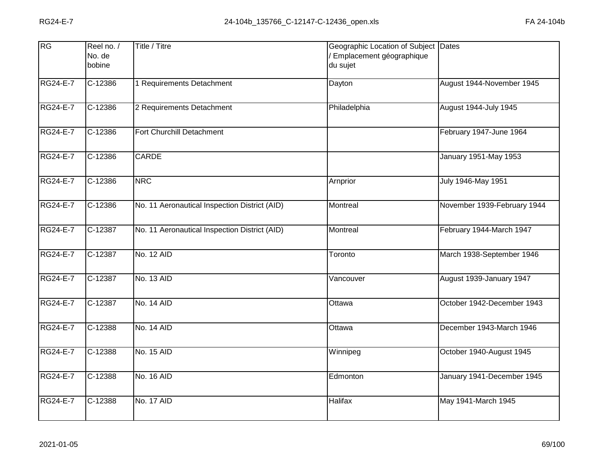| RG              | Reel no. /<br>No. de<br>bobine | Title / Titre                                 | Geographic Location of Subject Dates<br>/ Emplacement géographique<br>du sujet |                             |
|-----------------|--------------------------------|-----------------------------------------------|--------------------------------------------------------------------------------|-----------------------------|
| <b>RG24-E-7</b> | $C-12386$                      | 1 Requirements Detachment                     | Dayton                                                                         | August 1944-November 1945   |
| <b>RG24-E-7</b> | C-12386                        | 2 Requirements Detachment                     | Philadelphia                                                                   | August 1944-July 1945       |
| <b>RG24-E-7</b> | $C-12386$                      | Fort Churchill Detachment                     |                                                                                | February 1947-June 1964     |
| <b>RG24-E-7</b> | $C-12386$                      | <b>CARDE</b>                                  |                                                                                | January 1951-May 1953       |
| <b>RG24-E-7</b> | $C-12386$                      | <b>NRC</b>                                    | Arnprior                                                                       | <b>July 1946-May 1951</b>   |
| <b>RG24-E-7</b> | $C-12386$                      | No. 11 Aeronautical Inspection District (AID) | Montreal                                                                       | November 1939-February 1944 |
| <b>RG24-E-7</b> | $C-12387$                      | No. 11 Aeronautical Inspection District (AID) | Montreal                                                                       | February 1944-March 1947    |
| <b>RG24-E-7</b> | C-12387                        | No. 12 AID                                    | Toronto                                                                        | March 1938-September 1946   |
| <b>RG24-E-7</b> | C-12387                        | No. 13 AID                                    | Vancouver                                                                      | August 1939-January 1947    |
| <b>RG24-E-7</b> | $C-12387$                      | <b>No. 14 AID</b>                             | Ottawa                                                                         | October 1942-December 1943  |
| <b>RG24-E-7</b> | C-12388                        | No. 14 AID                                    | Ottawa                                                                         | December 1943-March 1946    |
| <b>RG24-E-7</b> | $C-12388$                      | <b>No. 15 AID</b>                             | Winnipeg                                                                       | October 1940-August 1945    |
| <b>RG24-E-7</b> | $C-12388$                      | No. 16 AID                                    | Edmonton                                                                       | January 1941-December 1945  |
| <b>RG24-E-7</b> | C-12388                        | No. 17 AID                                    | Halifax                                                                        | May 1941-March 1945         |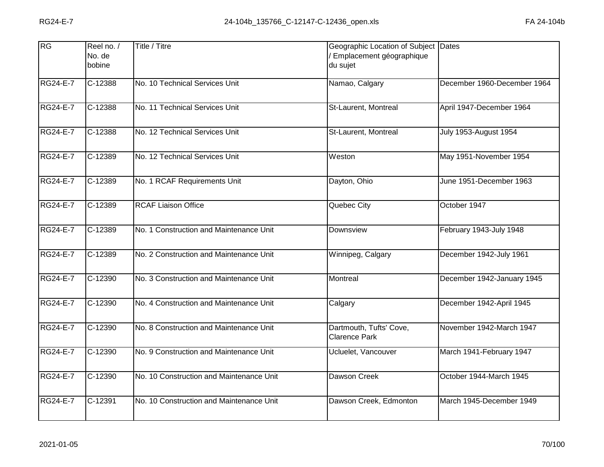| <b>RG</b>       | Reel no. /<br>No. de<br>bobine | Title / Titre                            | Geographic Location of Subject Dates<br>Emplacement géographique<br>du sujet |                              |
|-----------------|--------------------------------|------------------------------------------|------------------------------------------------------------------------------|------------------------------|
| <b>RG24-E-7</b> | $C-12388$                      | No. 10 Technical Services Unit           | Namao, Calgary                                                               | December 1960-December 1964  |
| RG24-E-7        | C-12388                        | No. 11 Technical Services Unit           | St-Laurent, Montreal                                                         | April 1947-December 1964     |
| <b>RG24-E-7</b> | $C-12388$                      | No. 12 Technical Services Unit           | St-Laurent, Montreal                                                         | <b>July 1953-August 1954</b> |
| RG24-E-7        | C-12389                        | No. 12 Technical Services Unit           | Weston                                                                       | May 1951-November 1954       |
| <b>RG24-E-7</b> | $C-12389$                      | No. 1 RCAF Requirements Unit             | Dayton, Ohio                                                                 | June 1951-December 1963      |
| <b>RG24-E-7</b> | $C-12389$                      | <b>RCAF Liaison Office</b>               | Quebec City                                                                  | October 1947                 |
| <b>RG24-E-7</b> | $C-12389$                      | No. 1 Construction and Maintenance Unit  | Downsview                                                                    | February 1943-July 1948      |
| <b>RG24-E-7</b> | $C-12389$                      | No. 2 Construction and Maintenance Unit  | Winnipeg, Calgary                                                            | December 1942-July 1961      |
| RG24-E-7        | C-12390                        | No. 3 Construction and Maintenance Unit  | Montreal                                                                     | December 1942-January 1945   |
| <b>RG24-E-7</b> | $C-12390$                      | No. 4 Construction and Maintenance Unit  | Calgary                                                                      | December 1942-April 1945     |
| <b>RG24-E-7</b> | C-12390                        | No. 8 Construction and Maintenance Unit  | Dartmouth, Tufts' Cove,<br><b>Clarence Park</b>                              | November 1942-March 1947     |
| <b>RG24-E-7</b> | $C-12390$                      | No. 9 Construction and Maintenance Unit  | Ucluelet, Vancouver                                                          | March 1941-February 1947     |
| RG24-E-7        | C-12390                        | No. 10 Construction and Maintenance Unit | Dawson Creek                                                                 | October 1944-March 1945      |
| RG24-E-7        | C-12391                        | No. 10 Construction and Maintenance Unit | Dawson Creek, Edmonton                                                       | March 1945-December 1949     |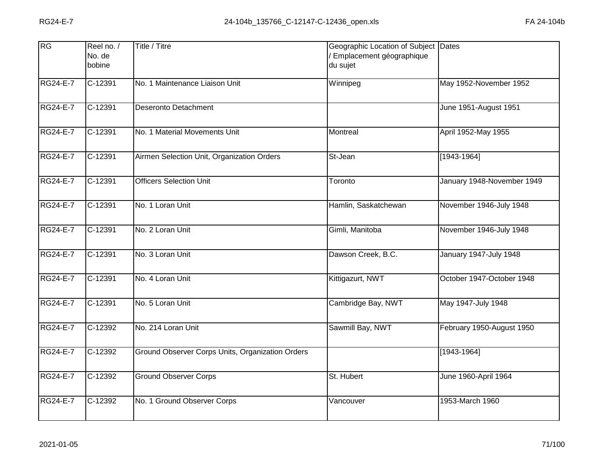| RG              | Reel no. /<br>No. de<br>bobine | Title / Titre                                    | Geographic Location of Subject Dates<br>/ Emplacement géographique<br>du sujet |                            |
|-----------------|--------------------------------|--------------------------------------------------|--------------------------------------------------------------------------------|----------------------------|
| <b>RG24-E-7</b> | $C-12391$                      | No. 1 Maintenance Liaison Unit                   | Winnipeg                                                                       | May 1952-November 1952     |
| <b>RG24-E-7</b> | $\overline{C}$ -12391          | Deseronto Detachment                             |                                                                                | June 1951-August 1951      |
| <b>RG24-E-7</b> | C-12391                        | No. 1 Material Movements Unit                    | Montreal                                                                       | April 1952-May 1955        |
| <b>RG24-E-7</b> | C-12391                        | Airmen Selection Unit, Organization Orders       | St-Jean                                                                        | [1943-1964]                |
| <b>RG24-E-7</b> | $C-12391$                      | <b>Officers Selection Unit</b>                   | Toronto                                                                        | January 1948-November 1949 |
| <b>RG24-E-7</b> | C-12391                        | No. 1 Loran Unit                                 | Hamlin, Saskatchewan                                                           | November 1946-July 1948    |
| <b>RG24-E-7</b> | $C-12391$                      | No. 2 Loran Unit                                 | Gimli, Manitoba                                                                | November 1946-July 1948    |
| <b>RG24-E-7</b> | $C-12391$                      | No. 3 Loran Unit                                 | Dawson Creek, B.C.                                                             | January 1947-July 1948     |
| <b>RG24-E-7</b> | C-12391                        | No. 4 Loran Unit                                 | Kittigazurt, NWT                                                               | October 1947-October 1948  |
| <b>RG24-E-7</b> | $C-12391$                      | No. 5 Loran Unit                                 | Cambridge Bay, NWT                                                             | May 1947-July 1948         |
| <b>RG24-E-7</b> | $\overline{C}$ -12392          | No. 214 Loran Unit                               | Sawmill Bay, NWT                                                               | February 1950-August 1950  |
| <b>RG24-E-7</b> | $C-12392$                      | Ground Observer Corps Units, Organization Orders |                                                                                | $[1943 - 1964]$            |
| <b>RG24-E-7</b> | $\overline{C}$ -12392          | <b>Ground Observer Corps</b>                     | St. Hubert                                                                     | June 1960-April 1964       |
| <b>RG24-E-7</b> | $C-12392$                      | No. 1 Ground Observer Corps                      | Vancouver                                                                      | 1953-March 1960            |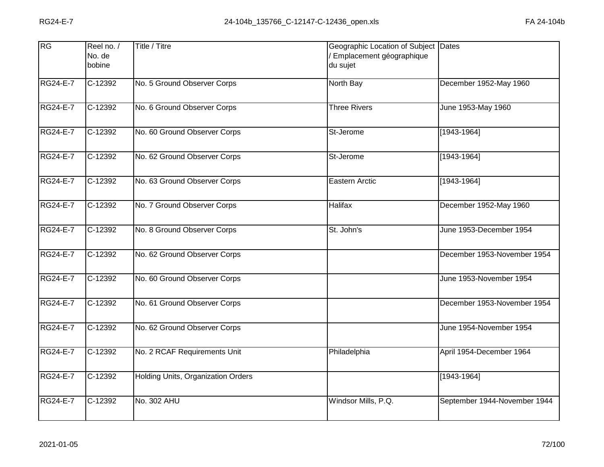| RG              | Reel no. /<br>No. de<br>bobine | Title / Titre                      | Geographic Location of Subject Dates<br>/ Emplacement géographique<br>du sujet |                              |
|-----------------|--------------------------------|------------------------------------|--------------------------------------------------------------------------------|------------------------------|
| <b>RG24-E-7</b> | $C-12392$                      | No. 5 Ground Observer Corps        | North Bay                                                                      | December 1952-May 1960       |
| <b>RG24-E-7</b> | C-12392                        | No. 6 Ground Observer Corps        | <b>Three Rivers</b>                                                            | June 1953-May 1960           |
| <b>RG24-E-7</b> | C-12392                        | No. 60 Ground Observer Corps       | St-Jerome                                                                      | [1943-1964]                  |
| <b>RG24-E-7</b> | C-12392                        | No. 62 Ground Observer Corps       | St-Jerome                                                                      | $[1943 - 1964]$              |
| <b>RG24-E-7</b> | $C-12392$                      | No. 63 Ground Observer Corps       | Eastern Arctic                                                                 | [1943-1964]                  |
| <b>RG24-E-7</b> | $C-12392$                      | No. 7 Ground Observer Corps        | Halifax                                                                        | December 1952-May 1960       |
| <b>RG24-E-7</b> | C-12392                        | No. 8 Ground Observer Corps        | St. John's                                                                     | June 1953-December 1954      |
| <b>RG24-E-7</b> | C-12392                        | No. 62 Ground Observer Corps       |                                                                                | December 1953-November 1954  |
| <b>RG24-E-7</b> | C-12392                        | No. 60 Ground Observer Corps       |                                                                                | June 1953-November 1954      |
| <b>RG24-E-7</b> | $C-12392$                      | No. 61 Ground Observer Corps       |                                                                                | December 1953-November 1954  |
| <b>RG24-E-7</b> | C-12392                        | No. 62 Ground Observer Corps       |                                                                                | June 1954-November 1954      |
| <b>RG24-E-7</b> | C-12392                        | No. 2 RCAF Requirements Unit       | Philadelphia                                                                   | April 1954-December 1964     |
| <b>RG24-E-7</b> | $C-12392$                      | Holding Units, Organization Orders |                                                                                | $[1943 - 1964]$              |
| <b>RG24-E-7</b> | C-12392                        | No. 302 AHU                        | Windsor Mills, P.Q.                                                            | September 1944-November 1944 |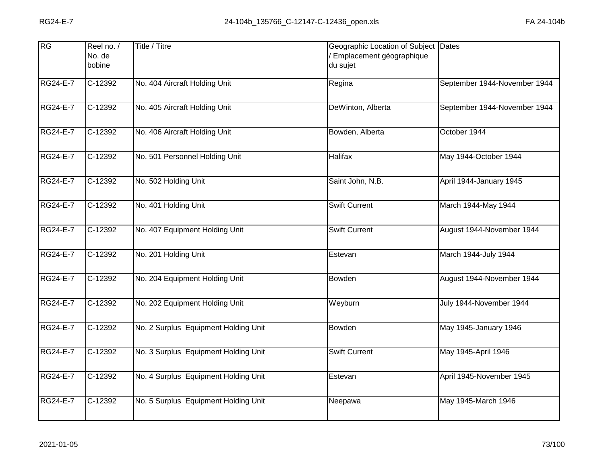| RG              | Reel no. /<br>No. de<br>bobine | Title / Titre                        | Geographic Location of Subject Dates<br>Emplacement géographique<br>du sujet |                              |
|-----------------|--------------------------------|--------------------------------------|------------------------------------------------------------------------------|------------------------------|
| <b>RG24-E-7</b> | C-12392                        | No. 404 Aircraft Holding Unit        | Regina                                                                       | September 1944-November 1944 |
| <b>RG24-E-7</b> | C-12392                        | No. 405 Aircraft Holding Unit        | DeWinton, Alberta                                                            | September 1944-November 1944 |
| <b>RG24-E-7</b> | $C-12392$                      | No. 406 Aircraft Holding Unit        | Bowden, Alberta                                                              | October 1944                 |
| <b>RG24-E-7</b> | C-12392                        | No. 501 Personnel Holding Unit       | <b>Halifax</b>                                                               | May 1944-October 1944        |
| <b>RG24-E-7</b> | C-12392                        | No. 502 Holding Unit                 | Saint John, N.B.                                                             | April 1944-January 1945      |
| <b>RG24-E-7</b> | $C-12392$                      | No. 401 Holding Unit                 | <b>Swift Current</b>                                                         | March 1944-May 1944          |
| <b>RG24-E-7</b> | C-12392                        | No. 407 Equipment Holding Unit       | <b>Swift Current</b>                                                         | August 1944-November 1944    |
| <b>RG24-E-7</b> | C-12392                        | No. 201 Holding Unit                 | Estevan                                                                      | March 1944-July 1944         |
| <b>RG24-E-7</b> | C-12392                        | No. 204 Equipment Holding Unit       | Bowden                                                                       | August 1944-November 1944    |
| <b>RG24-E-7</b> | $C-12392$                      | No. 202 Equipment Holding Unit       | Weyburn                                                                      | July 1944-November 1944      |
| <b>RG24-E-7</b> | C-12392                        | No. 2 Surplus Equipment Holding Unit | Bowden                                                                       | May 1945-January 1946        |
| <b>RG24-E-7</b> | C-12392                        | No. 3 Surplus Equipment Holding Unit | <b>Swift Current</b>                                                         | May 1945-April 1946          |
| <b>RG24-E-7</b> | C-12392                        | No. 4 Surplus Equipment Holding Unit | Estevan                                                                      | April 1945-November 1945     |
| <b>RG24-E-7</b> | C-12392                        | No. 5 Surplus Equipment Holding Unit | Neepawa                                                                      | May 1945-March 1946          |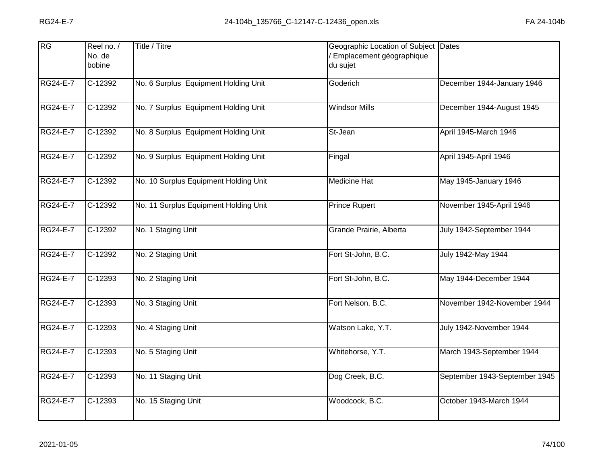| RG              | Reel no. /<br>No. de  | Title / Titre                         | Geographic Location of Subject Dates<br>Emplacement géographique |                               |
|-----------------|-----------------------|---------------------------------------|------------------------------------------------------------------|-------------------------------|
|                 | bobine                |                                       | du sujet                                                         |                               |
| <b>RG24-E-7</b> | C-12392               | No. 6 Surplus Equipment Holding Unit  | Goderich                                                         | December 1944-January 1946    |
| RG24-E-7        | C-12392               | No. 7 Surplus Equipment Holding Unit  | <b>Windsor Mills</b>                                             | December 1944-August 1945     |
| RG24-E-7        | $C-12392$             | No. 8 Surplus Equipment Holding Unit  | St-Jean                                                          | April 1945-March 1946         |
| RG24-E-7        | C-12392               | No. 9 Surplus Equipment Holding Unit  | Fingal                                                           | April 1945-April 1946         |
| <b>RG24-E-7</b> | C-12392               | No. 10 Surplus Equipment Holding Unit | <b>Medicine Hat</b>                                              | May 1945-January 1946         |
| <b>RG24-E-7</b> | C-12392               | No. 11 Surplus Equipment Holding Unit | <b>Prince Rupert</b>                                             | November 1945-April 1946      |
| <b>RG24-E-7</b> | $C-12392$             | No. 1 Staging Unit                    | Grande Prairie, Alberta                                          | July 1942-September 1944      |
| <b>RG24-E-7</b> | $C-12392$             | No. 2 Staging Unit                    | Fort St-John, B.C.                                               | July 1942-May 1944            |
| <b>RG24-E-7</b> | C-12393               | No. 2 Staging Unit                    | Fort St-John, B.C.                                               | May 1944-December 1944        |
| <b>RG24-E-7</b> | $C-12393$             | No. 3 Staging Unit                    | Fort Nelson, B.C.                                                | November 1942-November 1944   |
| <b>RG24-E-7</b> | $\overline{C}$ -12393 | No. 4 Staging Unit                    | Watson Lake, Y.T.                                                | July 1942-November 1944       |
| <b>RG24-E-7</b> | $C-12393$             | No. 5 Staging Unit                    | Whitehorse, Y.T.                                                 | March 1943-September 1944     |
| RG24-E-7        | $\overline{C}$ -12393 | No. 11 Staging Unit                   | Dog Creek, B.C.                                                  | September 1943-September 1945 |
| <b>RG24-E-7</b> | $C-12393$             | No. 15 Staging Unit                   | Woodcock, B.C.                                                   | October 1943-March 1944       |
|                 |                       |                                       |                                                                  |                               |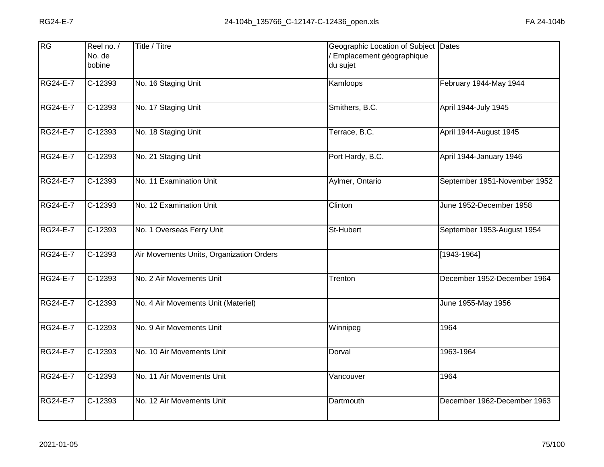| RG              | Reel no. /<br>No. de<br>bobine | <b>Title / Titre</b>                     | Geographic Location of Subject Dates<br>Emplacement géographique<br>du sujet |                              |
|-----------------|--------------------------------|------------------------------------------|------------------------------------------------------------------------------|------------------------------|
| <b>RG24-E-7</b> | $C-12393$                      | No. 16 Staging Unit                      | Kamloops                                                                     | February 1944-May 1944       |
| <b>RG24-E-7</b> | C-12393                        | No. 17 Staging Unit                      | Smithers, B.C.                                                               | April 1944-July 1945         |
| <b>RG24-E-7</b> | $C-12393$                      | No. 18 Staging Unit                      | Terrace, B.C.                                                                | April 1944-August 1945       |
| <b>RG24-E-7</b> | $C-12393$                      | No. 21 Staging Unit                      | Port Hardy, B.C.                                                             | April 1944-January 1946      |
| <b>RG24-E-7</b> | $C-12393$                      | No. 11 Examination Unit                  | Aylmer, Ontario                                                              | September 1951-November 1952 |
| <b>RG24-E-7</b> | $C-12393$                      | No. 12 Examination Unit                  | Clinton                                                                      | June 1952-December 1958      |
| <b>RG24-E-7</b> | $C-12393$                      | No. 1 Overseas Ferry Unit                | St-Hubert                                                                    | September 1953-August 1954   |
| <b>RG24-E-7</b> | $C-12393$                      | Air Movements Units, Organization Orders |                                                                              | $[1\overline{943 - 1964}]$   |
| <b>RG24-E-7</b> | C-12393                        | No. 2 Air Movements Unit                 | Trenton                                                                      | December 1952-December 1964  |
| <b>RG24-E-7</b> | $C-12393$                      | No. 4 Air Movements Unit (Materiel)      |                                                                              | June 1955-May 1956           |
| <b>RG24-E-7</b> | C-12393                        | No. 9 Air Movements Unit                 | Winnipeg                                                                     | 1964                         |
| <b>RG24-E-7</b> | $C-12393$                      | No. 10 Air Movements Unit                | Dorval                                                                       | 1963-1964                    |
| <b>RG24-E-7</b> | $C-12393$                      | No. 11 Air Movements Unit                | Vancouver                                                                    | 1964                         |
| <b>RG24-E-7</b> | $C-12393$                      | No. 12 Air Movements Unit                | Dartmouth                                                                    | December 1962-December 1963  |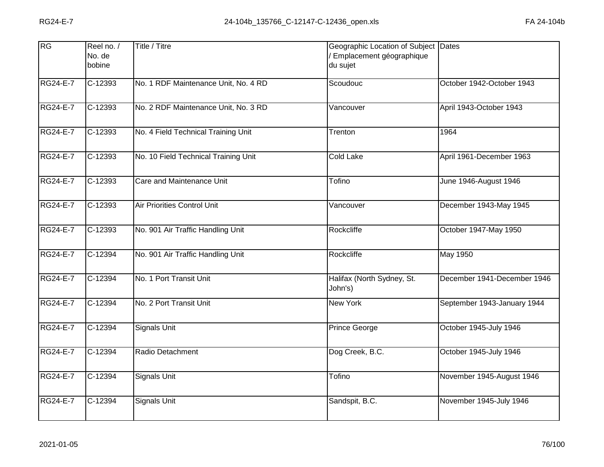| RG              | Reel no. /<br>No. de<br>bobine | Title / Titre                        | Geographic Location of Subject Dates<br>/ Emplacement géographique<br>du sujet |                             |
|-----------------|--------------------------------|--------------------------------------|--------------------------------------------------------------------------------|-----------------------------|
| <b>RG24-E-7</b> | $C-12393$                      | No. 1 RDF Maintenance Unit, No. 4 RD | Scoudouc                                                                       | October 1942-October 1943   |
| <b>RG24-E-7</b> | C-12393                        | No. 2 RDF Maintenance Unit, No. 3 RD | Vancouver                                                                      | April 1943-October 1943     |
| <b>RG24-E-7</b> | $C-12393$                      | No. 4 Field Technical Training Unit  | Trenton                                                                        | 1964                        |
| <b>RG24-E-7</b> | $C-12393$                      | No. 10 Field Technical Training Unit | Cold Lake                                                                      | April 1961-December 1963    |
| <b>RG24-E-7</b> | $C-12393$                      | Care and Maintenance Unit            | <b>Tofino</b>                                                                  | June 1946-August 1946       |
| <b>RG24-E-7</b> | $C-12393$                      | <b>Air Priorities Control Unit</b>   | Vancouver                                                                      | December 1943-May 1945      |
| <b>RG24-E-7</b> | $C-12393$                      | No. 901 Air Traffic Handling Unit    | Rockcliffe                                                                     | October 1947-May 1950       |
| <b>RG24-E-7</b> | C-12394                        | No. 901 Air Traffic Handling Unit    | Rockcliffe                                                                     | <b>May 1950</b>             |
| <b>RG24-E-7</b> | C-12394                        | No. 1 Port Transit Unit              | Halifax (North Sydney, St.<br>John's)                                          | December 1941-December 1946 |
| <b>RG24-E-7</b> | $C-12394$                      | No. 2 Port Transit Unit              | New York                                                                       | September 1943-January 1944 |
| <b>RG24-E-7</b> | C-12394                        | <b>Signals Unit</b>                  | Prince George                                                                  | October 1945-July 1946      |
| <b>RG24-E-7</b> | C-12394                        | Radio Detachment                     | Dog Creek, B.C.                                                                | October 1945-July 1946      |
| <b>RG24-E-7</b> | $C-12394$                      | <b>Signals Unit</b>                  | Tofino                                                                         | November 1945-August 1946   |
| <b>RG24-E-7</b> | C-12394                        | <b>Signals Unit</b>                  | Sandspit, B.C.                                                                 | November 1945-July 1946     |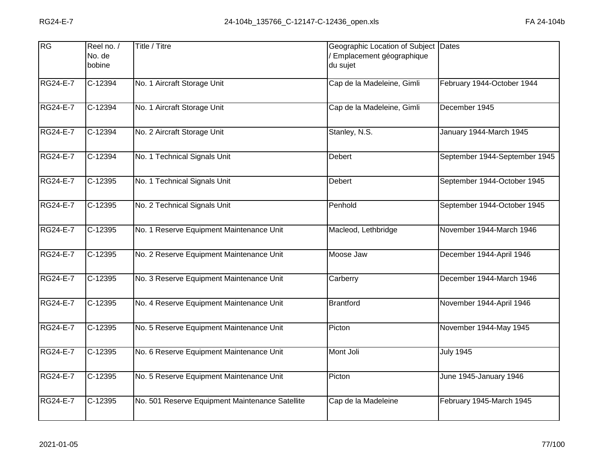| RG              | Reel no. /<br>No. de<br>bobine | Title / Titre                                   | Geographic Location of Subject Dates<br>Emplacement géographique<br>du sujet |                               |
|-----------------|--------------------------------|-------------------------------------------------|------------------------------------------------------------------------------|-------------------------------|
| <b>RG24-E-7</b> | C-12394                        | No. 1 Aircraft Storage Unit                     | Cap de la Madeleine, Gimli                                                   | February 1944-October 1944    |
| <b>RG24-E-7</b> | C-12394                        | No. 1 Aircraft Storage Unit                     | Cap de la Madeleine, Gimli                                                   | December 1945                 |
| <b>RG24-E-7</b> | C-12394                        | No. 2 Aircraft Storage Unit                     | Stanley, N.S.                                                                | January 1944-March 1945       |
| <b>RG24-E-7</b> | C-12394                        | No. 1 Technical Signals Unit                    | <b>Debert</b>                                                                | September 1944-September 1945 |
| <b>RG24-E-7</b> | $C-12395$                      | No. 1 Technical Signals Unit                    | <b>Debert</b>                                                                | September 1944-October 1945   |
| <b>RG24-E-7</b> | $C-12395$                      | No. 2 Technical Signals Unit                    | Penhold                                                                      | September 1944-October 1945   |
| <b>RG24-E-7</b> | $C-12395$                      | No. 1 Reserve Equipment Maintenance Unit        | Macleod, Lethbridge                                                          | November 1944-March 1946      |
| <b>RG24-E-7</b> | C-12395                        | No. 2 Reserve Equipment Maintenance Unit        | Moose Jaw                                                                    | December 1944-April 1946      |
| <b>RG24-E-7</b> | $C-12395$                      | No. 3 Reserve Equipment Maintenance Unit        | Carberry                                                                     | December 1944-March 1946      |
| <b>RG24-E-7</b> | $C-12395$                      | No. 4 Reserve Equipment Maintenance Unit        | <b>Brantford</b>                                                             | November 1944-April 1946      |
| <b>RG24-E-7</b> | C-12395                        | No. 5 Reserve Equipment Maintenance Unit        | Picton                                                                       | November 1944-May 1945        |
| <b>RG24-E-7</b> | $C-12395$                      | No. 6 Reserve Equipment Maintenance Unit        | Mont Joli                                                                    | <b>July 1945</b>              |
| RG24-E-7        | C-12395                        | No. 5 Reserve Equipment Maintenance Unit        | Picton                                                                       | June 1945-January 1946        |
| <b>RG24-E-7</b> | C-12395                        | No. 501 Reserve Equipment Maintenance Satellite | Cap de la Madeleine                                                          | February 1945-March 1945      |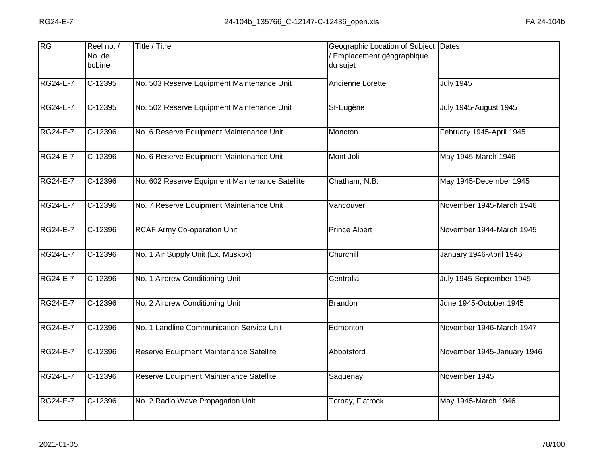| <b>RG</b>       | Reel no. /<br>No. de<br>bobine | <b>Title / Titre</b>                            | Geographic Location of Subject Dates<br>/ Emplacement géographique<br>du sujet |                              |
|-----------------|--------------------------------|-------------------------------------------------|--------------------------------------------------------------------------------|------------------------------|
| <b>RG24-E-7</b> | $C-12395$                      | No. 503 Reserve Equipment Maintenance Unit      | Ancienne Lorette                                                               | <b>July 1945</b>             |
| <b>RG24-E-7</b> | C-12395                        | No. 502 Reserve Equipment Maintenance Unit      | St-Eugène                                                                      | <b>July 1945-August 1945</b> |
| <b>RG24-E-7</b> | C-12396                        | No. 6 Reserve Equipment Maintenance Unit        | Moncton                                                                        | February 1945-April 1945     |
| <b>RG24-E-7</b> | C-12396                        | No. 6 Reserve Equipment Maintenance Unit        | Mont Joli                                                                      | May 1945-March 1946          |
| <b>RG24-E-7</b> | $C-12396$                      | No. 602 Reserve Equipment Maintenance Satellite | Chatham, N.B.                                                                  | May 1945-December 1945       |
| <b>RG24-E-7</b> | C-12396                        | No. 7 Reserve Equipment Maintenance Unit        | Vancouver                                                                      | November 1945-March 1946     |
| <b>RG24-E-7</b> | C-12396                        | <b>RCAF Army Co-operation Unit</b>              | <b>Prince Albert</b>                                                           | November 1944-March 1945     |
| <b>RG24-E-7</b> | C-12396                        | No. 1 Air Supply Unit (Ex. Muskox)              | Churchill                                                                      | January 1946-April 1946      |
| <b>RG24-E-7</b> | C-12396                        | No. 1 Aircrew Conditioning Unit                 | Centralia                                                                      | July 1945-September 1945     |
| <b>RG24-E-7</b> | $C-12396$                      | No. 2 Aircrew Conditioning Unit                 | <b>Brandon</b>                                                                 | June 1945-October 1945       |
| <b>RG24-E-7</b> | $C-12396$                      | No. 1 Landline Communication Service Unit       | Edmonton                                                                       | November 1946-March 1947     |
| <b>RG24-E-7</b> | C-12396                        | Reserve Equipment Maintenance Satellite         | Abbotsford                                                                     | November 1945-January 1946   |
| $RG24-E-7$      | $\overline{C}$ -12396          | Reserve Equipment Maintenance Satellite         | Saguenay                                                                       | November 1945                |
| <b>RG24-E-7</b> | C-12396                        | No. 2 Radio Wave Propagation Unit               | Torbay, Flatrock                                                               | May 1945-March 1946          |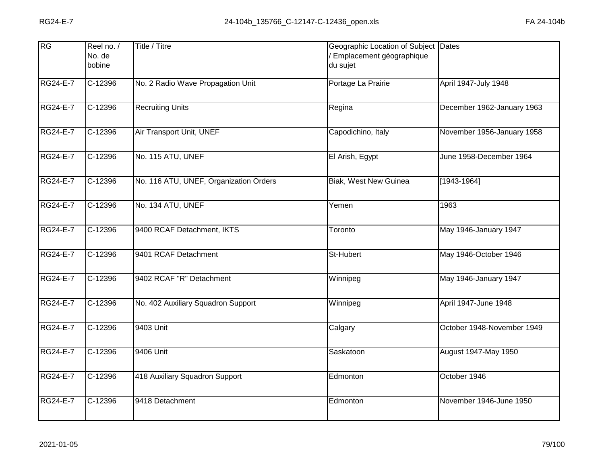| RG              | Reel no. /<br>No. de<br>bobine | Title / Titre                          | Geographic Location of Subject Dates<br>/ Emplacement géographique<br>du sujet |                            |
|-----------------|--------------------------------|----------------------------------------|--------------------------------------------------------------------------------|----------------------------|
| <b>RG24-E-7</b> | C-12396                        | No. 2 Radio Wave Propagation Unit      | Portage La Prairie                                                             | April 1947-July 1948       |
| <b>RG24-E-7</b> | C-12396                        | <b>Recruiting Units</b>                | Regina                                                                         | December 1962-January 1963 |
| <b>RG24-E-7</b> | C-12396                        | Air Transport Unit, UNEF               | Capodichino, Italy                                                             | November 1956-January 1958 |
| <b>RG24-E-7</b> | C-12396                        | No. 115 ATU, UNEF                      | El Arish, Egypt                                                                | June 1958-December 1964    |
| <b>RG24-E-7</b> | C-12396                        | No. 116 ATU, UNEF, Organization Orders | <b>Biak, West New Guinea</b>                                                   | $[1943 - 1964]$            |
| <b>RG24-E-7</b> | C-12396                        | No. 134 ATU, UNEF                      | Yemen                                                                          | 1963                       |
| <b>RG24-E-7</b> | $C-12396$                      | 9400 RCAF Detachment, IKTS             | Toronto                                                                        | May 1946-January 1947      |
| <b>RG24-E-7</b> | C-12396                        | 9401 RCAF Detachment                   | St-Hubert                                                                      | May 1946-October 1946      |
| <b>RG24-E-7</b> | C-12396                        | 9402 RCAF "R" Detachment               | Winnipeg                                                                       | May 1946-January 1947      |
| <b>RG24-E-7</b> | C-12396                        | No. 402 Auxiliary Squadron Support     | Winnipeg                                                                       | April 1947-June 1948       |
| <b>RG24-E-7</b> | $\overline{C}$ -12396          | 9403 Unit                              | Calgary                                                                        | October 1948-November 1949 |
| <b>RG24-E-7</b> | C-12396                        | 9406 Unit                              | Saskatoon                                                                      | August 1947-May 1950       |
| <b>RG24-E-7</b> | $\overline{C}$ -12396          | 418 Auxiliary Squadron Support         | Edmonton                                                                       | October 1946               |
| <b>RG24-E-7</b> | C-12396                        | 9418 Detachment                        | Edmonton                                                                       | November 1946-June 1950    |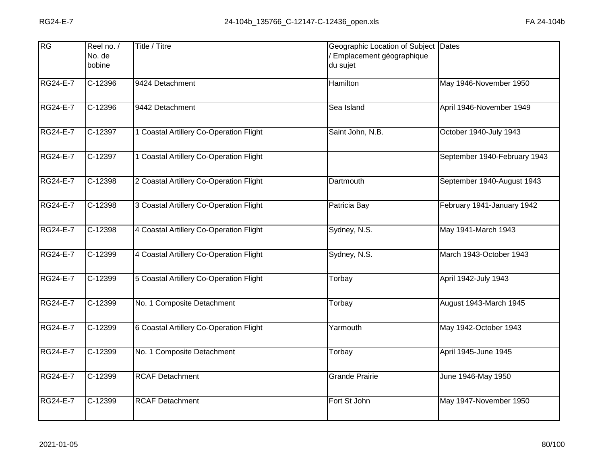| RG              | Reel no. /<br>No. de<br>bobine | <b>Title / Titre</b>                    | Geographic Location of Subject Dates<br>Emplacement géographique<br>du sujet |                              |
|-----------------|--------------------------------|-----------------------------------------|------------------------------------------------------------------------------|------------------------------|
| <b>RG24-E-7</b> | C-12396                        | 9424 Detachment                         | Hamilton                                                                     | May 1946-November 1950       |
| <b>RG24-E-7</b> | C-12396                        | 9442 Detachment                         | Sea Island                                                                   | April 1946-November 1949     |
| <b>RG24-E-7</b> | C-12397                        | 1 Coastal Artillery Co-Operation Flight | Saint John, N.B.                                                             | October 1940-July 1943       |
| <b>RG24-E-7</b> | $C-12397$                      | 1 Coastal Artillery Co-Operation Flight |                                                                              | September 1940-February 1943 |
| <b>RG24-E-7</b> | C-12398                        | 2 Coastal Artillery Co-Operation Flight | Dartmouth                                                                    | September 1940-August 1943   |
| <b>RG24-E-7</b> | C-12398                        | 3 Coastal Artillery Co-Operation Flight | Patricia Bay                                                                 | February 1941-January 1942   |
| <b>RG24-E-7</b> | $C-12398$                      | 4 Coastal Artillery Co-Operation Flight | Sydney, N.S.                                                                 | May 1941-March 1943          |
| <b>RG24-E-7</b> | C-12399                        | 4 Coastal Artillery Co-Operation Flight | Sydney, N.S.                                                                 | March 1943-October 1943      |
| <b>RG24-E-7</b> | C-12399                        | 5 Coastal Artillery Co-Operation Flight | Torbay                                                                       | April 1942-July 1943         |
| <b>RG24-E-7</b> | $C-12399$                      | No. 1 Composite Detachment              | Torbay                                                                       | August 1943-March 1945       |
| RG24-E-7        | C-12399                        | 6 Coastal Artillery Co-Operation Flight | Yarmouth                                                                     | May 1942-October 1943        |
| <b>RG24-E-7</b> | C-12399                        | No. 1 Composite Detachment              | Torbay                                                                       | April 1945-June 1945         |
| <b>RG24-E-7</b> | $\overline{C}$ -12399          | <b>RCAF Detachment</b>                  | <b>Grande Prairie</b>                                                        | June 1946-May 1950           |
| <b>RG24-E-7</b> | C-12399                        | <b>RCAF Detachment</b>                  | Fort St John                                                                 | May 1947-November 1950       |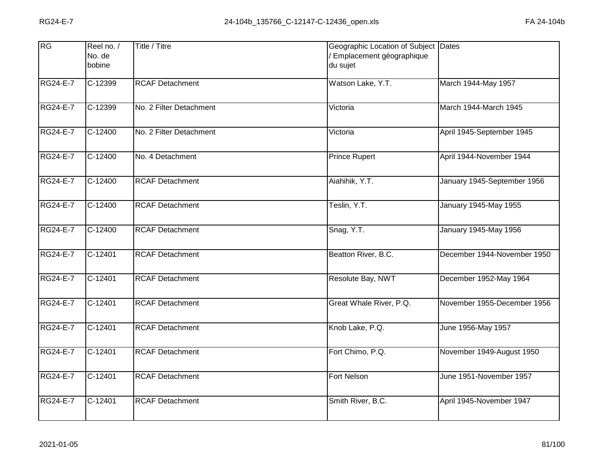| RG              | Reel no. /<br>No. de<br>bobine | Title / Titre           | Geographic Location of Subject Dates<br>Emplacement géographique<br>du sujet |                              |
|-----------------|--------------------------------|-------------------------|------------------------------------------------------------------------------|------------------------------|
| <b>RG24-E-7</b> | C-12399                        | <b>RCAF Detachment</b>  | Watson Lake, Y.T.                                                            | March 1944-May 1957          |
| <b>RG24-E-7</b> | $\overline{C}$ -12399          | No. 2 Filter Detachment | Victoria                                                                     | March 1944-March 1945        |
| <b>RG24-E-7</b> | $C-12400$                      | No. 2 Filter Detachment | Victoria                                                                     | April 1945-September 1945    |
| <b>RG24-E-7</b> | C-12400                        | No. 4 Detachment        | <b>Prince Rupert</b>                                                         | April 1944-November 1944     |
| <b>RG24-E-7</b> | $C-12400$                      | <b>RCAF Detachment</b>  | Aiahihik, Y.T.                                                               | January 1945-September 1956  |
| <b>RG24-E-7</b> | C-12400                        | <b>RCAF Detachment</b>  | Teslin, Y.T.                                                                 | <b>January 1945-May 1955</b> |
| <b>RG24-E-7</b> | $C-12400$                      | <b>RCAF Detachment</b>  | Snag, Y.T.                                                                   | January 1945-May 1956        |
| <b>RG24-E-7</b> | $C-12401$                      | <b>RCAF Detachment</b>  | Beatton River, B.C.                                                          | December 1944-November 1950  |
| <b>RG24-E-7</b> | $C-12401$                      | <b>RCAF Detachment</b>  | Resolute Bay, NWT                                                            | December 1952-May 1964       |
| <b>RG24-E-7</b> | $C-12401$                      | <b>RCAF Detachment</b>  | Great Whale River, P.Q.                                                      | November 1955-December 1956  |
| <b>RG24-E-7</b> | $\overline{C}$ -12401          | <b>RCAF Detachment</b>  | Knob Lake, P.Q.                                                              | June 1956-May 1957           |
| <b>RG24-E-7</b> | $C-12401$                      | <b>RCAF Detachment</b>  | Fort Chimo, P.Q.                                                             | November 1949-August 1950    |
| <b>RG24-E-7</b> | $C-12401$                      | <b>RCAF Detachment</b>  | <b>Fort Nelson</b>                                                           | June 1951-November 1957      |
| <b>RG24-E-7</b> | $C-12401$                      | <b>RCAF Detachment</b>  | Smith River, B.C.                                                            | April 1945-November 1947     |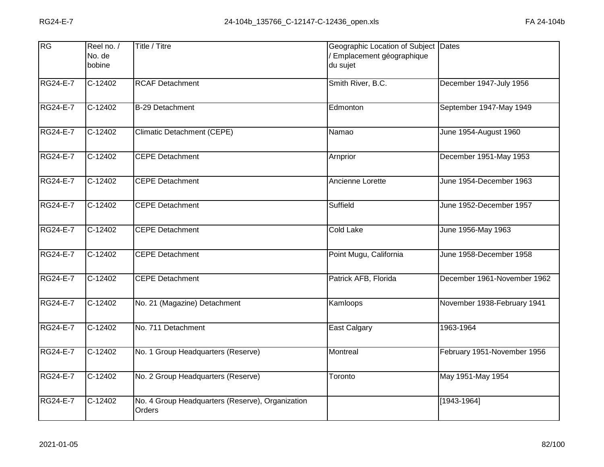| <b>RG</b>       | Reel no. /<br>No. de<br>bobine | <b>Title / Titre</b>                                              | Geographic Location of Subject Dates<br>Emplacement géographique<br>du sujet |                             |
|-----------------|--------------------------------|-------------------------------------------------------------------|------------------------------------------------------------------------------|-----------------------------|
| <b>RG24-E-7</b> | $C-12402$                      | <b>RCAF Detachment</b>                                            | Smith River, B.C.                                                            | December 1947-July 1956     |
| <b>RG24-E-7</b> | C-12402                        | B-29 Detachment                                                   | Edmonton                                                                     | September 1947-May 1949     |
| <b>RG24-E-7</b> | $C-12402$                      | <b>Climatic Detachment (CEPE)</b>                                 | Namao                                                                        | June 1954-August 1960       |
| <b>RG24-E-7</b> | $C-12402$                      | <b>CEPE Detachment</b>                                            | Arnprior                                                                     | December 1951-May 1953      |
| <b>RG24-E-7</b> | $C-12402$                      | <b>CEPE Detachment</b>                                            | Ancienne Lorette                                                             | June 1954-December 1963     |
| <b>RG24-E-7</b> | $C-12402$                      | <b>CEPE Detachment</b>                                            | Suffield                                                                     | June 1952-December 1957     |
| <b>RG24-E-7</b> | $C-12402$                      | <b>CEPE Detachment</b>                                            | <b>Cold Lake</b>                                                             | June 1956-May 1963          |
| <b>RG24-E-7</b> | $C-12402$                      | <b>CEPE Detachment</b>                                            | Point Mugu, California                                                       | June 1958-December 1958     |
| <b>RG24-E-7</b> | $C-12402$                      | <b>CEPE Detachment</b>                                            | Patrick AFB, Florida                                                         | December 1961-November 1962 |
| <b>RG24-E-7</b> | C-12402                        | No. 21 (Magazine) Detachment                                      | Kamloops                                                                     | November 1938-February 1941 |
| <b>RG24-E-7</b> | $\overline{C}$ -12402          | No. 711 Detachment                                                | East Calgary                                                                 | 1963-1964                   |
| <b>RG24-E-7</b> | $C-12402$                      | No. 1 Group Headquarters (Reserve)                                | Montreal                                                                     | February 1951-November 1956 |
| <b>RG24-E-7</b> | $C-12402$                      | No. 2 Group Headquarters (Reserve)                                | Toronto                                                                      | May 1951-May 1954           |
| <b>RG24-E-7</b> | $C-12402$                      | No. 4 Group Headquarters (Reserve), Organization<br><b>Orders</b> |                                                                              | $[1943 - 1964]$             |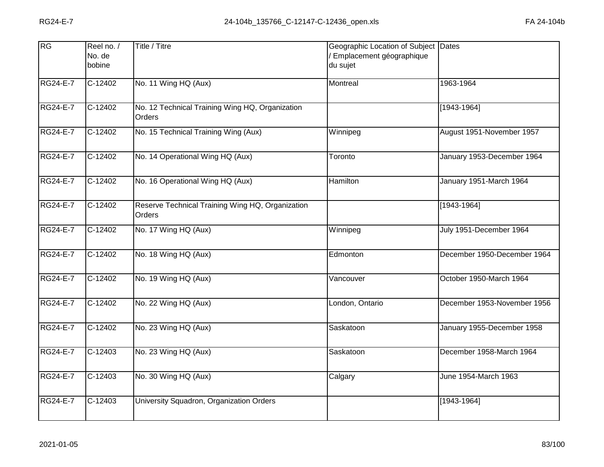| RG              | Reel no. /<br>No. de<br>bobine | Title / Titre                                                    | Geographic Location of Subject Dates<br>Emplacement géographique<br>du sujet |                             |
|-----------------|--------------------------------|------------------------------------------------------------------|------------------------------------------------------------------------------|-----------------------------|
| <b>RG24-E-7</b> | $C-12402$                      | No. 11 Wing HQ (Aux)                                             | Montreal                                                                     | 1963-1964                   |
| RG24-E-7        | C-12402                        | No. 12 Technical Training Wing HQ, Organization<br><b>Orders</b> |                                                                              | $[1943 - 1964]$             |
| <b>RG24-E-7</b> | $C-12402$                      | No. 15 Technical Training Wing (Aux)                             | Winnipeg                                                                     | August 1951-November 1957   |
| <b>RG24-E-7</b> | C-12402                        | No. 14 Operational Wing HQ (Aux)                                 | Toronto                                                                      | January 1953-December 1964  |
| <b>RG24-E-7</b> | $C-12402$                      | No. 16 Operational Wing HQ (Aux)                                 | Hamilton                                                                     | January 1951-March 1964     |
| RG24-E-7        | C-12402                        | Reserve Technical Training Wing HQ, Organization<br>Orders       |                                                                              | $[1943 - 1964]$             |
| RG24-E-7        | $C-12402$                      | No. 17 Wing HQ (Aux)                                             | Winnipeg                                                                     | July 1951-December 1964     |
| <b>RG24-E-7</b> | $C-12402$                      | No. 18 Wing HQ (Aux)                                             | Edmonton                                                                     | December 1950-December 1964 |
| <b>RG24-E-7</b> | $C-12402$                      | No. 19 Wing HQ (Aux)                                             | Vancouver                                                                    | October 1950-March 1964     |
| <b>RG24-E-7</b> | $C-12402$                      | No. 22 Wing HQ (Aux)                                             | London, Ontario                                                              | December 1953-November 1956 |
| <b>RG24-E-7</b> | C-12402                        | No. 23 Wing HQ (Aux)                                             | Saskatoon                                                                    | January 1955-December 1958  |
| <b>RG24-E-7</b> | $C-12403$                      | No. 23 Wing HQ (Aux)                                             | Saskatoon                                                                    | December 1958-March 1964    |
| <b>RG24-E-7</b> | $\overline{C}$ -12403          | No. 30 Wing HQ (Aux)                                             | Calgary                                                                      | June 1954-March 1963        |
| <b>RG24-E-7</b> | C-12403                        | University Squadron, Organization Orders                         |                                                                              | [1943-1964]                 |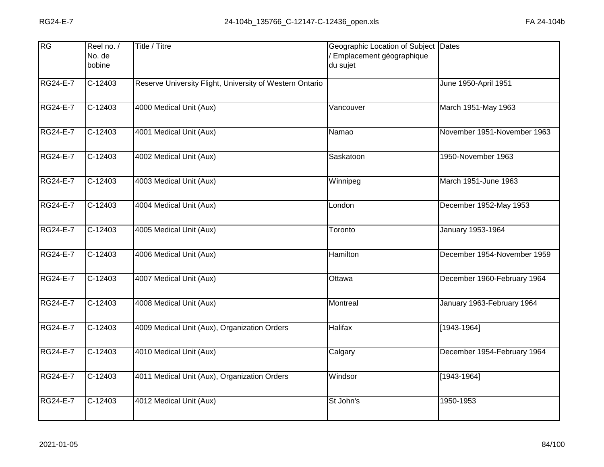| RG              | Reel no. /<br>No. de<br>bobine | Title / Titre                                            | Geographic Location of Subject Dates<br>Emplacement géographique<br>du sujet |                             |
|-----------------|--------------------------------|----------------------------------------------------------|------------------------------------------------------------------------------|-----------------------------|
| <b>RG24-E-7</b> | $C-12403$                      | Reserve University Flight, University of Western Ontario |                                                                              | June 1950-April 1951        |
| RG24-E-7        | $\overline{C}$ -12403          | 4000 Medical Unit (Aux)                                  | Vancouver                                                                    | March 1951-May 1963         |
| <b>RG24-E-7</b> | $C-12403$                      | 4001 Medical Unit (Aux)                                  | Namao                                                                        | November 1951-November 1963 |
| <b>RG24-E-7</b> | C-12403                        | 4002 Medical Unit (Aux)                                  | Saskatoon                                                                    | 1950-November 1963          |
| <b>RG24-E-7</b> | $C-12403$                      | 4003 Medical Unit (Aux)                                  | Winnipeg                                                                     | March 1951-June 1963        |
| <b>RG24-E-7</b> | C-12403                        | 4004 Medical Unit (Aux)                                  | London                                                                       | December 1952-May 1953      |
| <b>RG24-E-7</b> | $C-12403$                      | 4005 Medical Unit (Aux)                                  | Toronto                                                                      | January 1953-1964           |
| <b>RG24-E-7</b> | $C-12403$                      | 4006 Medical Unit (Aux)                                  | <b>Hamilton</b>                                                              | December 1954-November 1959 |
| <b>RG24-E-7</b> | C-12403                        | 4007 Medical Unit (Aux)                                  | Ottawa                                                                       | December 1960-February 1964 |
| <b>RG24-E-7</b> | $C-12403$                      | 4008 Medical Unit (Aux)                                  | Montreal                                                                     | January 1963-February 1964  |
| <b>RG24-E-7</b> | C-12403                        | 4009 Medical Unit (Aux), Organization Orders             | Halifax                                                                      | $[1943 - 1964]$             |
| <b>RG24-E-7</b> | $C-12403$                      | 4010 Medical Unit (Aux)                                  | Calgary                                                                      | December 1954-February 1964 |
| <b>RG24-E-7</b> | $\overline{C}$ -12403          | 4011 Medical Unit (Aux), Organization Orders             | Windsor                                                                      | $[1943 - 1964]$             |
| <b>RG24-E-7</b> | C-12403                        | 4012 Medical Unit (Aux)                                  | St John's                                                                    | 1950-1953                   |
|                 |                                |                                                          |                                                                              |                             |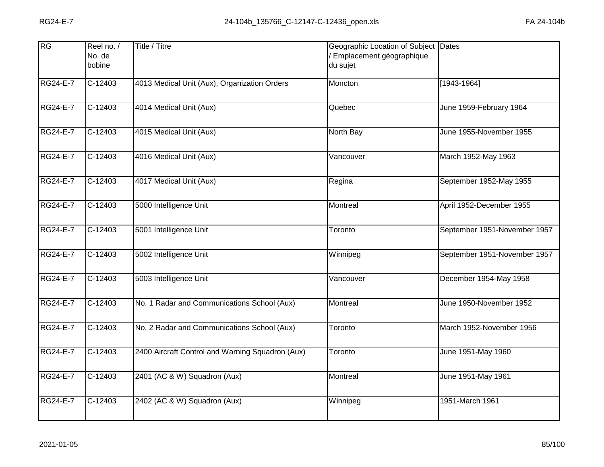| Reel no. /<br>No. de<br>bobine | Title / Titre                                    | Geographic Location of Subject Dates<br>Emplacement géographique<br>du sujet |                              |
|--------------------------------|--------------------------------------------------|------------------------------------------------------------------------------|------------------------------|
| C-12403                        | 4013 Medical Unit (Aux), Organization Orders     | Moncton                                                                      | $[1943 - 1964]$              |
| C-12403                        | 4014 Medical Unit (Aux)                          | Quebec                                                                       | June 1959-February 1964      |
| $C-12403$                      | 4015 Medical Unit (Aux)                          | North Bay                                                                    | June 1955-November 1955      |
| C-12403                        | 4016 Medical Unit (Aux)                          | Vancouver                                                                    | March 1952-May 1963          |
| $C-12403$                      | 4017 Medical Unit (Aux)                          | Regina                                                                       | September 1952-May 1955      |
| $C-12403$                      | 5000 Intelligence Unit                           | Montreal                                                                     | April 1952-December 1955     |
| $C-12403$                      | 5001 Intelligence Unit                           | Toronto                                                                      | September 1951-November 1957 |
| $C-12403$                      | 5002 Intelligence Unit                           | Winnipeg                                                                     | September 1951-November 1957 |
| C-12403                        | 5003 Intelligence Unit                           | Vancouver                                                                    | December 1954-May 1958       |
| $C-12403$                      | No. 1 Radar and Communications School (Aux)      | Montreal                                                                     | June 1950-November 1952      |
| $\overline{C}$ -12403          | No. 2 Radar and Communications School (Aux)      | Toronto                                                                      | March 1952-November 1956     |
| $C-12403$                      | 2400 Aircraft Control and Warning Squadron (Aux) | Toronto                                                                      | June 1951-May 1960           |
| $\overline{C}$ -12403          | 2401 (AC & W) Squadron (Aux)                     | Montreal                                                                     | June 1951-May 1961           |
| C-12403                        | 2402 (AC & W) Squadron (Aux)                     | Winnipeg                                                                     | 1951-March 1961              |
|                                |                                                  |                                                                              |                              |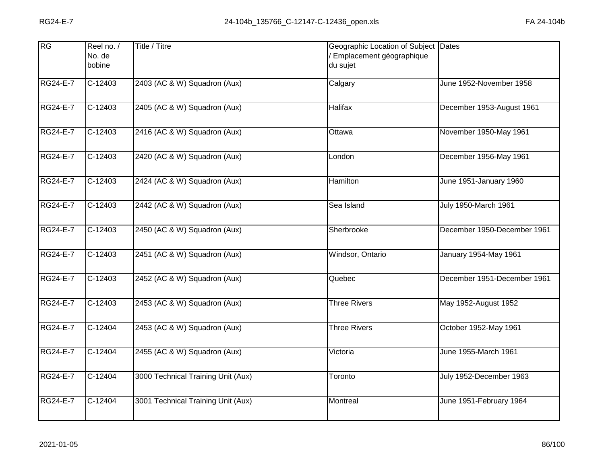| RG              | Reel no. /<br>No. de<br>bobine | Title / Titre                      | Geographic Location of Subject Dates<br>Emplacement géographique<br>du sujet |                             |
|-----------------|--------------------------------|------------------------------------|------------------------------------------------------------------------------|-----------------------------|
| <b>RG24-E-7</b> | $C-12403$                      | 2403 (AC & W) Squadron (Aux)       | Calgary                                                                      | June 1952-November 1958     |
| <b>RG24-E-7</b> | C-12403                        | 2405 (AC & W) Squadron (Aux)       | Halifax                                                                      | December 1953-August 1961   |
| <b>RG24-E-7</b> | $C-12403$                      | 2416 (AC & W) Squadron (Aux)       | Ottawa                                                                       | November 1950-May 1961      |
| <b>RG24-E-7</b> | C-12403                        | 2420 (AC & W) Squadron (Aux)       | London                                                                       | December 1956-May 1961      |
| <b>RG24-E-7</b> | $C-12403$                      | 2424 (AC & W) Squadron (Aux)       | Hamilton                                                                     | June 1951-January 1960      |
| <b>RG24-E-7</b> | C-12403                        | 2442 (AC & W) Squadron (Aux)       | Sea Island                                                                   | July 1950-March 1961        |
| <b>RG24-E-7</b> | $C-12403$                      | 2450 (AC & W) Squadron (Aux)       | Sherbrooke                                                                   | December 1950-December 1961 |
| <b>RG24-E-7</b> | $C-12403$                      | 2451 (AC & W) Squadron (Aux)       | Windsor, Ontario                                                             | January 1954-May 1961       |
| <b>RG24-E-7</b> | C-12403                        | 2452 (AC & W) Squadron (Aux)       | Quebec                                                                       | December 1951-December 1961 |
| <b>RG24-E-7</b> | $C-12403$                      | 2453 (AC & W) Squadron (Aux)       | <b>Three Rivers</b>                                                          | May 1952-August 1952        |
| <b>RG24-E-7</b> | C-12404                        | 2453 (AC & W) Squadron (Aux)       | <b>Three Rivers</b>                                                          | October 1952-May 1961       |
| <b>RG24-E-7</b> | $C-12404$                      | 2455 (AC & W) Squadron (Aux)       | Victoria                                                                     | June 1955-March 1961        |
| <b>RG24-E-7</b> | $\overline{C}$ -12404          | 3000 Technical Training Unit (Aux) | Toronto                                                                      | July 1952-December 1963     |
| <b>RG24-E-7</b> | C-12404                        | 3001 Technical Training Unit (Aux) | Montreal                                                                     | June 1951-February 1964     |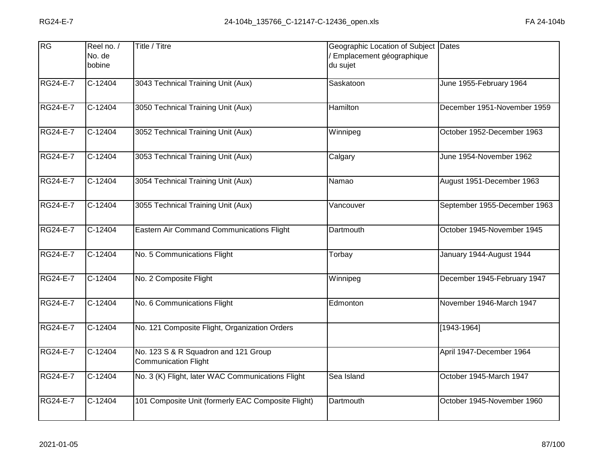| RG              | Reel no. /<br>No. de<br>bobine | Title / Titre                                                       | Geographic Location of Subject Dates<br>Emplacement géographique<br>du sujet |                              |
|-----------------|--------------------------------|---------------------------------------------------------------------|------------------------------------------------------------------------------|------------------------------|
| <b>RG24-E-7</b> | C-12404                        | 3043 Technical Training Unit (Aux)                                  | Saskatoon                                                                    | June 1955-February 1964      |
| RG24-E-7        | $C-12404$                      | 3050 Technical Training Unit (Aux)                                  | Hamilton                                                                     | December 1951-November 1959  |
| <b>RG24-E-7</b> | $C-12404$                      | 3052 Technical Training Unit (Aux)                                  | Winnipeg                                                                     | October 1952-December 1963   |
| RG24-E-7        | C-12404                        | 3053 Technical Training Unit (Aux)                                  | Calgary                                                                      | June 1954-November 1962      |
| <b>RG24-E-7</b> | $C-12404$                      | 3054 Technical Training Unit (Aux)                                  | Namao                                                                        | August 1951-December 1963    |
| <b>RG24-E-7</b> | $C-12404$                      | 3055 Technical Training Unit (Aux)                                  | Vancouver                                                                    | September 1955-December 1963 |
| <b>RG24-E-7</b> | $C-12404$                      | Eastern Air Command Communications Flight                           | Dartmouth                                                                    | October 1945-November 1945   |
| <b>RG24-E-7</b> | $C-12404$                      | No. 5 Communications Flight                                         | Torbay                                                                       | January 1944-August 1944     |
| <b>RG24-E-7</b> | C-12404                        | No. 2 Composite Flight                                              | Winnipeg                                                                     | December 1945-February 1947  |
| <b>RG24-E-7</b> | $C-12404$                      | No. 6 Communications Flight                                         | Edmonton                                                                     | November 1946-March 1947     |
| <b>RG24-E-7</b> | $C-12404$                      | No. 121 Composite Flight, Organization Orders                       |                                                                              | [1943-1964]                  |
| <b>RG24-E-7</b> | $C-12404$                      | No. 123 S & R Squadron and 121 Group<br><b>Communication Flight</b> |                                                                              | April 1947-December 1964     |
| RG24-E-7        | C-12404                        | No. 3 (K) Flight, later WAC Communications Flight                   | Sea Island                                                                   | October 1945-March 1947      |
| <b>RG24-E-7</b> | $C-12404$                      | 101 Composite Unit (formerly EAC Composite Flight)                  | Dartmouth                                                                    | October 1945-November 1960   |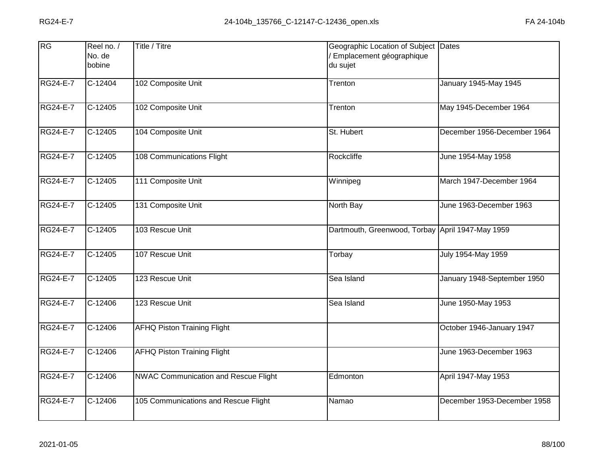| RG              | Reel no. /<br>No. de<br>bobine | <b>Title / Titre</b>                        | Geographic Location of Subject Dates<br>Emplacement géographique<br>du sujet |                             |
|-----------------|--------------------------------|---------------------------------------------|------------------------------------------------------------------------------|-----------------------------|
| <b>RG24-E-7</b> | C-12404                        | 102 Composite Unit                          | Trenton                                                                      | January 1945-May 1945       |
| <b>RG24-E-7</b> | C-12405                        | 102 Composite Unit                          | Trenton                                                                      | May 1945-December 1964      |
| <b>RG24-E-7</b> | $C-12405$                      | 104 Composite Unit                          | St. Hubert                                                                   | December 1956-December 1964 |
| <b>RG24-E-7</b> | $C-12405$                      | 108 Communications Flight                   | Rockcliffe                                                                   | June 1954-May 1958          |
| <b>RG24-E-7</b> | $C-12405$                      | 111 Composite Unit                          | Winnipeg                                                                     | March 1947-December 1964    |
| <b>RG24-E-7</b> | $C-12405$                      | 131 Composite Unit                          | North Bay                                                                    | June 1963-December 1963     |
| <b>RG24-E-7</b> | $C-12405$                      | 103 Rescue Unit                             | Dartmouth, Greenwood, Torbay April 1947-May 1959                             |                             |
| <b>RG24-E-7</b> | $C-12405$                      | 107 Rescue Unit                             | Torbay                                                                       | <b>July 1954-May 1959</b>   |
| <b>RG24-E-7</b> | C-12405                        | 123 Rescue Unit                             | Sea Island                                                                   | January 1948-September 1950 |
| <b>RG24-E-7</b> | $C-12406$                      | 123 Rescue Unit                             | Sea Island                                                                   | June 1950-May 1953          |
| RG24-E-7        | $C-12406$                      | <b>AFHQ Piston Training Flight</b>          |                                                                              | October 1946-January 1947   |
| <b>RG24-E-7</b> | $C-12406$                      | <b>AFHQ Piston Training Flight</b>          |                                                                              | June 1963-December 1963     |
| <b>RG24-E-7</b> | $C-12406$                      | <b>NWAC Communication and Rescue Flight</b> | Edmonton                                                                     | April 1947-May 1953         |
| <b>RG24-E-7</b> | $C-12406$                      | 105 Communications and Rescue Flight        | Namao                                                                        | December 1953-December 1958 |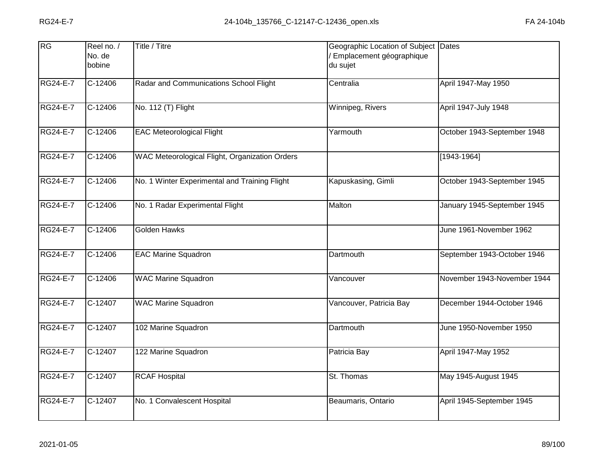| RG              | Reel no. /<br>No. de<br>bobine | Title / Titre                                  | Geographic Location of Subject Dates<br>Emplacement géographique<br>du sujet |                             |
|-----------------|--------------------------------|------------------------------------------------|------------------------------------------------------------------------------|-----------------------------|
| <b>RG24-E-7</b> | $C-12406$                      | Radar and Communications School Flight         | Centralia                                                                    | April 1947-May 1950         |
| <b>RG24-E-7</b> | C-12406                        | No. 112 (T) Flight                             | Winnipeg, Rivers                                                             | April 1947-July 1948        |
| <b>RG24-E-7</b> | $C-12406$                      | <b>EAC Meteorological Flight</b>               | Yarmouth                                                                     | October 1943-September 1948 |
| <b>RG24-E-7</b> | C-12406                        | WAC Meteorological Flight, Organization Orders |                                                                              | [1943-1964]                 |
| <b>RG24-E-7</b> | $C-12406$                      | No. 1 Winter Experimental and Training Flight  | Kapuskasing, Gimli                                                           | October 1943-September 1945 |
| <b>RG24-E-7</b> | C-12406                        | No. 1 Radar Experimental Flight                | Malton                                                                       | January 1945-September 1945 |
| <b>RG24-E-7</b> | $C-12406$                      | <b>Golden Hawks</b>                            |                                                                              | June 1961-November 1962     |
| <b>RG24-E-7</b> | $C-12406$                      | <b>EAC Marine Squadron</b>                     | Dartmouth                                                                    | September 1943-October 1946 |
| <b>RG24-E-7</b> | C-12406                        | <b>WAC Marine Squadron</b>                     | Vancouver                                                                    | November 1943-November 1944 |
| <b>RG24-E-7</b> | $C-12407$                      | <b>WAC Marine Squadron</b>                     | Vancouver, Patricia Bay                                                      | December 1944-October 1946  |
| <b>RG24-E-7</b> | C-12407                        | 102 Marine Squadron                            | Dartmouth                                                                    | June 1950-November 1950     |
| <b>RG24-E-7</b> | $C-12407$                      | 122 Marine Squadron                            | Patricia Bay                                                                 | April 1947-May 1952         |
| <b>RG24-E-7</b> | $\overline{C}$ -12407          | <b>RCAF Hospital</b>                           | St. Thomas                                                                   | May 1945-August 1945        |
| <b>RG24-E-7</b> | $C-12407$                      | No. 1 Convalescent Hospital                    | Beaumaris, Ontario                                                           | April 1945-September 1945   |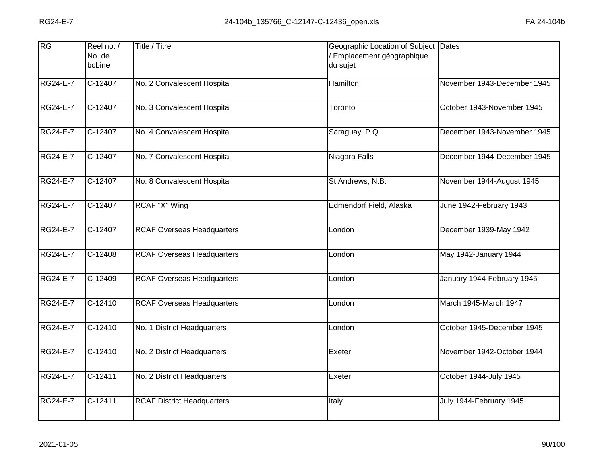| RG              | Reel no. /<br>No. de<br>bobine | Title / Titre                     | Geographic Location of Subject Dates<br>Emplacement géographique<br>du sujet |                             |
|-----------------|--------------------------------|-----------------------------------|------------------------------------------------------------------------------|-----------------------------|
| <b>RG24-E-7</b> | $C-12407$                      | No. 2 Convalescent Hospital       | <b>Hamilton</b>                                                              | November 1943-December 1945 |
| <b>RG24-E-7</b> | C-12407                        | No. 3 Convalescent Hospital       | Toronto                                                                      | October 1943-November 1945  |
| <b>RG24-E-7</b> | $C-12407$                      | No. 4 Convalescent Hospital       | Saraguay, P.Q.                                                               | December 1943-November 1945 |
| <b>RG24-E-7</b> | C-12407                        | No. 7 Convalescent Hospital       | Niagara Falls                                                                | December 1944-December 1945 |
| <b>RG24-E-7</b> | $C-12407$                      | No. 8 Convalescent Hospital       | St Andrews, N.B.                                                             | November 1944-August 1945   |
| <b>RG24-E-7</b> | $C-12407$                      | RCAF "X" Wing                     | Edmendorf Field, Alaska                                                      | June 1942-February 1943     |
| RG24-E-7        | $C-12407$                      | <b>RCAF Overseas Headquarters</b> | London                                                                       | December 1939-May 1942      |
| RG24-E-7        | $C-12408$                      | <b>RCAF Overseas Headquarters</b> | London                                                                       | May 1942-January 1944       |
| RG24-E-7        | $C-12409$                      | <b>RCAF Overseas Headquarters</b> | London                                                                       | January 1944-February 1945  |
| <b>RG24-E-7</b> | $C-12410$                      | <b>RCAF Overseas Headquarters</b> | London                                                                       | March 1945-March 1947       |
| <b>RG24-E-7</b> | C-12410                        | No. 1 District Headquarters       | London                                                                       | October 1945-December 1945  |
| <b>RG24-E-7</b> | $C-12410$                      | No. 2 District Headquarters       | Exeter                                                                       | November 1942-October 1944  |
| RG24-E-7        | $C-12411$                      | No. 2 District Headquarters       | Exeter                                                                       | October 1944-July 1945      |
| RG24-E-7        | $C-12411$                      | <b>RCAF District Headquarters</b> | Italy                                                                        | July 1944-February 1945     |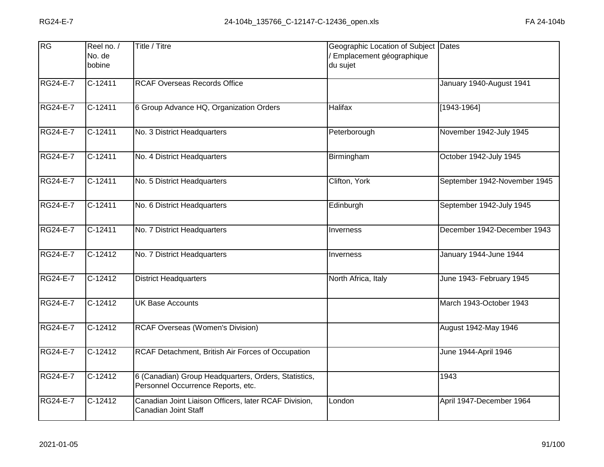| <b>RG</b>       | Reel no. /<br>No. de<br>bobine | Title / Titre                                                                              | Geographic Location of Subject Dates<br>Emplacement géographique<br>du sujet |                              |
|-----------------|--------------------------------|--------------------------------------------------------------------------------------------|------------------------------------------------------------------------------|------------------------------|
| <b>RG24-E-7</b> | $C-12411$                      | <b>RCAF Overseas Records Office</b>                                                        |                                                                              | January 1940-August 1941     |
| <b>RG24-E-7</b> | $C-12411$                      | 6 Group Advance HQ, Organization Orders                                                    | <b>Halifax</b>                                                               | $[1943-1964]$                |
| <b>RG24-E-7</b> | $C-12411$                      | No. 3 District Headquarters                                                                | Peterborough                                                                 | November 1942-July 1945      |
| <b>RG24-E-7</b> | $C-12411$                      | No. 4 District Headquarters                                                                | Birmingham                                                                   | October 1942-July 1945       |
| <b>RG24-E-7</b> | $C-12411$                      | No. 5 District Headquarters                                                                | Clifton, York                                                                | September 1942-November 1945 |
| <b>RG24-E-7</b> | $C-12411$                      | No. 6 District Headquarters                                                                | Edinburgh                                                                    | September 1942-July 1945     |
| <b>RG24-E-7</b> | $C-12411$                      | No. 7 District Headquarters                                                                | Inverness                                                                    | December 1942-December 1943  |
| <b>RG24-E-7</b> | $C-12412$                      | No. 7 District Headquarters                                                                | <i><b>Inverness</b></i>                                                      | January 1944-June 1944       |
| <b>RG24-E-7</b> | $C-12412$                      | <b>District Headquarters</b>                                                               | North Africa, Italy                                                          | June 1943- February 1945     |
| <b>RG24-E-7</b> | $C-12412$                      | <b>UK Base Accounts</b>                                                                    |                                                                              | March 1943-October 1943      |
| RG24-E-7        | $C-12412$                      | <b>RCAF Overseas (Women's Division)</b>                                                    |                                                                              | August 1942-May 1946         |
| <b>RG24-E-7</b> | $C-12412$                      | RCAF Detachment, British Air Forces of Occupation                                          |                                                                              | June 1944-April 1946         |
| <b>RG24-E-7</b> | $C-12412$                      | 6 (Canadian) Group Headquarters, Orders, Statistics,<br>Personnel Occurrence Reports, etc. |                                                                              | 1943                         |
| <b>RG24-E-7</b> | $C-12412$                      | Canadian Joint Liaison Officers, later RCAF Division,<br>Canadian Joint Staff              | London                                                                       | April 1947-December 1964     |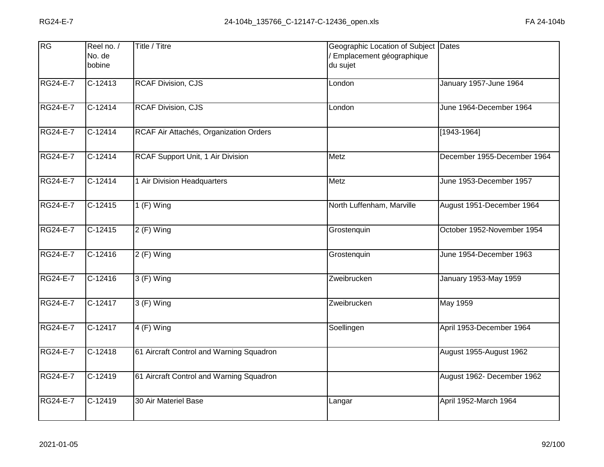| RG              | Reel no. /       | Title / Titre                            | Geographic Location of Subject Dates   |                             |
|-----------------|------------------|------------------------------------------|----------------------------------------|-----------------------------|
|                 | No. de<br>bobine |                                          | / Emplacement géographique<br>du sujet |                             |
| <b>RG24-E-7</b> | $C-12413$        | <b>RCAF Division, CJS</b>                | London                                 | January 1957-June 1964      |
| <b>RG24-E-7</b> | $C-12414$        | <b>RCAF Division, CJS</b>                | London                                 | June 1964-December 1964     |
| <b>RG24-E-7</b> | $C-12414$        | RCAF Air Attachés, Organization Orders   |                                        | $[1943 - 1964]$             |
| <b>RG24-E-7</b> | C-12414          | RCAF Support Unit, 1 Air Division        | Metz                                   | December 1955-December 1964 |
| <b>RG24-E-7</b> | $C-12414$        | 1 Air Division Headquarters              | Metz                                   | June 1953-December 1957     |
| <b>RG24-E-7</b> | C-12415          | $1(F)$ Wing                              | North Luffenham, Marville              | August 1951-December 1964   |
| <b>RG24-E-7</b> | $C-12415$        | $2(F)$ Wing                              | Grostenquin                            | October 1952-November 1954  |
| <b>RG24-E-7</b> | $C-12416$        | $2(F)$ Wing                              | Grostenquin                            | June 1954-December 1963     |
| <b>RG24-E-7</b> | C-12416          | $3(F)$ Wing                              | Zweibrucken                            | January 1953-May 1959       |
| <b>RG24-E-7</b> | $C-12417$        | $3(F)$ Wing                              | Zweibrucken                            | <b>May 1959</b>             |
| <b>RG24-E-7</b> | $C-12417$        | $4(F)$ Wing                              | Soellingen                             | April 1953-December 1964    |
| <b>RG24-E-7</b> | $C-12418$        | 61 Aircraft Control and Warning Squadron |                                        | August 1955-August 1962     |
| <b>RG24-E-7</b> | $C-12419$        | 61 Aircraft Control and Warning Squadron |                                        | August 1962- December 1962  |
| <b>RG24-E-7</b> | $C-12419$        | 30 Air Materiel Base                     | Langar                                 | April 1952-March 1964       |
|                 |                  |                                          |                                        |                             |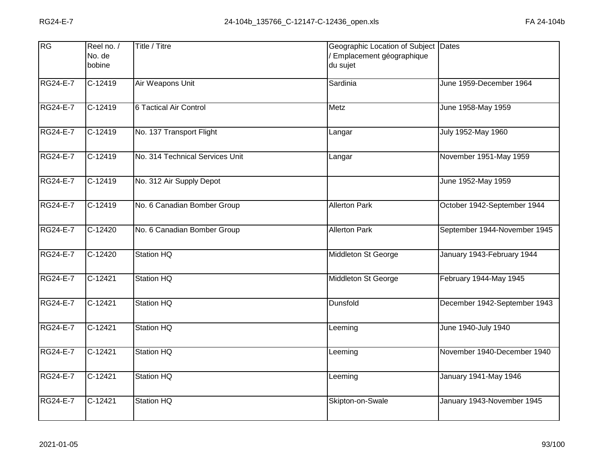| RG              | Reel no. /<br>No. de<br>bobine | Title / Titre                   | Geographic Location of Subject Dates<br>/ Emplacement géographique<br>du sujet |                              |
|-----------------|--------------------------------|---------------------------------|--------------------------------------------------------------------------------|------------------------------|
| RG24-E-7        | $C-12419$                      | Air Weapons Unit                | Sardinia                                                                       | June 1959-December 1964      |
| <b>RG24-E-7</b> | $C-12419$                      | 6 Tactical Air Control          | Metz                                                                           | June 1958-May 1959           |
| <b>RG24-E-7</b> | $C-12419$                      | No. 137 Transport Flight        | Langar                                                                         | <b>July 1952-May 1960</b>    |
| <b>RG24-E-7</b> | $C-12419$                      | No. 314 Technical Services Unit | Langar                                                                         | November 1951-May 1959       |
| <b>RG24-E-7</b> | $C-12419$                      | No. 312 Air Supply Depot        |                                                                                | June 1952-May 1959           |
| <b>RG24-E-7</b> | $C-12419$                      | No. 6 Canadian Bomber Group     | <b>Allerton Park</b>                                                           | October 1942-September 1944  |
| <b>RG24-E-7</b> | $C-12420$                      | No. 6 Canadian Bomber Group     | <b>Allerton Park</b>                                                           | September 1944-November 1945 |
| <b>RG24-E-7</b> | $C-12420$                      | Station HQ                      | Middleton St George                                                            | January 1943-February 1944   |
| <b>RG24-E-7</b> | $C-12421$                      | Station HQ                      | Middleton St George                                                            | February 1944-May 1945       |
| <b>RG24-E-7</b> | $C-12421$                      | <b>Station HQ</b>               | Dunsfold                                                                       | December 1942-September 1943 |
| <b>RG24-E-7</b> | C-12421                        | Station HQ                      | Leeming                                                                        | June 1940-July 1940          |
| <b>RG24-E-7</b> | $C-12421$                      | <b>Station HQ</b>               | Leeming                                                                        | November 1940-December 1940  |
| <b>RG24-E-7</b> | $C-12421$                      | Station HQ                      | Leeming                                                                        | January 1941-May 1946        |
| <b>RG24-E-7</b> | C-12421                        | Station HQ                      | Skipton-on-Swale                                                               | January 1943-November 1945   |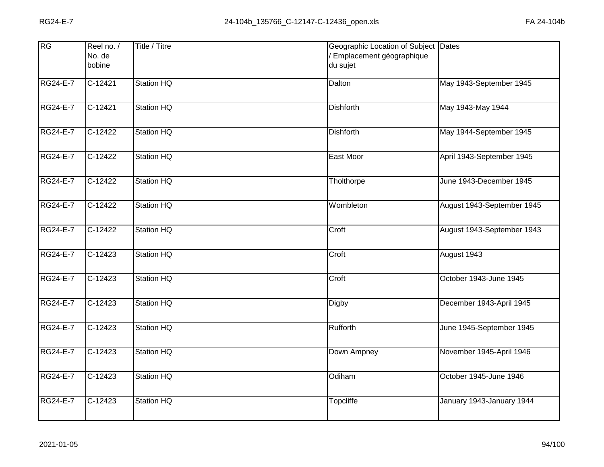| RG              | Reel no. /<br>No. de<br>bobine | Title / Titre     | Geographic Location of Subject Dates<br>Emplacement géographique<br>du sujet |                            |
|-----------------|--------------------------------|-------------------|------------------------------------------------------------------------------|----------------------------|
| <b>RG24-E-7</b> | $C-12421$                      | Station HQ        | Dalton                                                                       | May 1943-September 1945    |
| <b>RG24-E-7</b> | C-12421                        | Station HQ        | <b>Dishforth</b>                                                             | May 1943-May 1944          |
| <b>RG24-E-7</b> | $C-12422$                      | Station HQ        | <b>Dishforth</b>                                                             | May 1944-September 1945    |
| <b>RG24-E-7</b> | C-12422                        | Station HQ        | East Moor                                                                    | April 1943-September 1945  |
| <b>RG24-E-7</b> | $C-12422$                      | <b>Station HQ</b> | Tholthorpe                                                                   | June 1943-December 1945    |
| <b>RG24-E-7</b> | $C-12422$                      | Station HQ        | Wombleton                                                                    | August 1943-September 1945 |
| <b>RG24-E-7</b> | $C-12422$                      | Station HQ        | Croft                                                                        | August 1943-September 1943 |
| RG24-E-7        | $C-12423$                      | Station HQ        | Croft                                                                        | August 1943                |
| <b>RG24-E-7</b> | $C-12423$                      | Station HQ        | Croft                                                                        | October 1943-June 1945     |
| RG24-E-7        | $C-12423$                      | <b>Station HQ</b> | Digby                                                                        | December 1943-April 1945   |
| <b>RG24-E-7</b> | $\overline{C}$ -12423          | Station HQ        | Rufforth                                                                     | June 1945-September 1945   |
| <b>RG24-E-7</b> | $C-12423$                      | Station HQ        | Down Ampney                                                                  | November 1945-April 1946   |
| <b>RG24-E-7</b> | C-12423                        | Station HQ        | Odiham                                                                       | October 1945-June 1946     |
| <b>RG24-E-7</b> | $C-12423$                      | Station HQ        | <b>Topcliffe</b>                                                             | January 1943-January 1944  |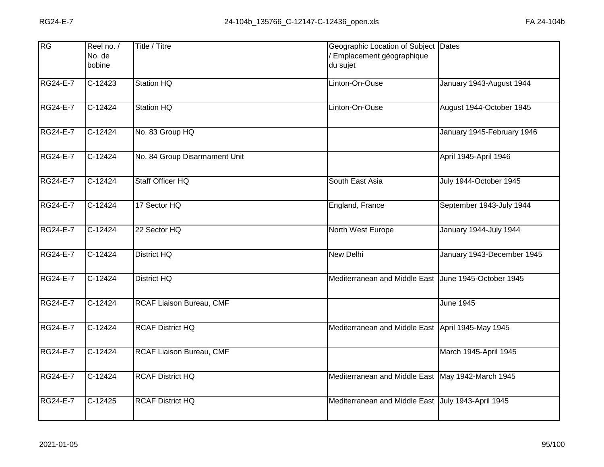| RG              | Reel no. /<br>No. de<br>bobine | Title / Titre                 | Geographic Location of Subject Dates<br>/ Emplacement géographique<br>du sujet |                            |
|-----------------|--------------------------------|-------------------------------|--------------------------------------------------------------------------------|----------------------------|
| <b>RG24-E-7</b> | $C-12423$                      | Station HQ                    | Linton-On-Ouse                                                                 | January 1943-August 1944   |
| <b>RG24-E-7</b> | C-12424                        | <b>Station HQ</b>             | Linton-On-Ouse                                                                 | August 1944-October 1945   |
| <b>RG24-E-7</b> | $C-12424$                      | No. 83 Group HQ               |                                                                                | January 1945-February 1946 |
| <b>RG24-E-7</b> | $C-12424$                      | No. 84 Group Disarmament Unit |                                                                                | April 1945-April 1946      |
| <b>RG24-E-7</b> | $C-12424$                      | Staff Officer HQ              | South East Asia                                                                | July 1944-October 1945     |
| <b>RG24-E-7</b> | $C-12424$                      | 17 Sector HQ                  | England, France                                                                | September 1943-July 1944   |
| <b>RG24-E-7</b> | $C-12424$                      | 22 Sector HQ                  | North West Europe                                                              | January 1944-July 1944     |
| <b>RG24-E-7</b> | C-12424                        | District HQ                   | New Delhi                                                                      | January 1943-December 1945 |
| <b>RG24-E-7</b> | C-12424                        | District HQ                   | Mediterranean and Middle East June 1945-October 1945                           |                            |
| <b>RG24-E-7</b> | $C-12424$                      | RCAF Liaison Bureau, CMF      |                                                                                | <b>June 1945</b>           |
| <b>RG24-E-7</b> | C-12424                        | <b>RCAF District HQ</b>       | Mediterranean and Middle East April 1945-May 1945                              |                            |
| <b>RG24-E-7</b> | $C-12424$                      | RCAF Liaison Bureau, CMF      |                                                                                | March 1945-April 1945      |
| <b>RG24-E-7</b> | $C-12424$                      | <b>RCAF District HQ</b>       | Mediterranean and Middle East                                                  | May 1942-March 1945        |
| <b>RG24-E-7</b> | $C-12425$                      | <b>RCAF District HQ</b>       | Mediterranean and Middle East                                                  | July 1943-April 1945       |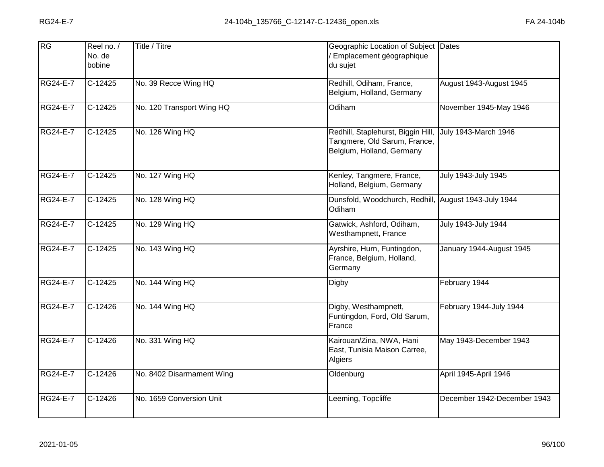| RG              | Reel no. /<br>No. de<br>bobine | Title / Titre             | Geographic Location of Subject Dates<br>/ Emplacement géographique<br>du sujet                  |                              |
|-----------------|--------------------------------|---------------------------|-------------------------------------------------------------------------------------------------|------------------------------|
| <b>RG24-E-7</b> | $C-12425$                      | No. 39 Recce Wing HQ      | Redhill, Odiham, France,<br>Belgium, Holland, Germany                                           | August 1943-August 1945      |
| <b>RG24-E-7</b> | $C-12425$                      | No. 120 Transport Wing HQ | Odiham                                                                                          | November 1945-May 1946       |
| <b>RG24-E-7</b> | $C-12425$                      | No. 126 Wing HQ           | Redhill, Staplehurst, Biggin Hill,<br>Tangmere, Old Sarum, France,<br>Belgium, Holland, Germany | <b>July 1943-March 1946</b>  |
| <b>RG24-E-7</b> | C-12425                        | No. 127 Wing HQ           | Kenley, Tangmere, France,<br>Holland, Belgium, Germany                                          | July 1943-July 1945          |
| <b>RG24-E-7</b> | $C-12425$                      | No. 128 Wing HQ           | Dunsfold, Woodchurch, Redhill,<br>Odiham                                                        | <b>August 1943-July 1944</b> |
| <b>RG24-E-7</b> | $C-12425$                      | No. 129 Wing HQ           | Gatwick, Ashford, Odiham,<br>Westhampnett, France                                               | <b>July 1943-July 1944</b>   |
| RG24-E-7        | $C-12425$                      | No. 143 Wing HQ           | Ayrshire, Hurn, Funtingdon,<br>France, Belgium, Holland,<br>Germany                             | January 1944-August 1945     |
| <b>RG24-E-7</b> | $C-12425$                      | No. 144 Wing HQ           | <b>Digby</b>                                                                                    | February 1944                |
| RG24-E-7        | C-12426                        | No. 144 Wing HQ           | Digby, Westhampnett,<br>Funtingdon, Ford, Old Sarum,<br>France                                  | February 1944-July 1944      |
| <b>RG24-E-7</b> | $C-12426$                      | No. 331 Wing HQ           | Kairouan/Zina, NWA, Hani<br>East, Tunisia Maison Carree,<br>Algiers                             | May 1943-December 1943       |
| <b>RG24-E-7</b> | $C-12426$                      | No. 8402 Disarmament Wing | Oldenburg                                                                                       | April 1945-April 1946        |
| <b>RG24-E-7</b> | $C-12426$                      | No. 1659 Conversion Unit  | Leeming, Topcliffe                                                                              | December 1942-December 1943  |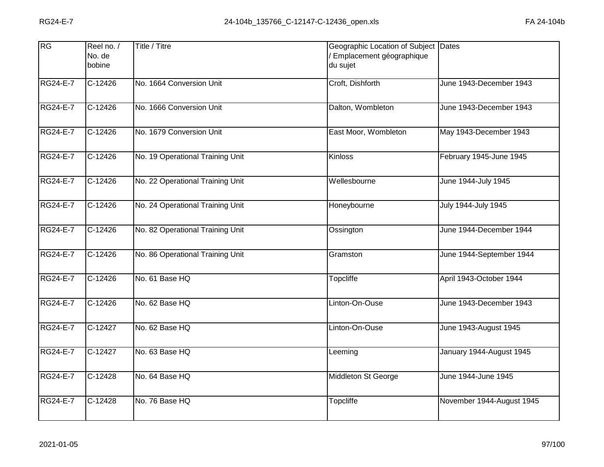| RG              | Reel no. /<br>No. de<br>bobine | Title / Titre                    | Geographic Location of Subject Dates<br>/ Emplacement géographique<br>du sujet |                           |
|-----------------|--------------------------------|----------------------------------|--------------------------------------------------------------------------------|---------------------------|
| <b>RG24-E-7</b> | $C-12426$                      | No. 1664 Conversion Unit         | Croft, Dishforth                                                               | June 1943-December 1943   |
| <b>RG24-E-7</b> | $C-12426$                      | No. 1666 Conversion Unit         | Dalton, Wombleton                                                              | June 1943-December 1943   |
| <b>RG24-E-7</b> | C-12426                        | No. 1679 Conversion Unit         | East Moor, Wombleton                                                           | May 1943-December 1943    |
| <b>RG24-E-7</b> | $C-12426$                      | No. 19 Operational Training Unit | Kinloss                                                                        | February 1945-June 1945   |
| <b>RG24-E-7</b> | $C-12426$                      | No. 22 Operational Training Unit | Wellesbourne                                                                   | June 1944-July 1945       |
| <b>RG24-E-7</b> | $C-12426$                      | No. 24 Operational Training Unit | Honeybourne                                                                    | July 1944-July 1945       |
| <b>RG24-E-7</b> | $C-12426$                      | No. 82 Operational Training Unit | Ossington                                                                      | June 1944-December 1944   |
| <b>RG24-E-7</b> | C-12426                        | No. 86 Operational Training Unit | Gramston                                                                       | June 1944-September 1944  |
| <b>RG24-E-7</b> | C-12426                        | No. 61 Base HQ                   | Topcliffe                                                                      | April 1943-October 1944   |
| <b>RG24-E-7</b> | $C-12426$                      | No. 62 Base HQ                   | Linton-On-Ouse                                                                 | June 1943-December 1943   |
| <b>RG24-E-7</b> | C-12427                        | No. 62 Base HQ                   | Linton-On-Ouse                                                                 | June 1943-August 1945     |
| <b>RG24-E-7</b> | $C-12427$                      | No. 63 Base HQ                   | Leeming                                                                        | January 1944-August 1945  |
| <b>RG24-E-7</b> | $C-12428$                      | No. 64 Base HQ                   | Middleton St George                                                            | June 1944-June 1945       |
| <b>RG24-E-7</b> | $C-12428$                      | No. 76 Base HQ                   | Topcliffe                                                                      | November 1944-August 1945 |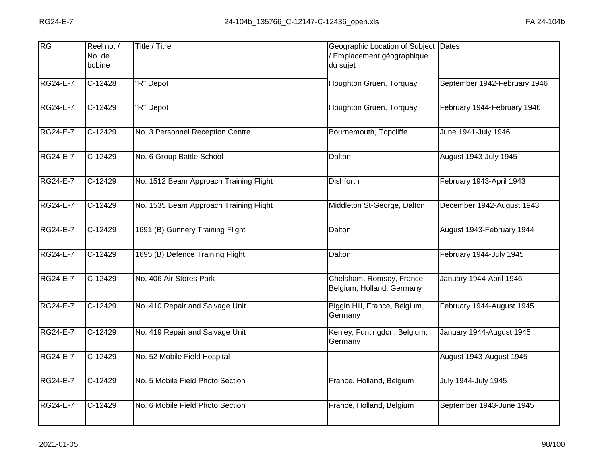| RG              | Reel no. /<br>No. de<br>bobine | Title / Titre                          | Geographic Location of Subject<br>/ Emplacement géographique<br>du sujet | Dates                        |
|-----------------|--------------------------------|----------------------------------------|--------------------------------------------------------------------------|------------------------------|
| <b>RG24-E-7</b> | $C-12428$                      | "R" Depot                              | Houghton Gruen, Torquay                                                  | September 1942-February 1946 |
| RG24-E-7        | C-12429                        | "R" Depot                              | Houghton Gruen, Torquay                                                  | February 1944-February 1946  |
| <b>RG24-E-7</b> | $C-12429$                      | No. 3 Personnel Reception Centre       | Bournemouth, Topcliffe                                                   | June 1941-July 1946          |
| <b>RG24-E-7</b> | C-12429                        | No. 6 Group Battle School              | Dalton                                                                   | August 1943-July 1945        |
| <b>RG24-E-7</b> | $C-12429$                      | No. 1512 Beam Approach Training Flight | <b>Dishforth</b>                                                         | February 1943-April 1943     |
| <b>RG24-E-7</b> | $C-12429$                      | No. 1535 Beam Approach Training Flight | Middleton St-George, Dalton                                              | December 1942-August 1943    |
| <b>RG24-E-7</b> | $C-12429$                      | 1691 (B) Gunnery Training Flight       | Dalton                                                                   | August 1943-February 1944    |
| <b>RG24-E-7</b> | $C-12429$                      | 1695 (B) Defence Training Flight       | Dalton                                                                   | February 1944-July 1945      |
| RG24-E-7        | C-12429                        | No. 406 Air Stores Park                | Chelsham, Romsey, France,<br>Belgium, Holland, Germany                   | January 1944-April 1946      |
| <b>RG24-E-7</b> | C-12429                        | No. 410 Repair and Salvage Unit        | Biggin Hill, France, Belgium,<br>Germany                                 | February 1944-August 1945    |
| <b>RG24-E-7</b> | C-12429                        | No. 419 Repair and Salvage Unit        | Kenley, Funtingdon, Belgium,<br>Germany                                  | January 1944-August 1945     |
| <b>RG24-E-7</b> | $C-12429$                      | No. 52 Mobile Field Hospital           |                                                                          | August 1943-August 1945      |
| RG24-E-7        | C-12429                        | No. 5 Mobile Field Photo Section       | France, Holland, Belgium                                                 | July 1944-July 1945          |
| <b>RG24-E-7</b> | $C-12429$                      | No. 6 Mobile Field Photo Section       | France, Holland, Belgium                                                 | September 1943-June 1945     |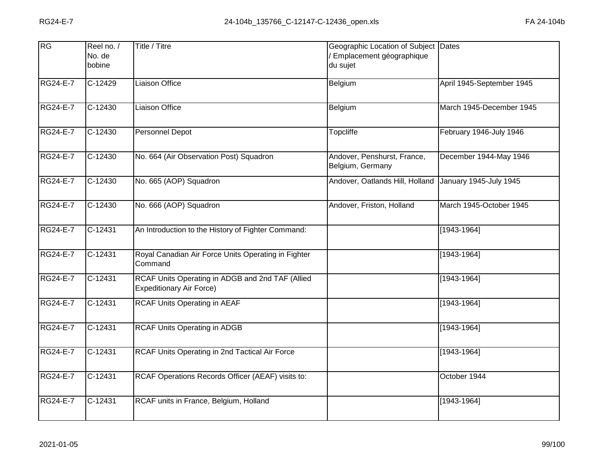| $\overline{\text{RG}}$ | Reel no. /<br>No. de<br>bobine | Title / Titre                                                                       | Geographic Location of Subject Dates<br>/ Emplacement géographique<br>du sujet |                               |
|------------------------|--------------------------------|-------------------------------------------------------------------------------------|--------------------------------------------------------------------------------|-------------------------------|
| <b>RG24-E-7</b>        | $C-12429$                      | <b>Liaison Office</b>                                                               | Belgium                                                                        | April 1945-September 1945     |
| RG24-E-7               | C-12430                        | <b>Liaison Office</b>                                                               | Belgium                                                                        | March 1945-December 1945      |
| <b>RG24-E-7</b>        | $C-12430$                      | Personnel Depot                                                                     | <b>Topcliffe</b>                                                               | February 1946-July 1946       |
| <b>RG24-E-7</b>        | C-12430                        | No. 664 (Air Observation Post) Squadron                                             | Andover, Penshurst, France,<br>Belgium, Germany                                | December 1944-May 1946        |
| <b>RG24-E-7</b>        | $C-12430$                      | No. 665 (AOP) Squadron                                                              | Andover, Oatlands Hill, Holland                                                | <b>January 1945-July 1945</b> |
| <b>RG24-E-7</b>        | $C-12430$                      | No. 666 (AOP) Squadron                                                              | Andover, Friston, Holland                                                      | March 1945-October 1945       |
| <b>RG24-E-7</b>        | $C-12431$                      | An Introduction to the History of Fighter Command:                                  |                                                                                | [1943-1964]                   |
| <b>RG24-E-7</b>        | $C-12431$                      | Royal Canadian Air Force Units Operating in Fighter<br>Command                      |                                                                                | $[1943 - 1964]$               |
| <b>RG24-E-7</b>        | C-12431                        | RCAF Units Operating in ADGB and 2nd TAF (Allied<br><b>Expeditionary Air Force)</b> |                                                                                | $[1943 - 1964]$               |
| <b>RG24-E-7</b>        | $C-12431$                      | <b>RCAF Units Operating in AEAF</b>                                                 |                                                                                | $[1943 - 1964]$               |
| <b>RG24-E-7</b>        | $C-12431$                      | <b>RCAF Units Operating in ADGB</b>                                                 |                                                                                | [1943-1964]                   |
| <b>RG24-E-7</b>        | $C-12431$                      | RCAF Units Operating in 2nd Tactical Air Force                                      |                                                                                | [1943-1964]                   |
| RG24-E-7               | C-12431                        | RCAF Operations Records Officer (AEAF) visits to:                                   |                                                                                | October 1944                  |
| <b>RG24-E-7</b>        | C-12431                        | RCAF units in France, Belgium, Holland                                              |                                                                                | $[1943 - 1964]$               |